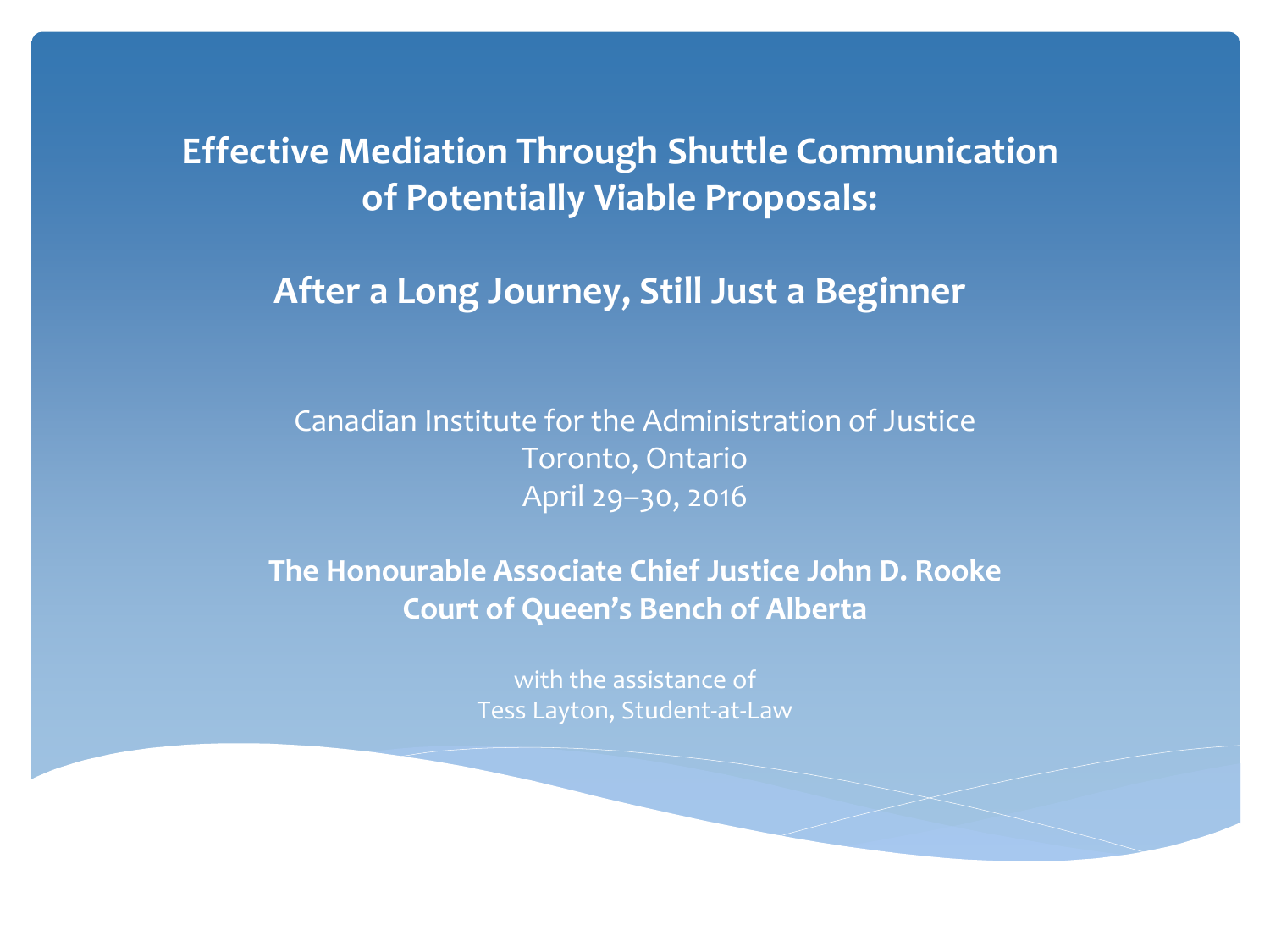#### **Effective Mediation Through Shuttle Communication of Potentially Viable Proposals:**

#### **After a Long Journey, Still Just a Beginner**

Canadian Institute for the Administration of Justice Toronto, Ontario April 29–30, 2016

**The Honourable Associate Chief Justice John D. Rooke Court of Queen's Bench of Alberta**

> with the assistance of Tess Layton, Student-at-Law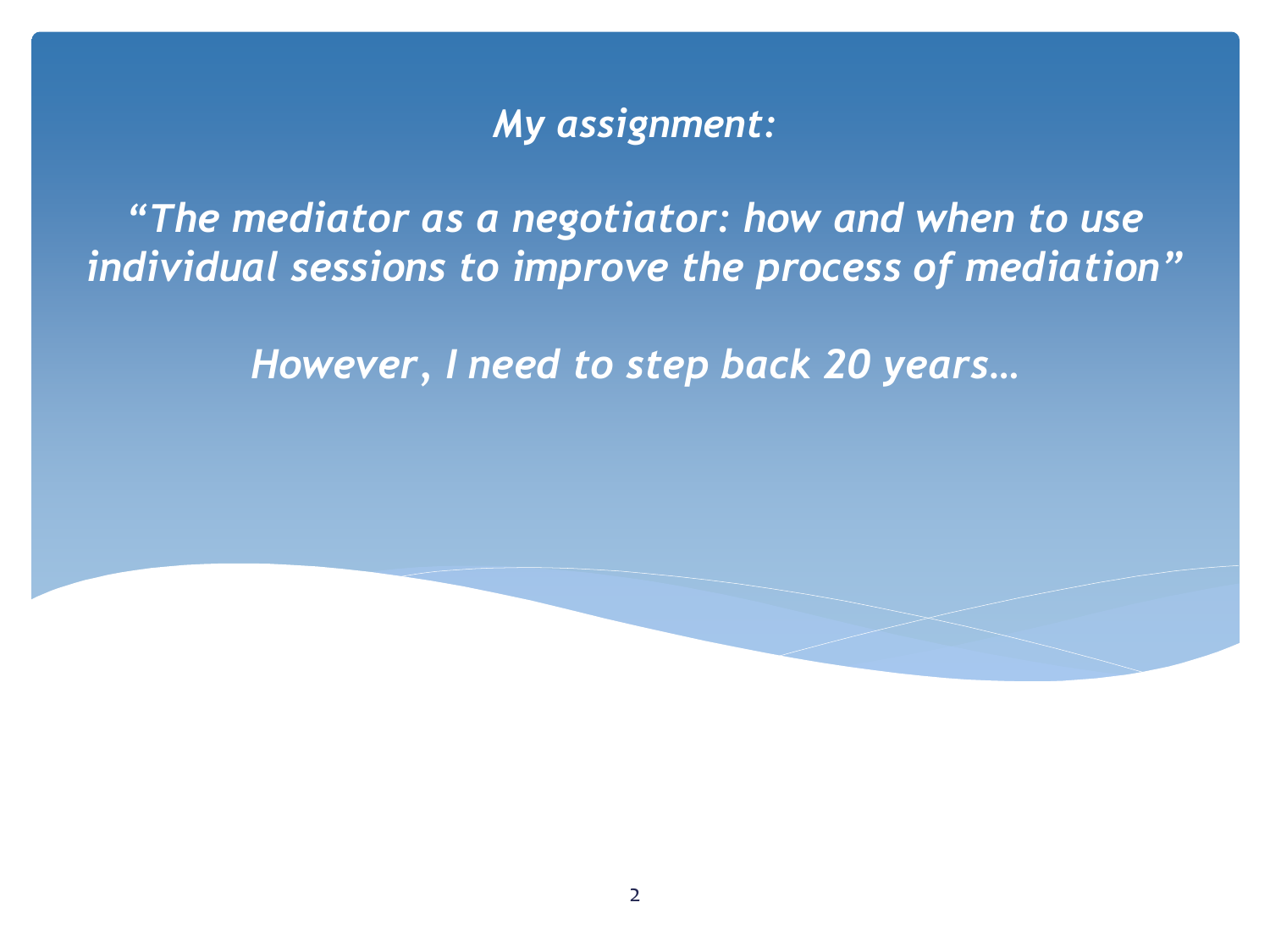#### *My assignment:*

*"The mediator as a negotiator: how and when to use individual sessions to improve the process of mediation"*

*However, I need to step back 20 years…*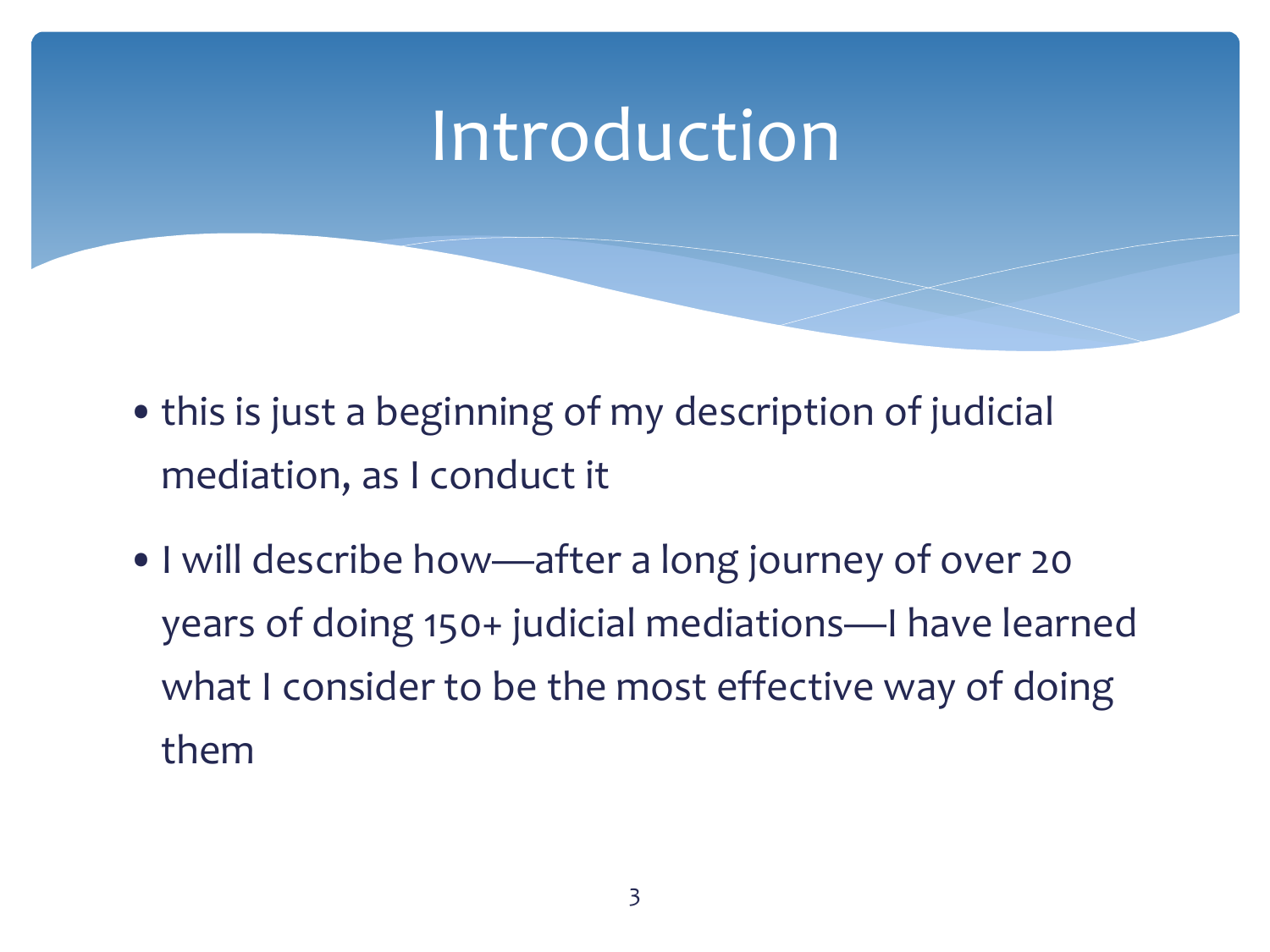- this is just a beginning of my description of judicial mediation, as I conduct it
- •I will describe how—after a long journey of over 20 years of doing 150+ judicial mediations—I have learned what I consider to be the most effective way of doing them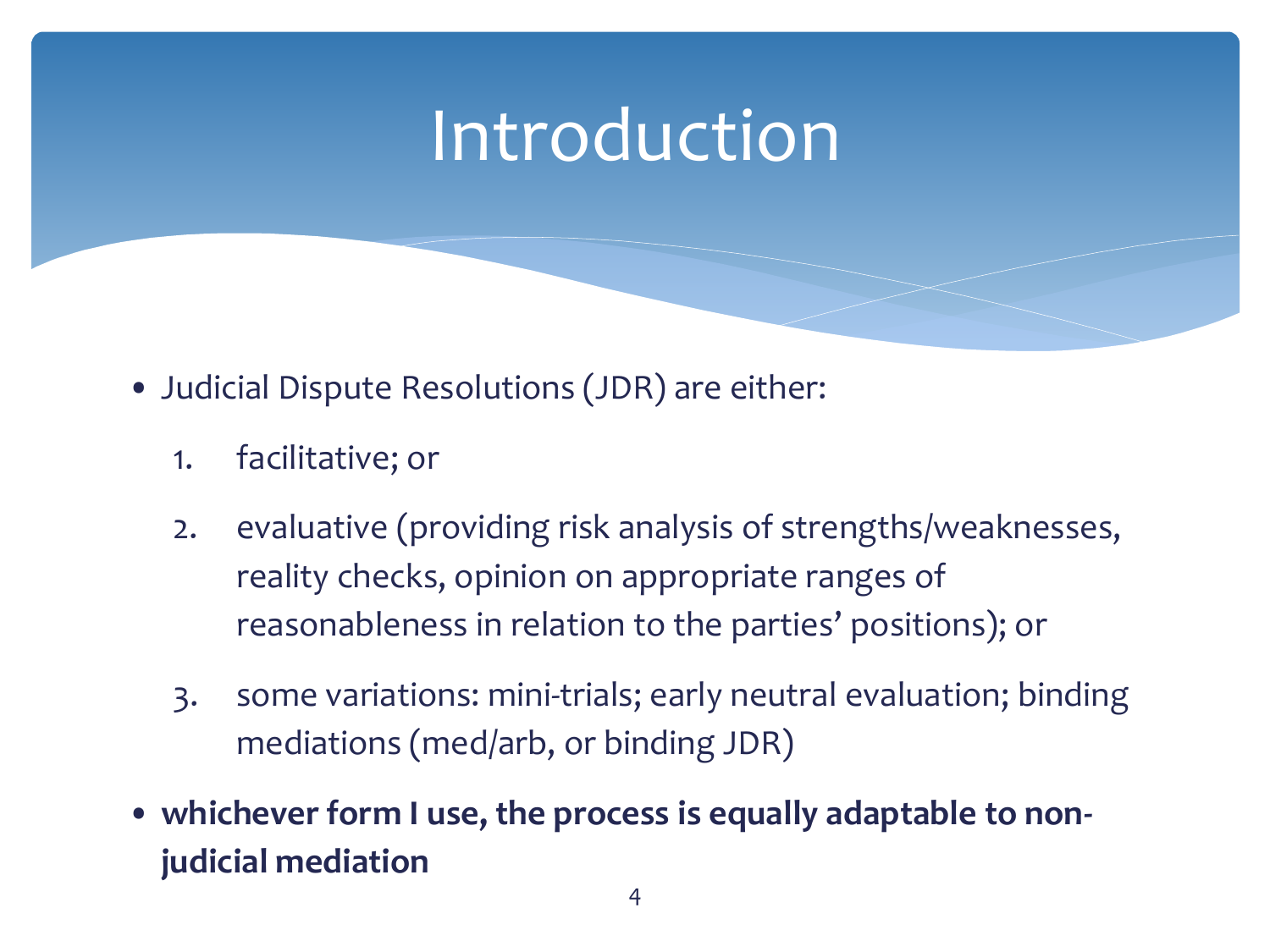- Judicial Dispute Resolutions (JDR) are either:
	- 1. facilitative; or
	- 2. evaluative (providing risk analysis of strengths/weaknesses, reality checks, opinion on appropriate ranges of reasonableness in relation to the parties' positions); or
	- 3. some variations: mini-trials; early neutral evaluation; binding mediations (med/arb, or binding JDR)
- **whichever form I use, the process is equally adaptable to nonjudicial mediation**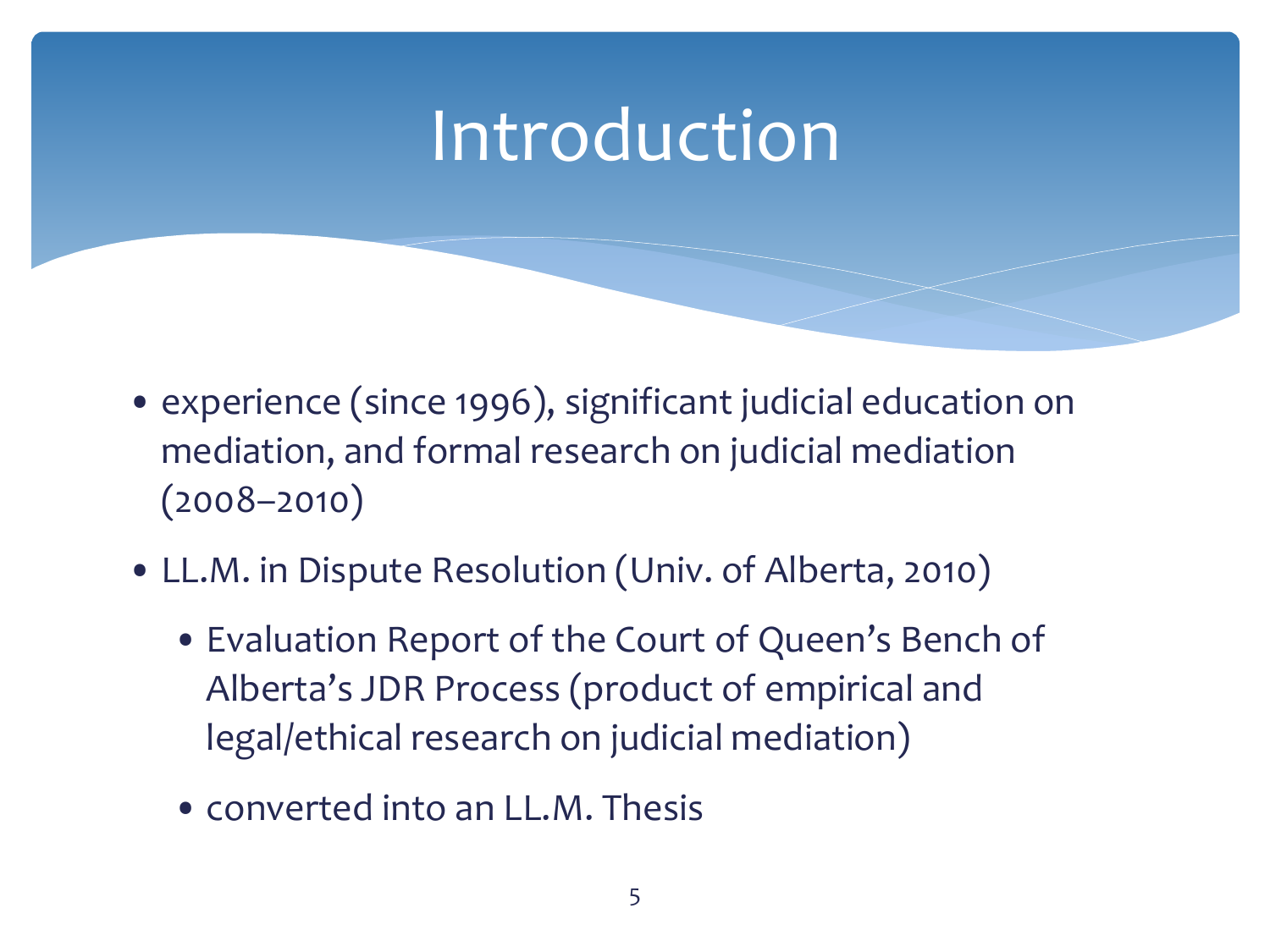- experience (since 1996), significant judicial education on mediation, and formal research on judicial mediation (2008–2010)
- LL.M. in Dispute Resolution (Univ. of Alberta, 2010)
	- Evaluation Report of the Court of Queen's Bench of Alberta's JDR Process (product of empirical and legal/ethical research on judicial mediation)
	- converted into an LL.M. Thesis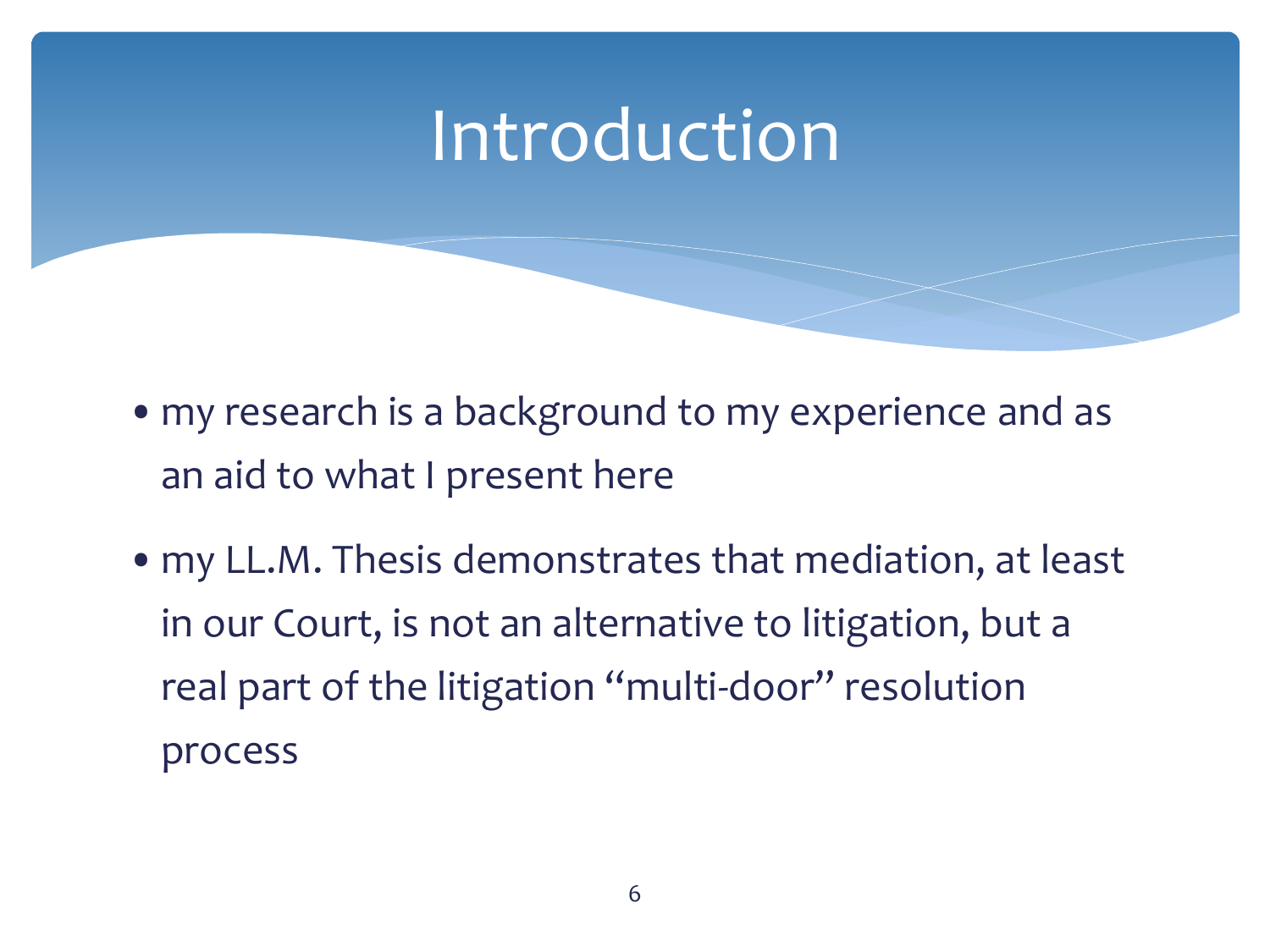- my research is a background to my experience and as an aid to what I present here
- •my LL.M. Thesis demonstrates that mediation, at least in our Court, is not an alternative to litigation, but a real part of the litigation "multi-door" resolution process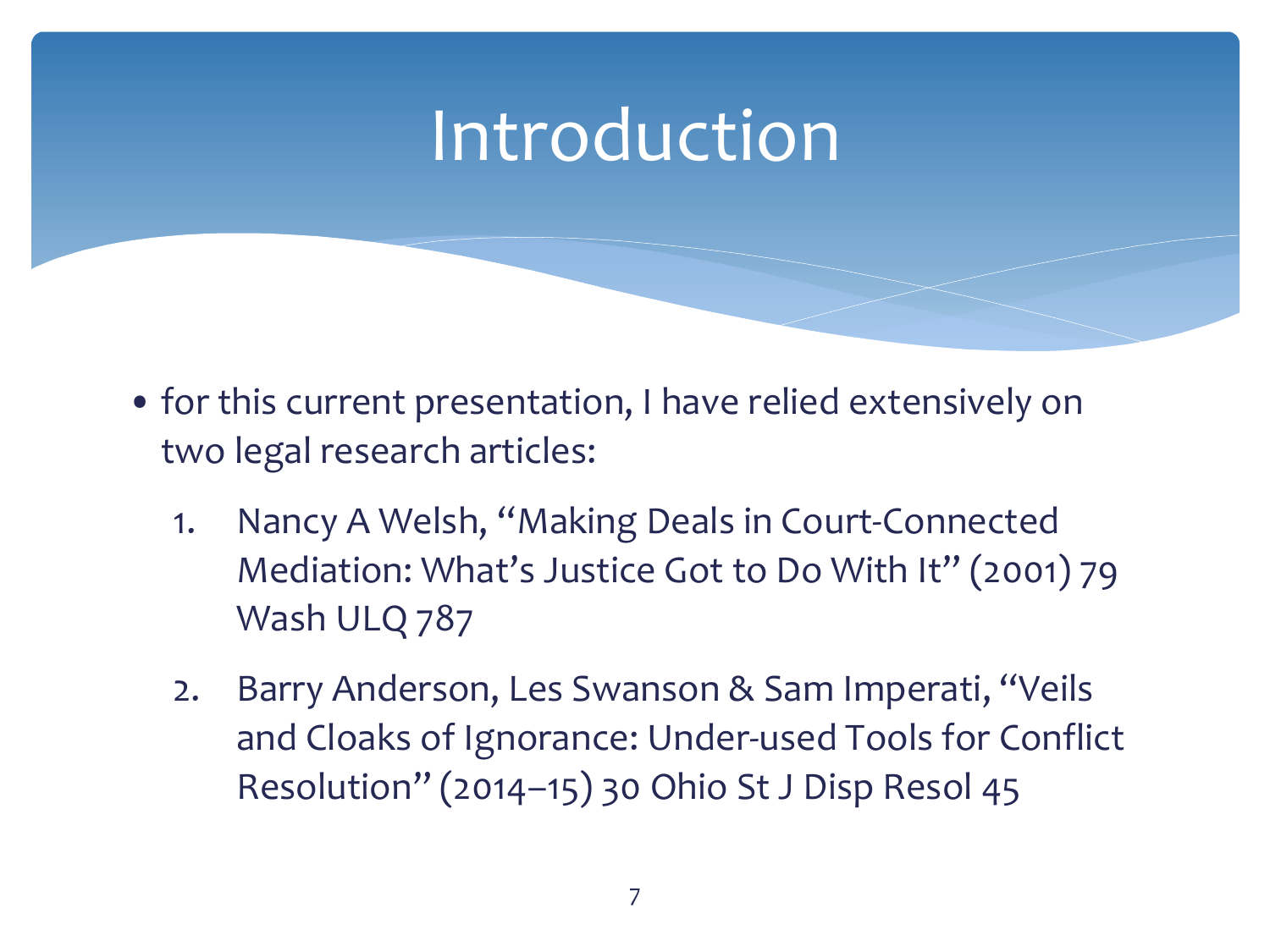- for this current presentation, I have relied extensively on two legal research articles:
	- 1. Nancy A Welsh, "Making Deals in Court-Connected Mediation: What's Justice Got to Do With It" (2001) 79 Wash ULQ 787
	- 2. Barry Anderson, Les Swanson & Sam Imperati, "Veils and Cloaks of Ignorance: Under-used Tools for Conflict Resolution" (2014–15) 30 Ohio St J Disp Resol 45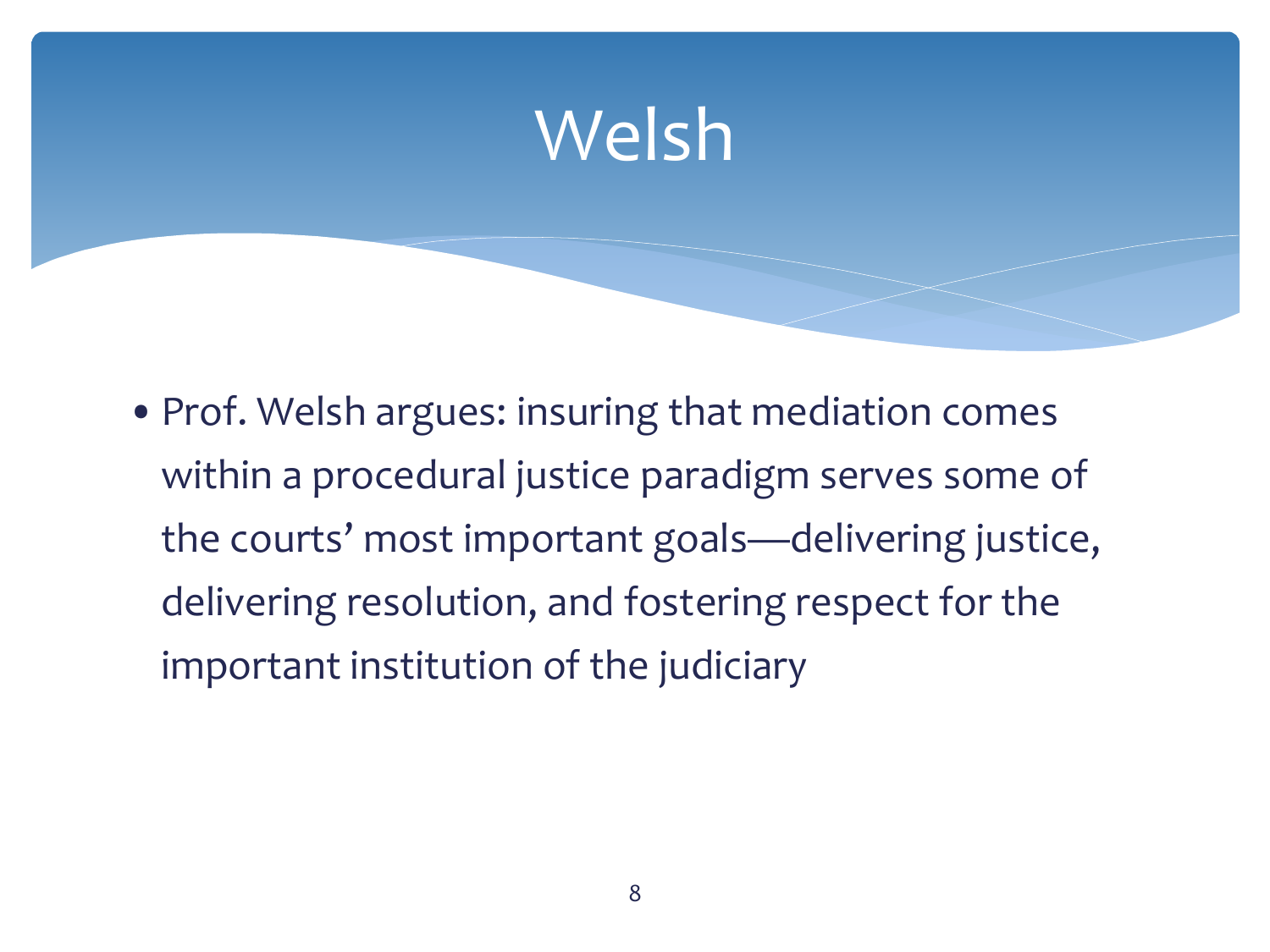#### Welsh

• Prof. Welsh argues: insuring that mediation comes within a procedural justice paradigm serves some of the courts' most important goals—delivering justice, delivering resolution, and fostering respect for the important institution of the judiciary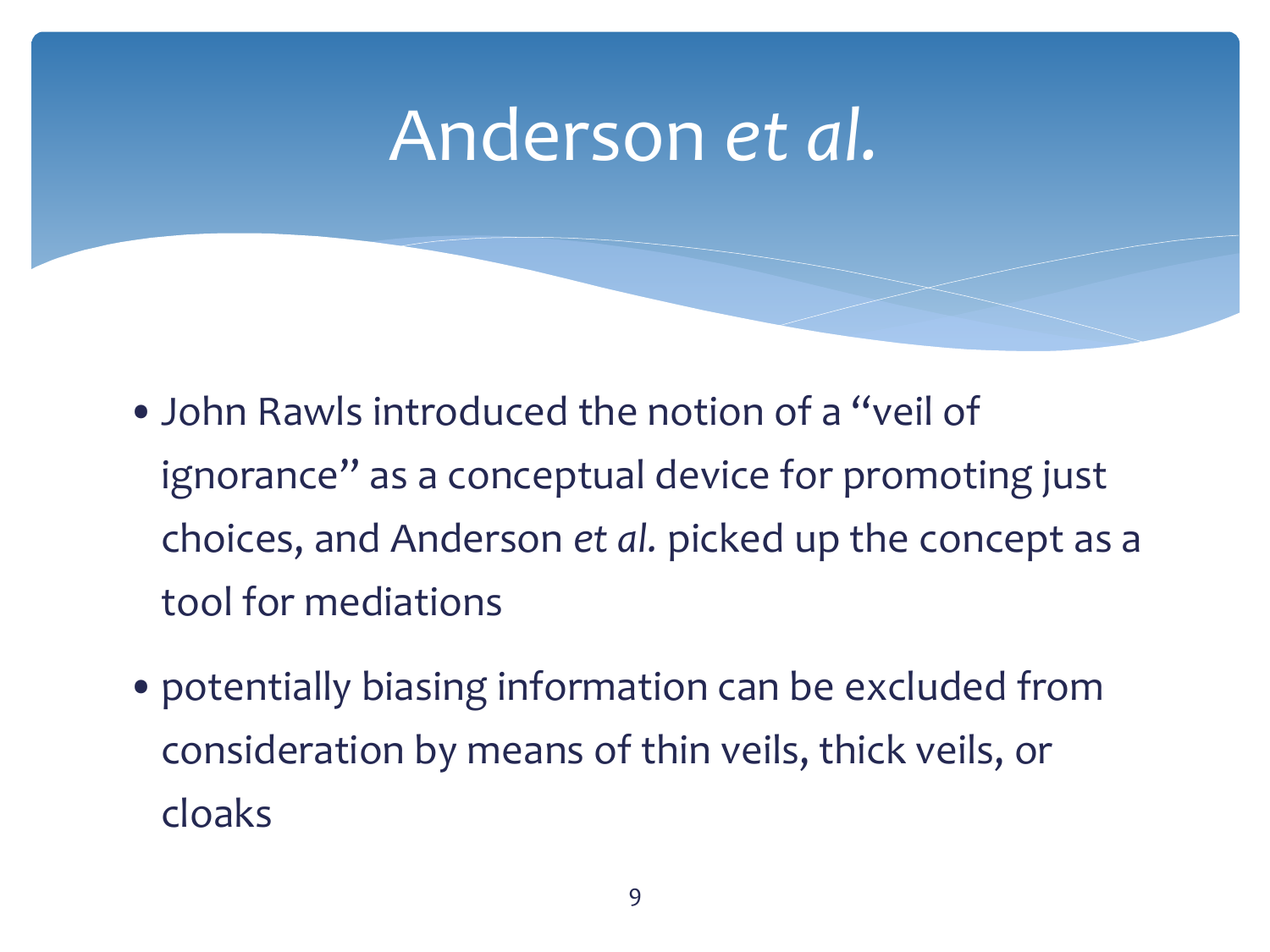- •John Rawls introduced the notion of a "veil of ignorance" as a conceptual device for promoting just choices, and Anderson *et al.* picked up the concept as a tool for mediations
- •potentially biasing information can be excluded from consideration by means of thin veils, thick veils, or cloaks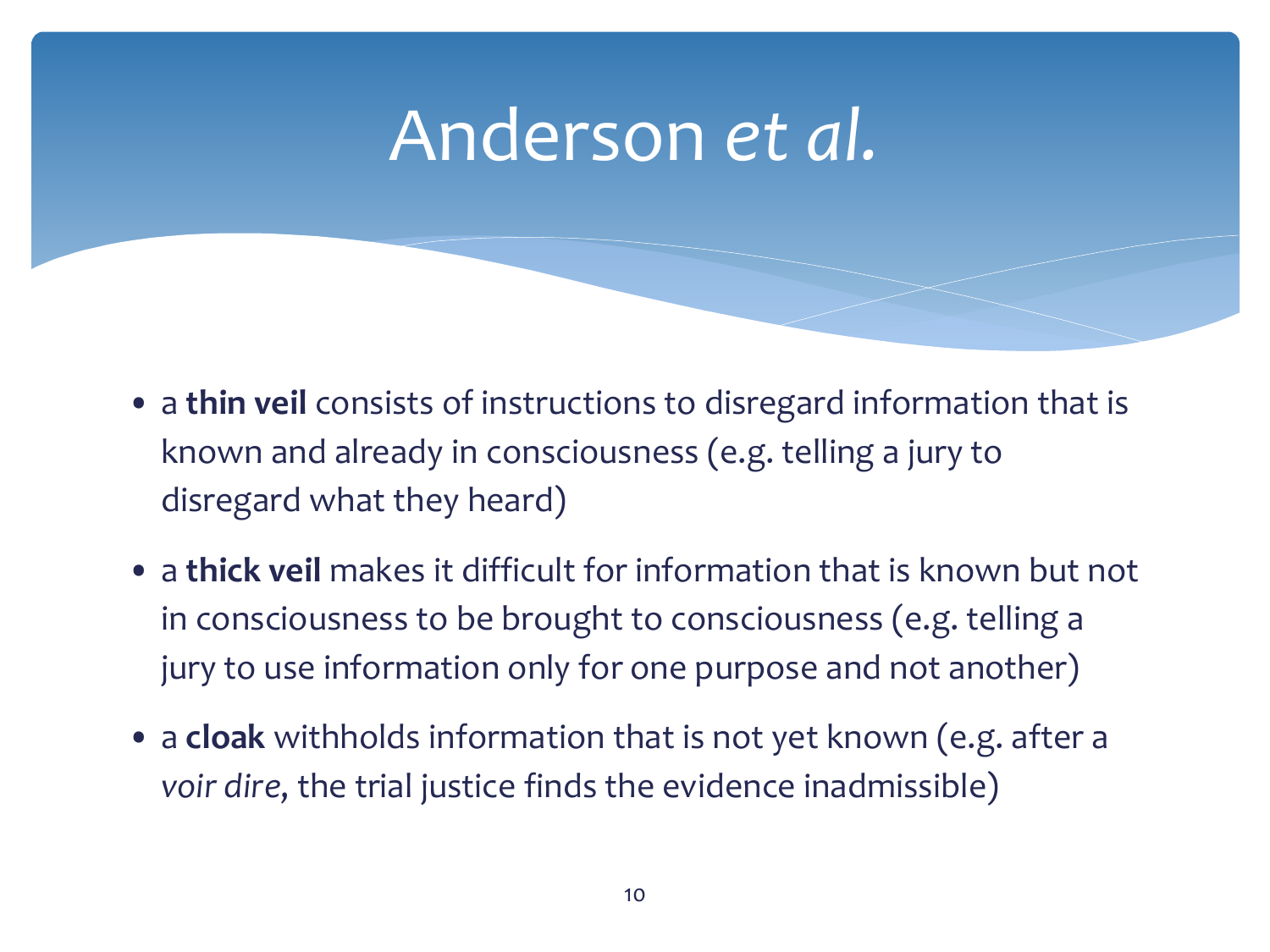- a **thin veil** consists of instructions to disregard information that is known and already in consciousness (e.g. telling a jury to disregard what they heard)
- a **thick veil** makes it difficult for information that is known but not in consciousness to be brought to consciousness (e.g. telling a jury to use information only for one purpose and not another)
- a **cloak** withholds information that is not yet known (e.g. after a *voir dire*, the trial justice finds the evidence inadmissible)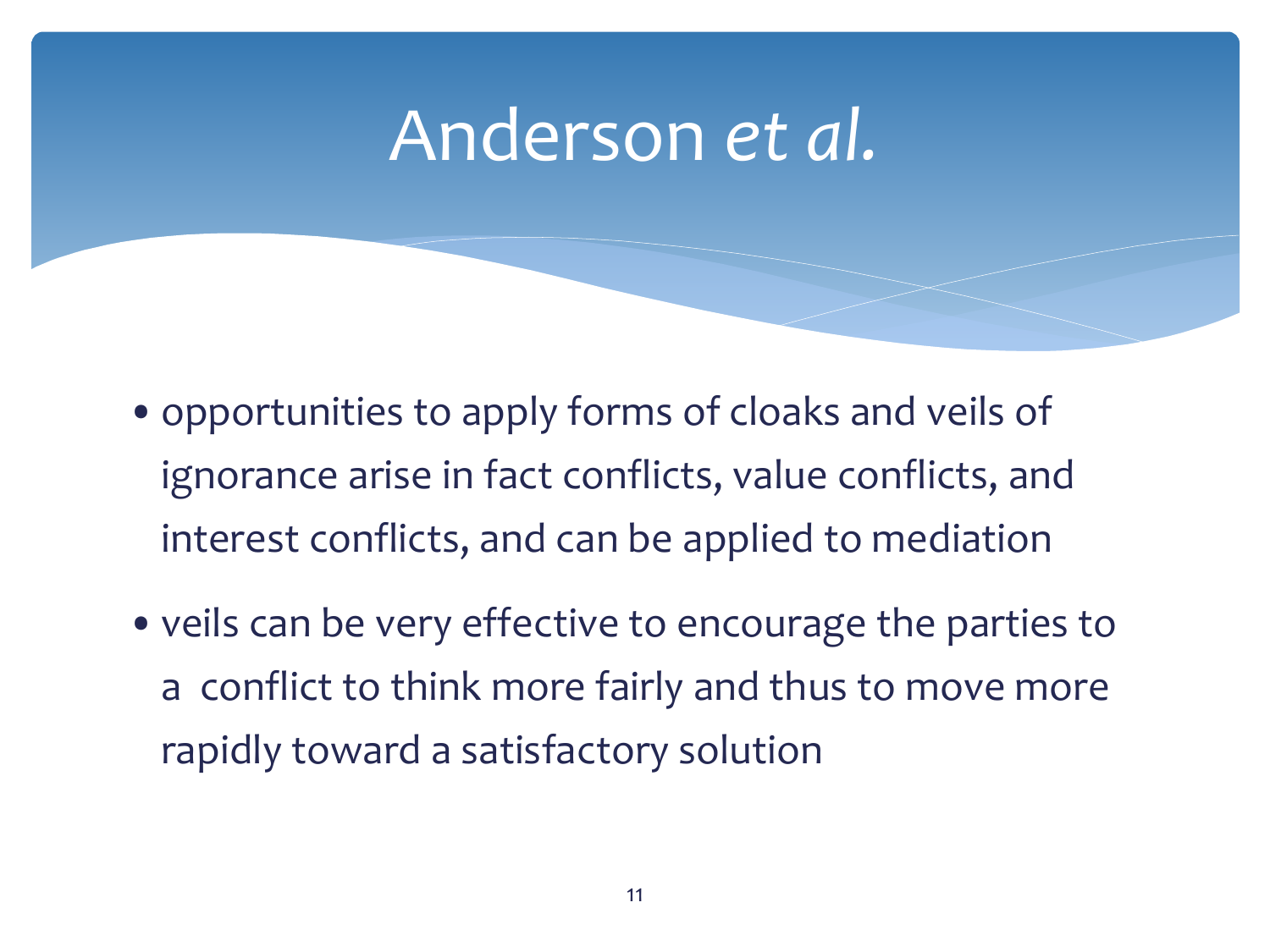- •opportunities to apply forms of cloaks and veils of ignorance arise in fact conflicts, value conflicts, and interest conflicts, and can be applied to mediation
- •veils can be very effective to encourage the parties to a conflict to think more fairly and thus to move more rapidly toward a satisfactory solution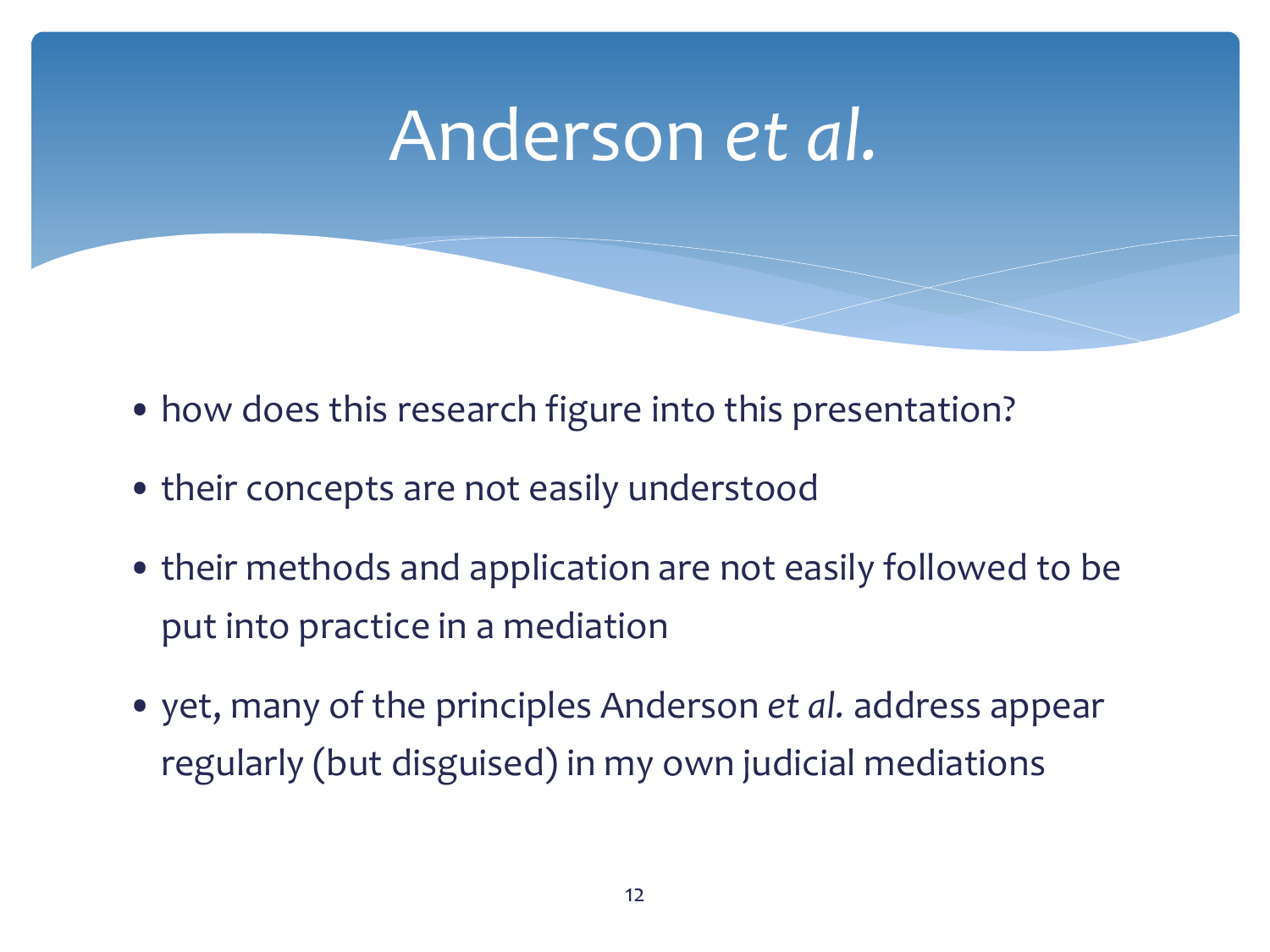- how does this research figure into this presentation?
- their concepts are not easily understood
- their methods and application are not easily followed to be put into practice in a mediation
- yet, many of the principles Anderson *et al.* address appear regularly (but disguised) in my own judicial mediations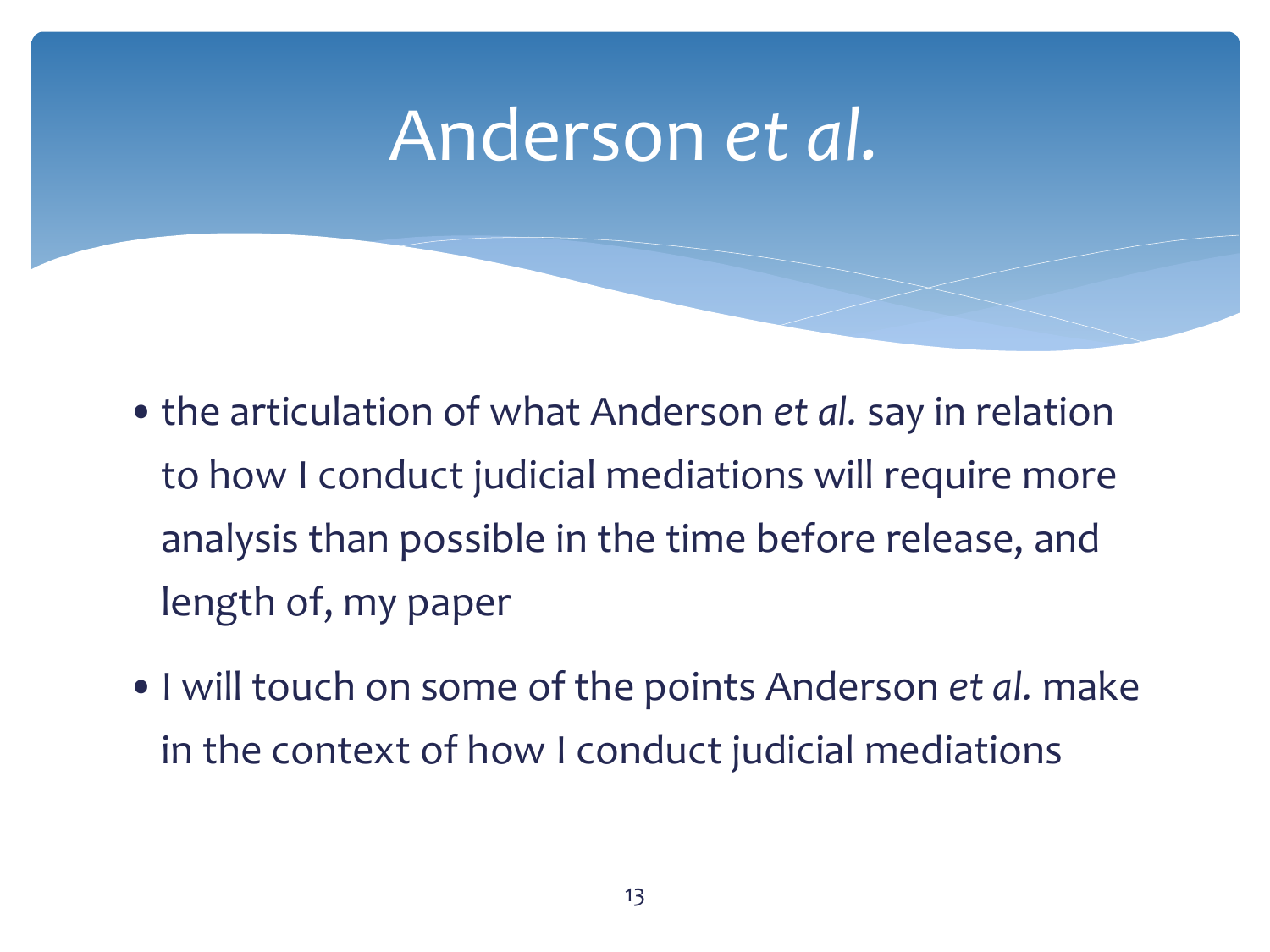- •the articulation of what Anderson *et al.* say in relation to how I conduct judicial mediations will require more analysis than possible in the time before release, and length of, my paper
- •I will touch on some of the points Anderson *et al.* make in the context of how I conduct judicial mediations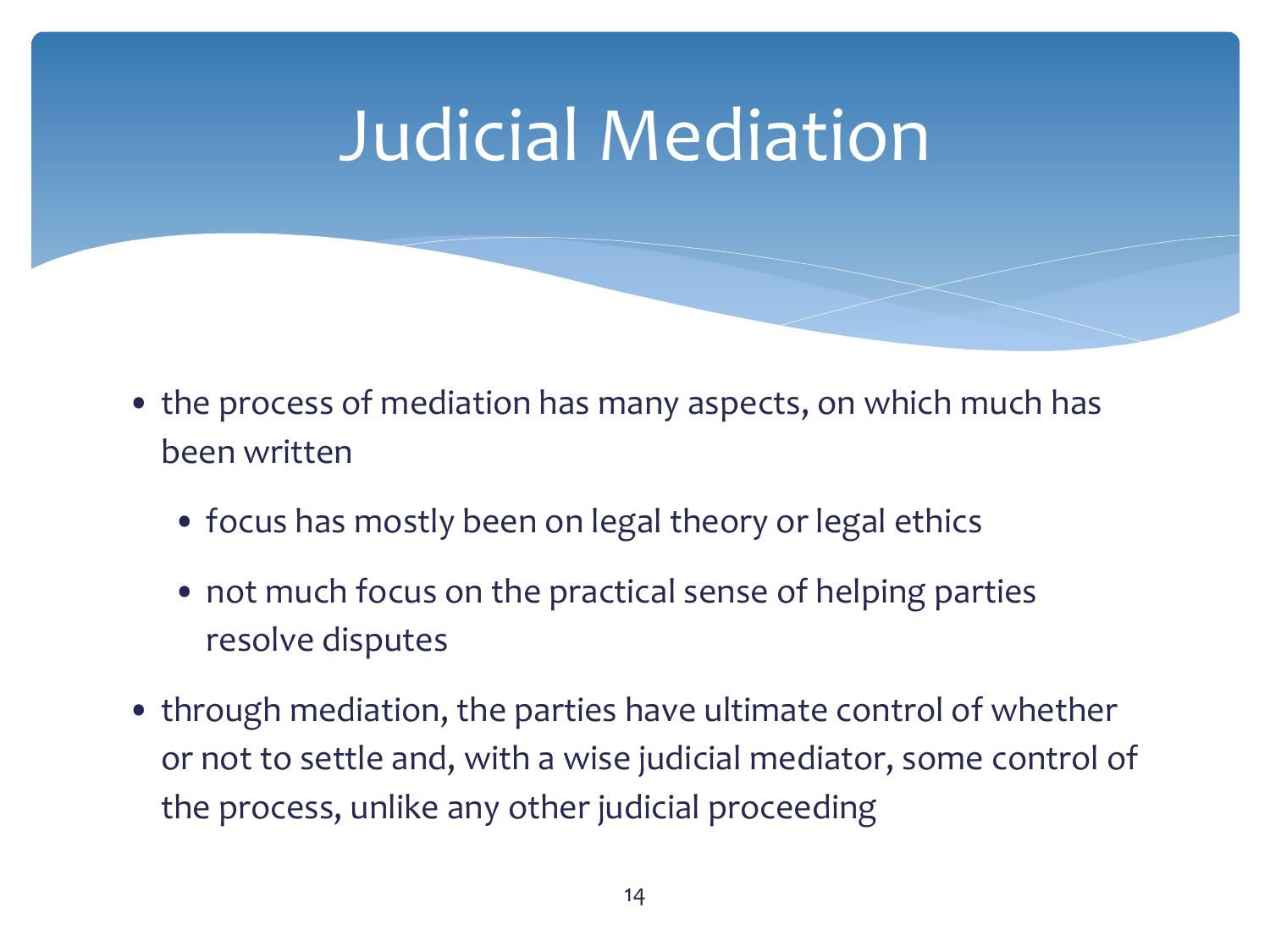- the process of mediation has many aspects, on which much has been written
	- focus has mostly been on legal theory or legal ethics
	- not much focus on the practical sense of helping parties resolve disputes
- through mediation, the parties have ultimate control of whether or not to settle and, with a wise judicial mediator, some control of the process, unlike any other judicial proceeding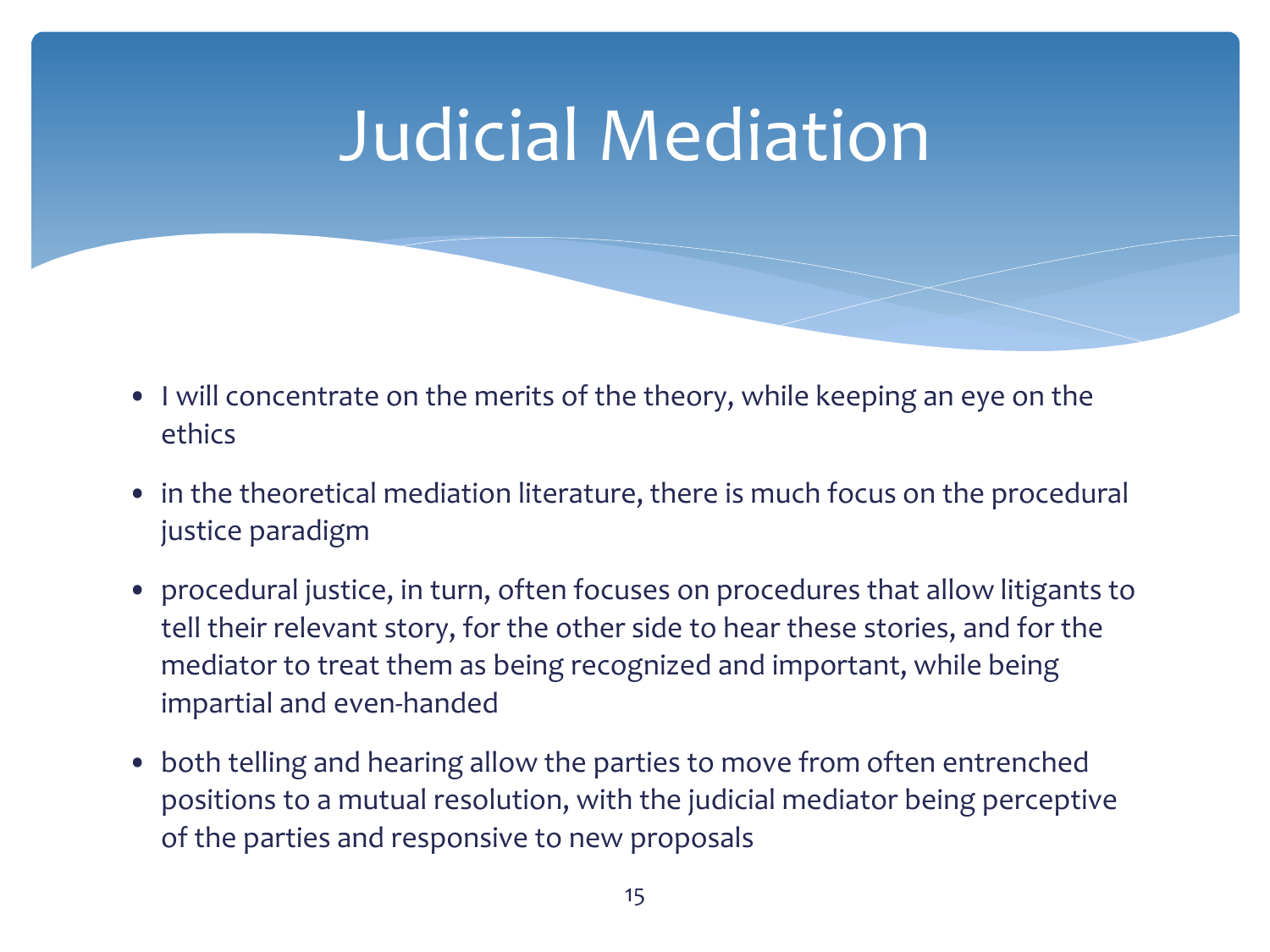- I will concentrate on the merits of the theory, while keeping an eye on the ethics
- in the theoretical mediation literature, there is much focus on the procedural justice paradigm
- procedural justice, in turn, often focuses on procedures that allow litigants to tell their relevant story, for the other side to hear these stories, and for the mediator to treat them as being recognized and important, while being impartial and even-handed
- both telling and hearing allow the parties to move from often entrenched positions to a mutual resolution, with the judicial mediator being perceptive of the parties and responsive to new proposals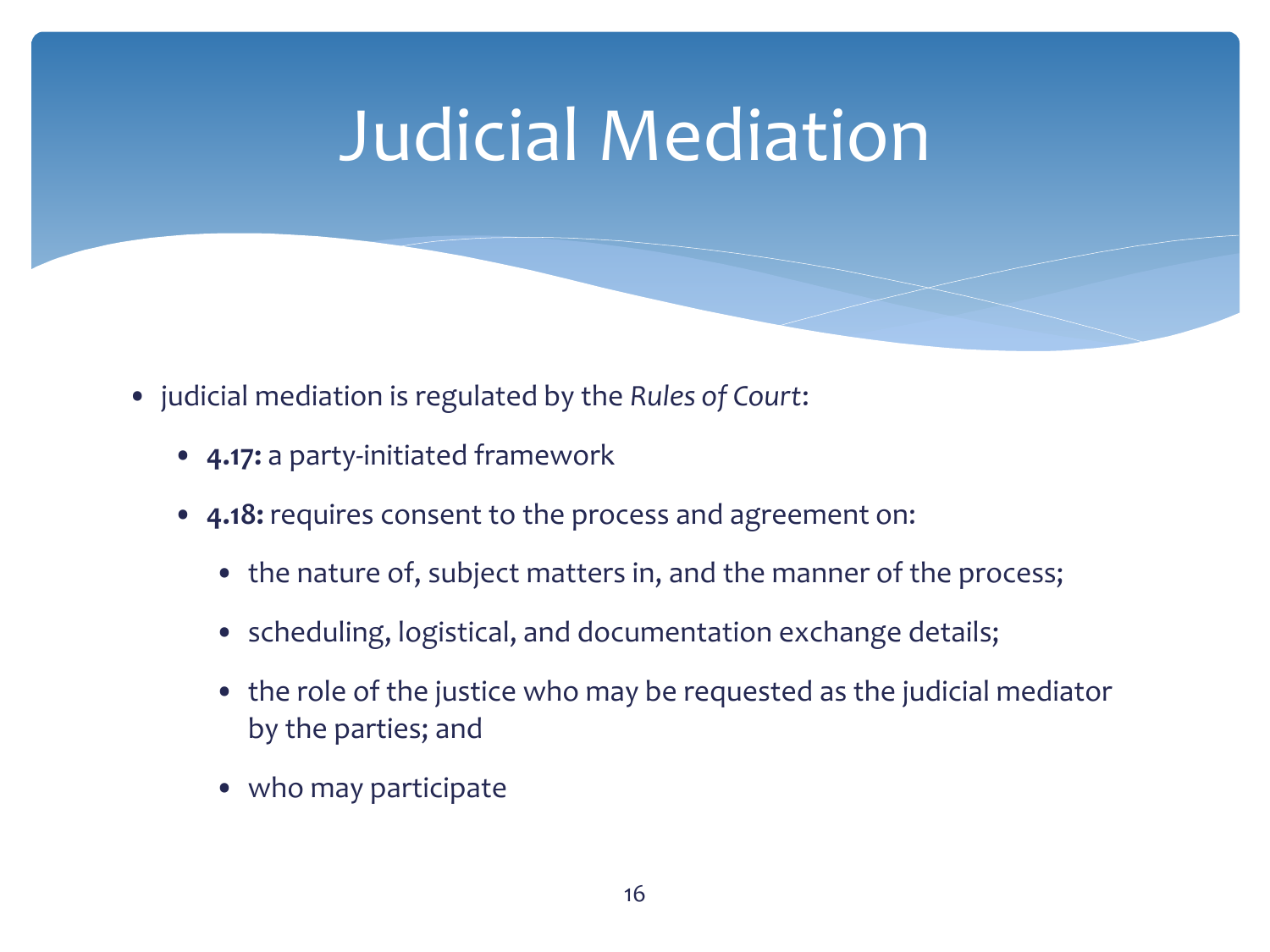- judicial mediation is regulated by the *Rules of Court*:
	- **4.17:** a party-initiated framework
	- **4.18:** requires consent to the process and agreement on:
		- the nature of, subject matters in, and the manner of the process;
		- scheduling, logistical, and documentation exchange details;
		- the role of the justice who may be requested as the judicial mediator by the parties; and
		- who may participate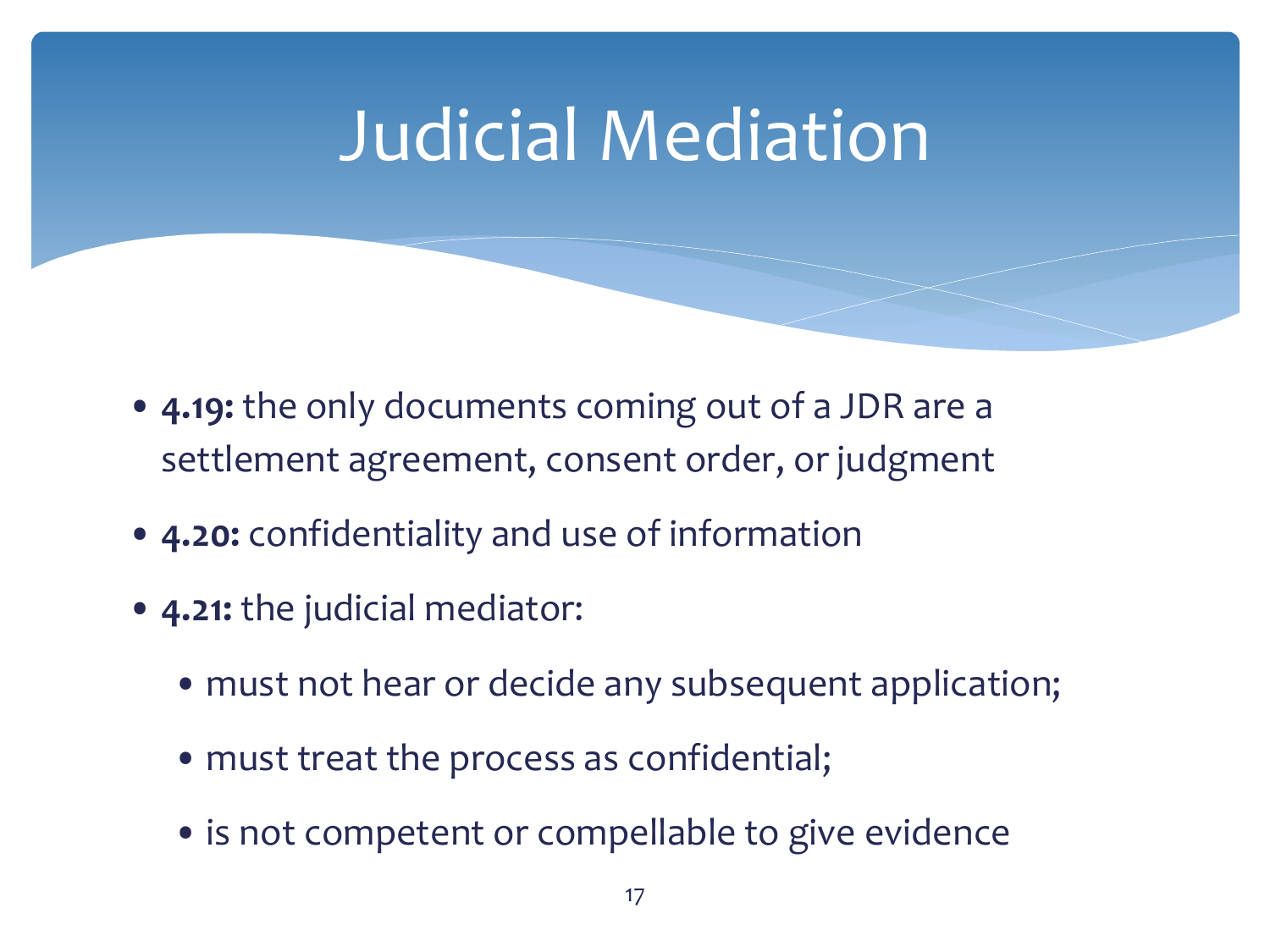- **4.19:** the only documents coming out of a JDR are a settlement agreement, consent order, or judgment
- **4.20:** confidentiality and use of information
- **4.21:** the judicial mediator:
	- must not hear or decide any subsequent application;
	- must treat the process as confidential;
	- is not competent or compellable to give evidence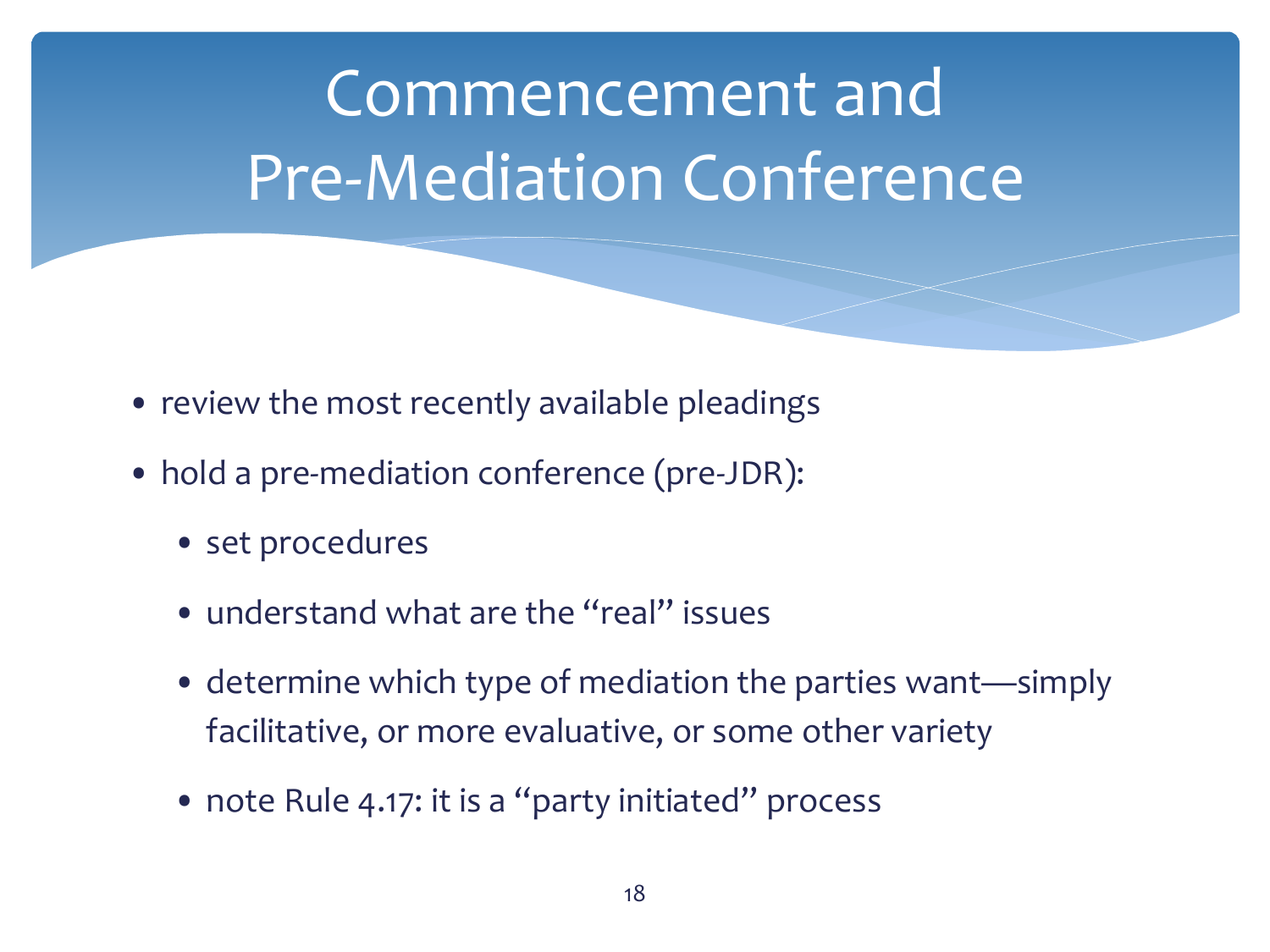- review the most recently available pleadings
- hold a pre-mediation conference (pre-JDR):
	- set procedures
	- understand what are the "real" issues
	- determine which type of mediation the parties want—simply facilitative, or more evaluative, or some other variety
	- note Rule 4.17: it is a "party initiated" process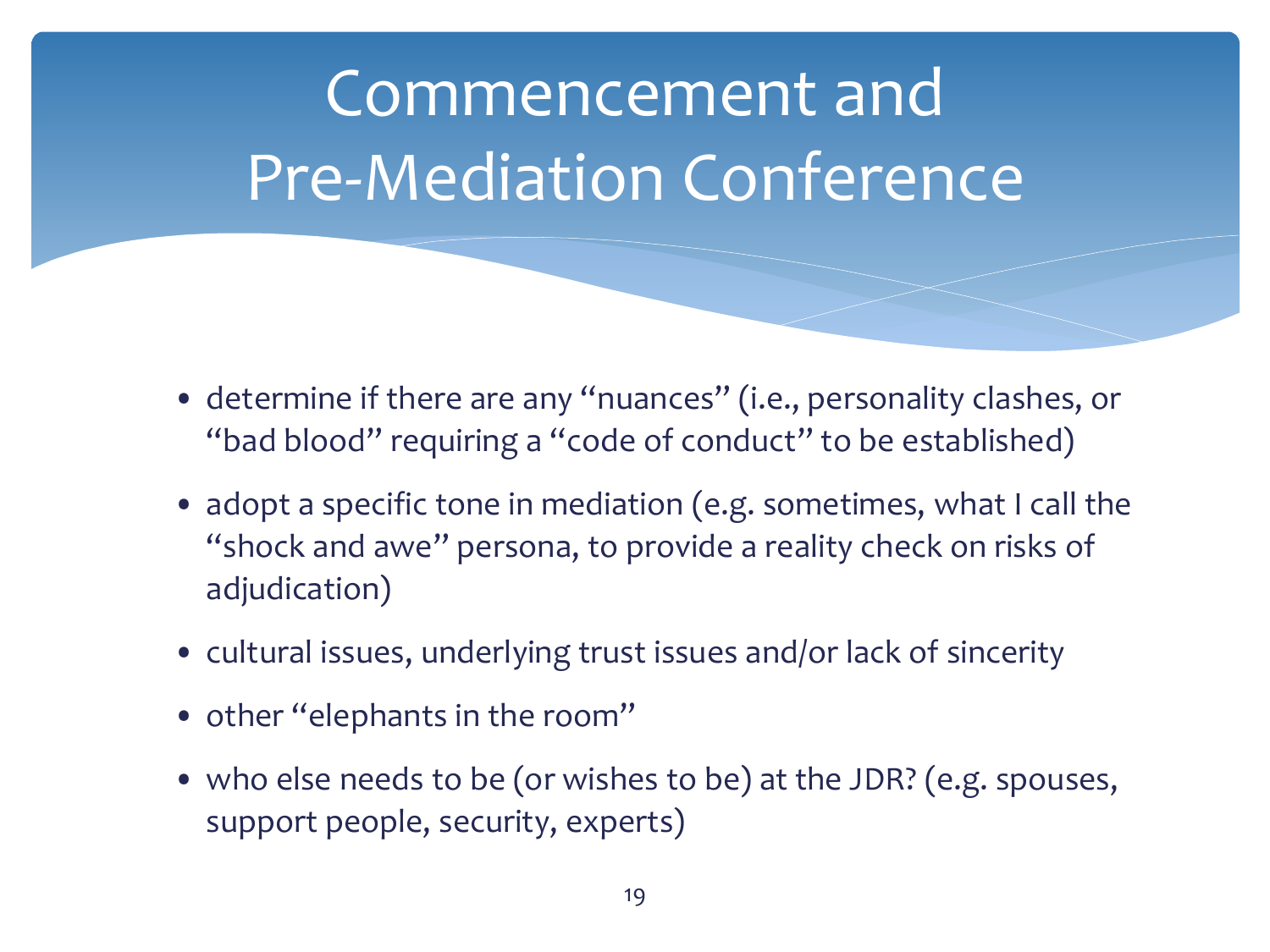- determine if there are any "nuances" (i.e., personality clashes, or "bad blood" requiring a "code of conduct" to be established)
- adopt a specific tone in mediation (e.g. sometimes, what I call the "shock and awe" persona, to provide a reality check on risks of adjudication)
- cultural issues, underlying trust issues and/or lack of sincerity
- other "elephants in the room"
- who else needs to be (or wishes to be) at the JDR? (e.g. spouses, support people, security, experts)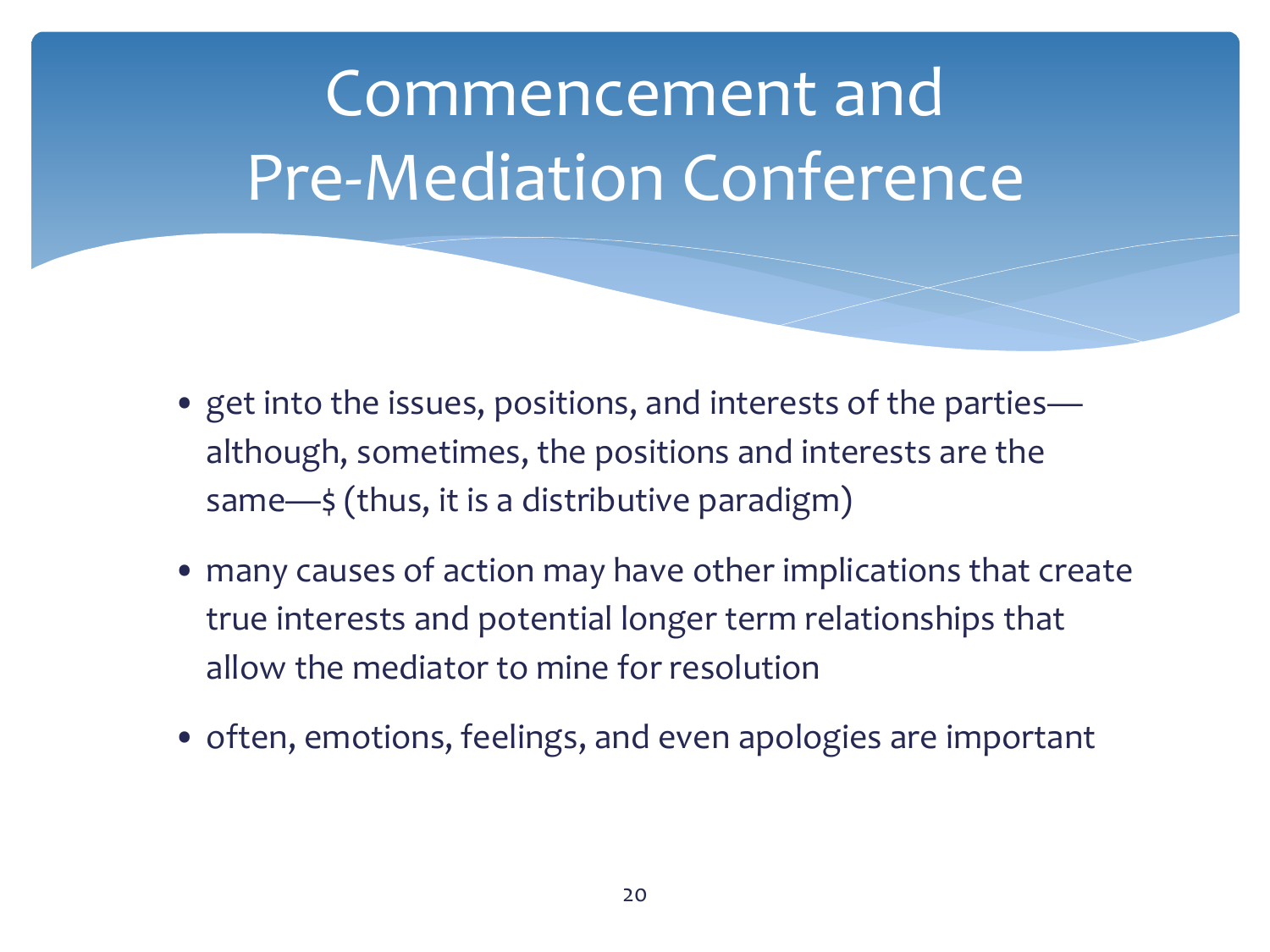- get into the issues, positions, and interests of the parties although, sometimes, the positions and interests are the same- $\leq$  (thus, it is a distributive paradigm)
- many causes of action may have other implications that create true interests and potential longer term relationships that allow the mediator to mine for resolution
- often, emotions, feelings, and even apologies are important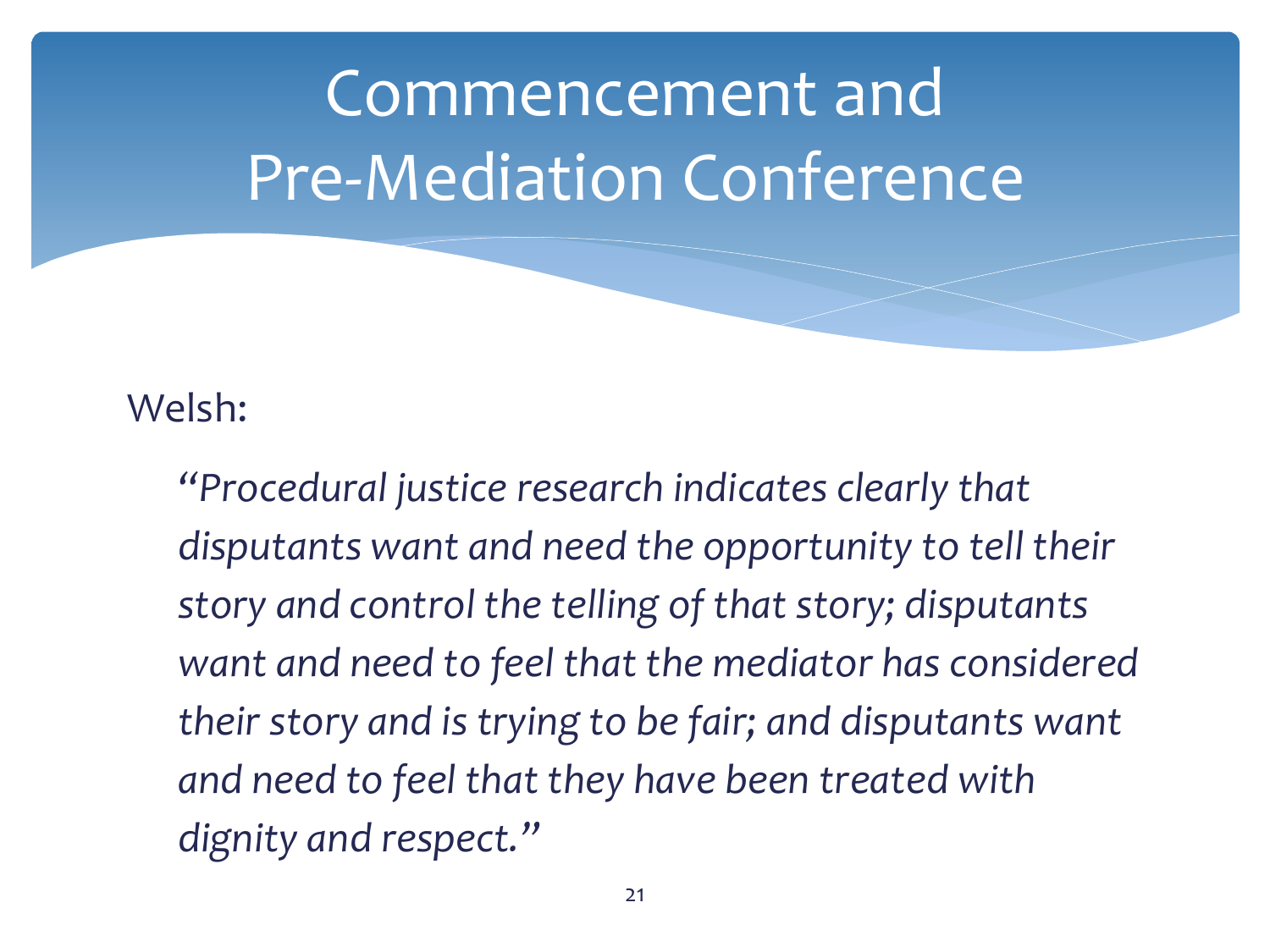#### Welsh:

*"Procedural justice research indicates clearly that disputants want and need the opportunity to tell their story and control the telling of that story; disputants want and need to feel that the mediator has considered their story and is trying to be fair; and disputants want and need to feel that they have been treated with dignity and respect."*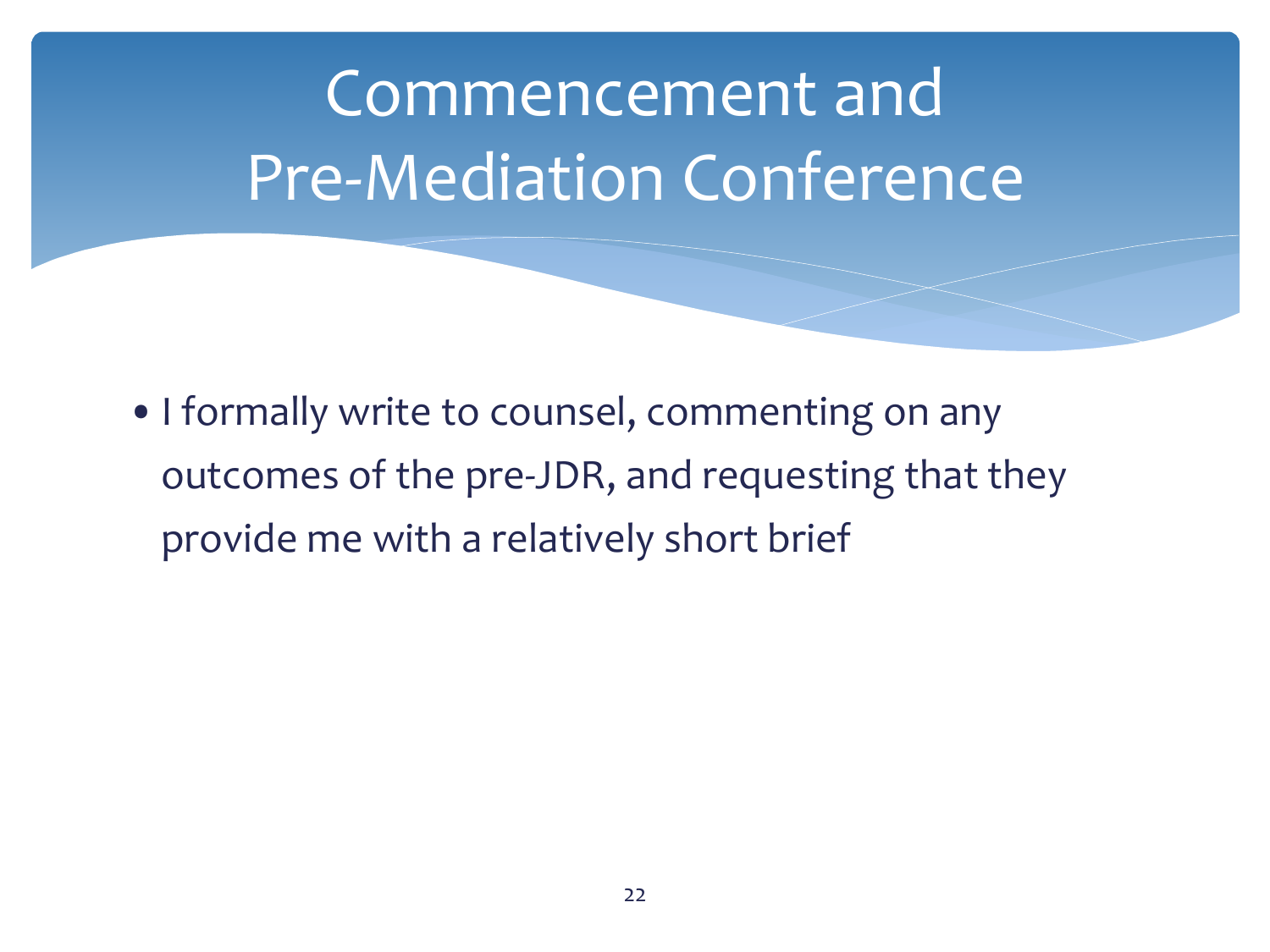•I formally write to counsel, commenting on any outcomes of the pre-JDR, and requesting that they provide me with a relatively short brief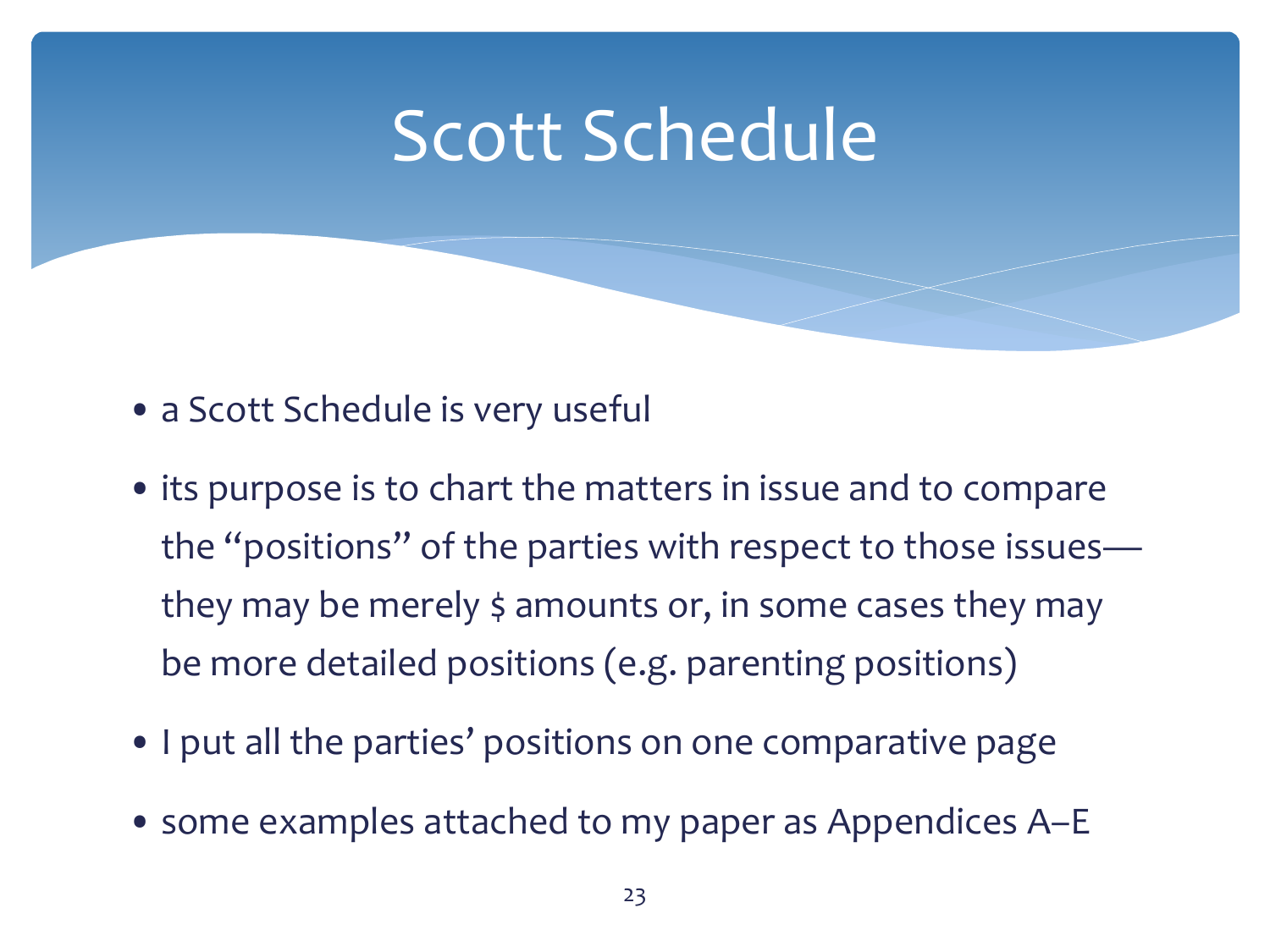### Scott Schedule

- a Scott Schedule is very useful
- its purpose is to chart the matters in issue and to compare the "positions" of the parties with respect to those issues they may be merely \$ amounts or, in some cases they may be more detailed positions (e.g. parenting positions)
- I put all the parties' positions on one comparative page
- some examples attached to my paper as Appendices A–E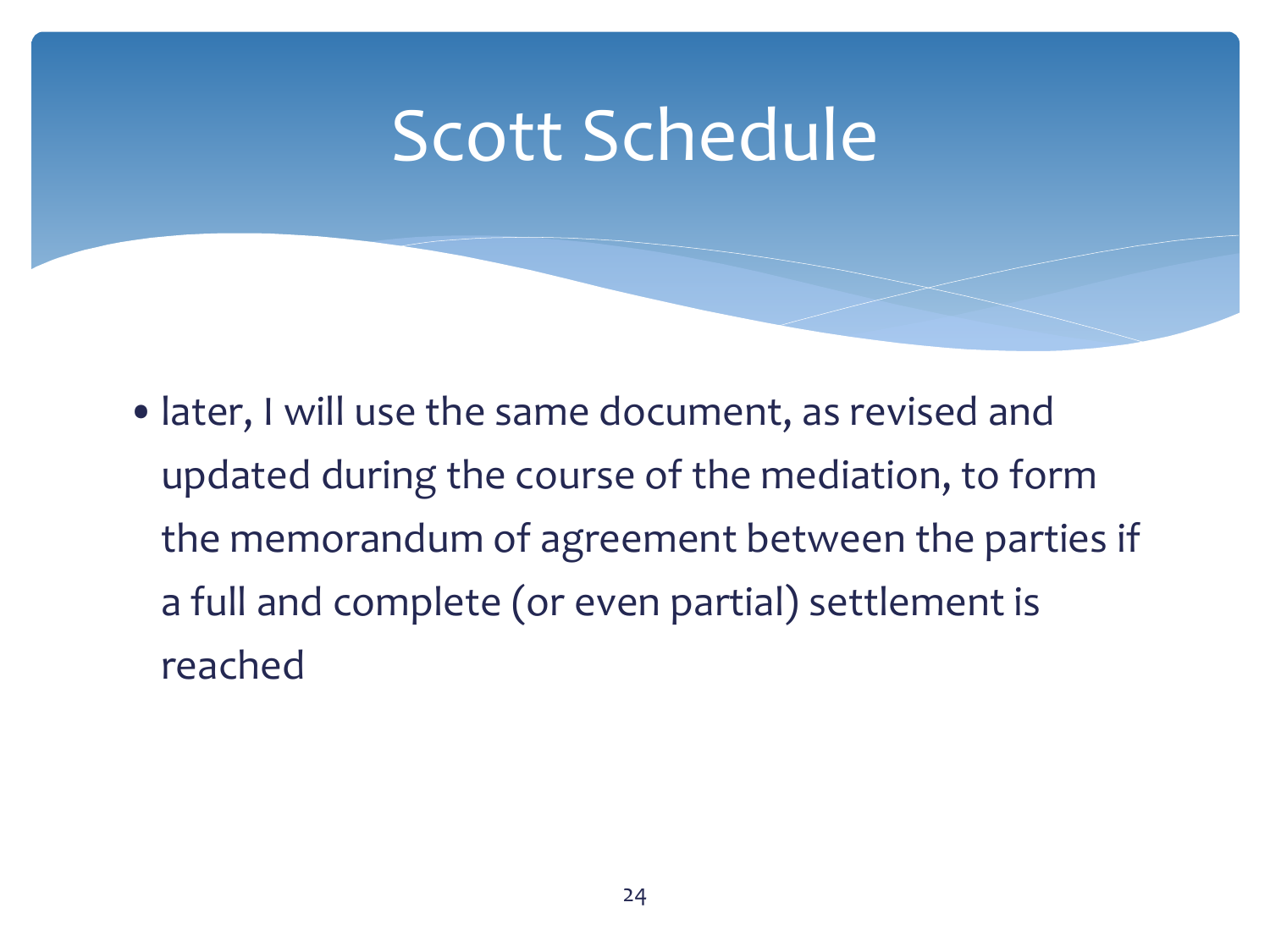### Scott Schedule

•later, I will use the same document, as revised and updated during the course of the mediation, to form the memorandum of agreement between the parties if a full and complete (or even partial) settlement is reached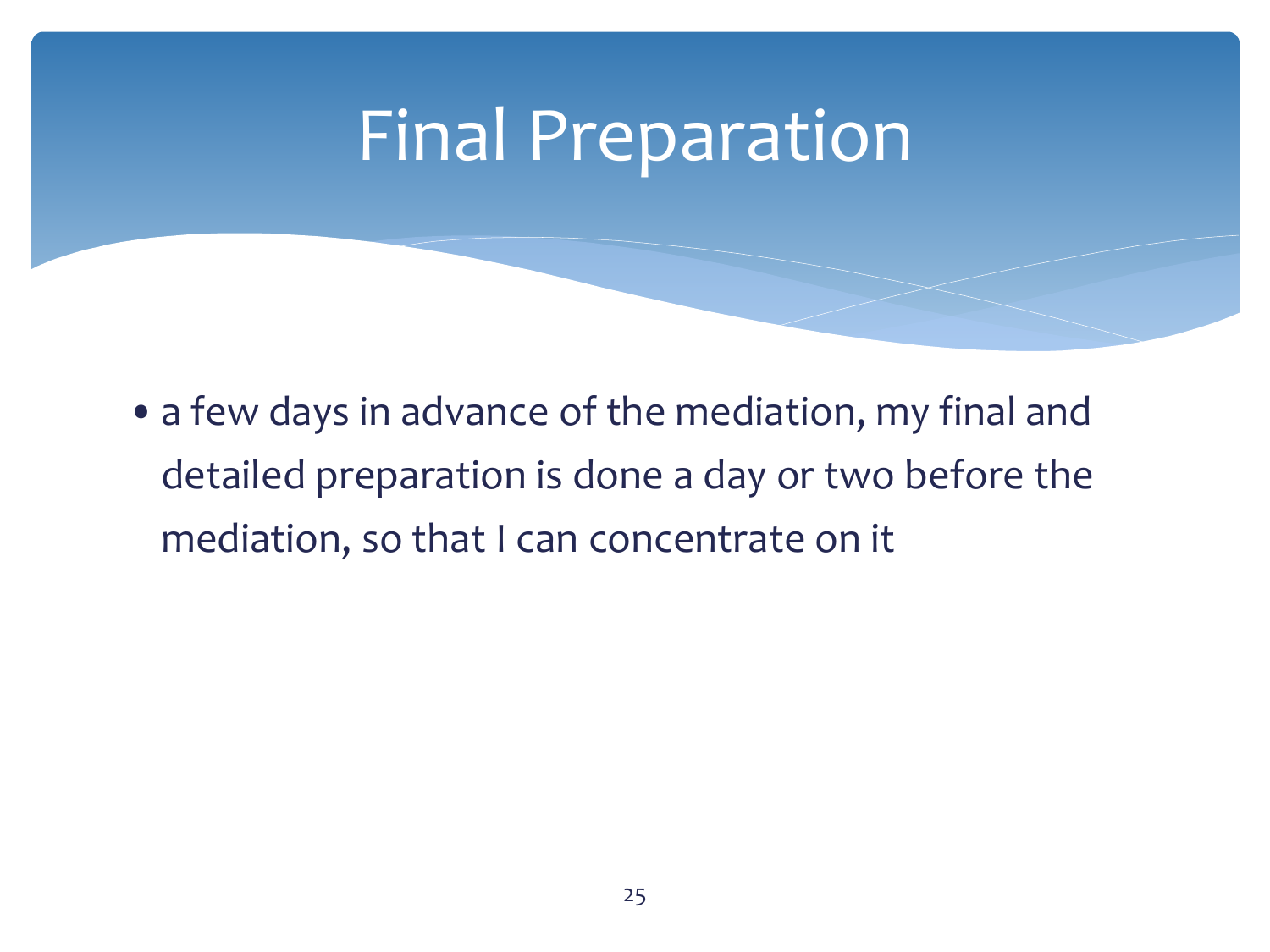### Final Preparation

• a few days in advance of the mediation, my final and detailed preparation is done a day or two before the mediation, so that I can concentrate on it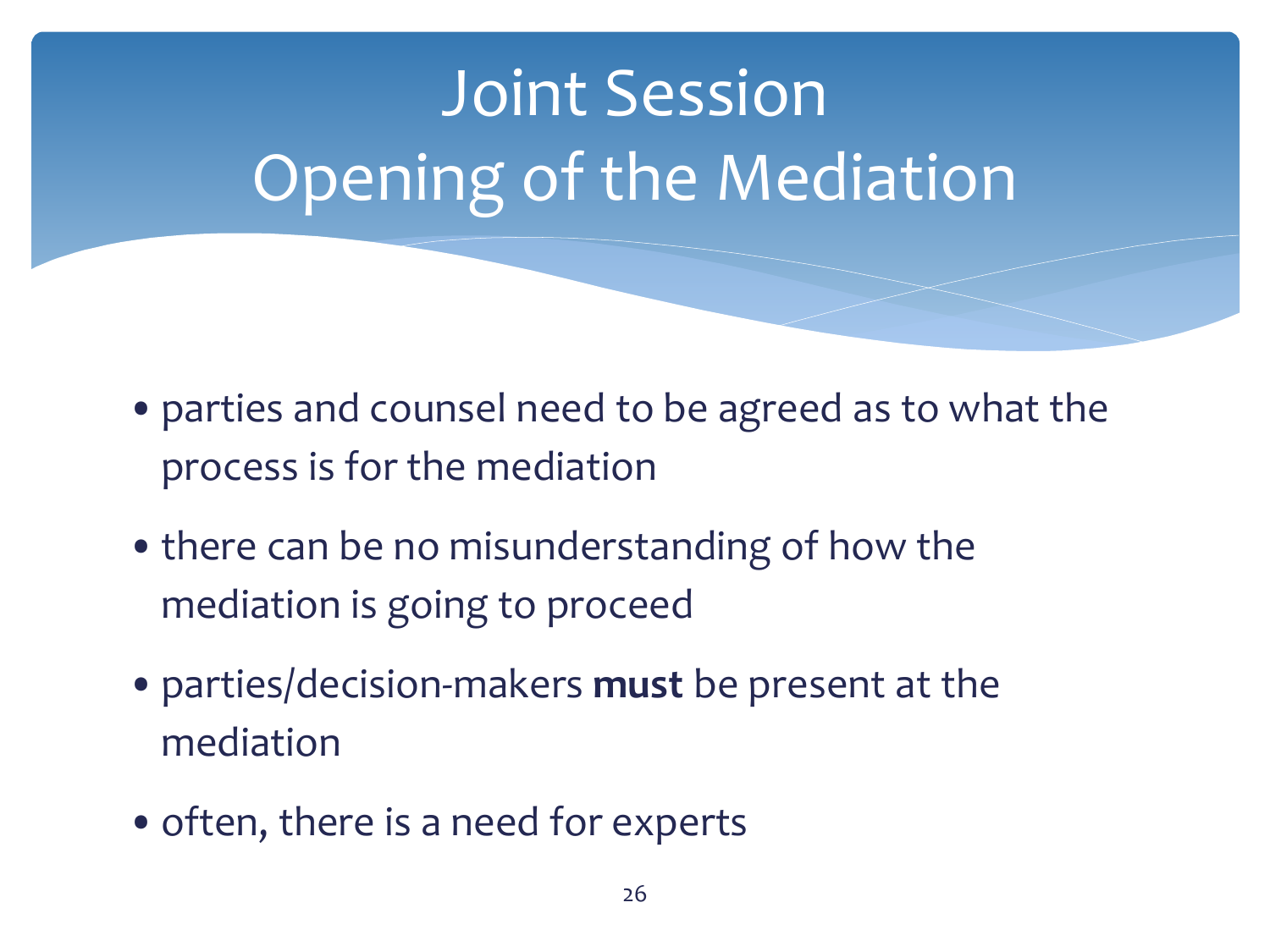- •parties and counsel need to be agreed as to what the process is for the mediation
- there can be no misunderstanding of how the mediation is going to proceed
- •parties/decision-makers **must** be present at the mediation
- often, there is a need for experts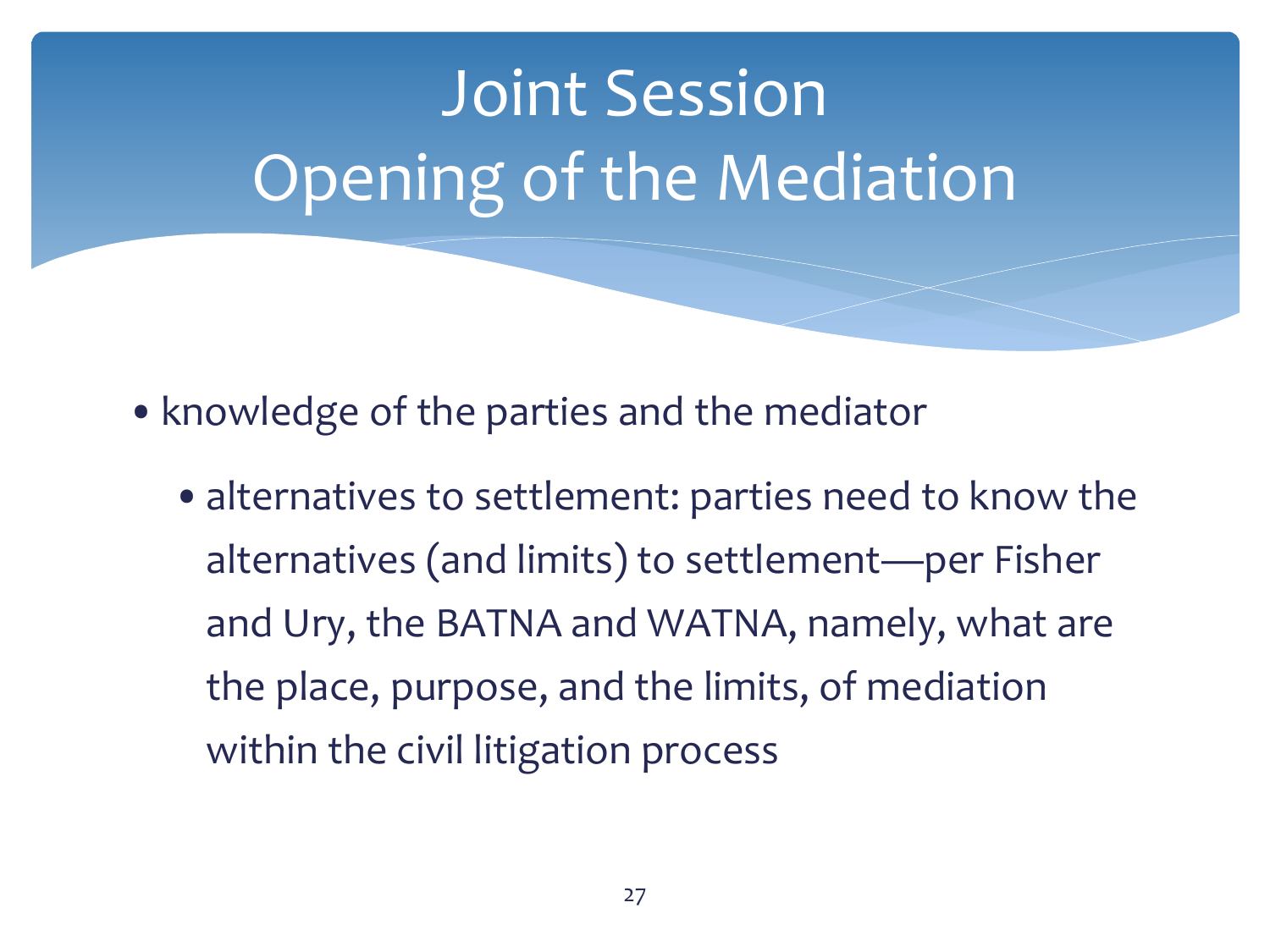- knowledge of the parties and the mediator
	- alternatives to settlement: parties need to know the alternatives (and limits) to settlement—per Fisher and Ury, the BATNA and WATNA, namely, what are the place, purpose, and the limits, of mediation within the civil litigation process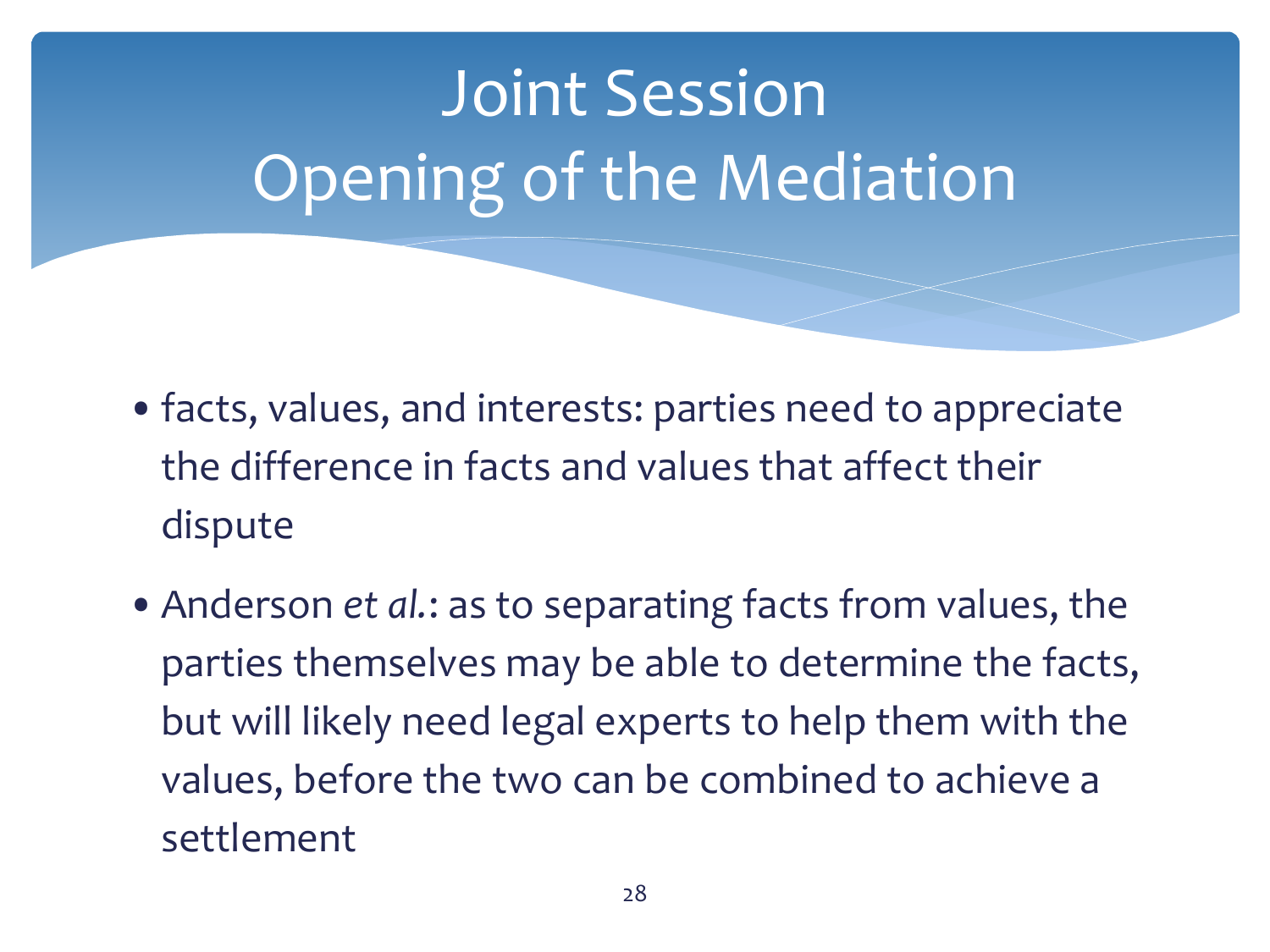

- •facts, values, and interests: parties need to appreciate the difference in facts and values that affect their dispute
- •Anderson *et al.*: as to separating facts from values, the parties themselves may be able to determine the facts, but will likely need legal experts to help them with the values, before the two can be combined to achieve a settlement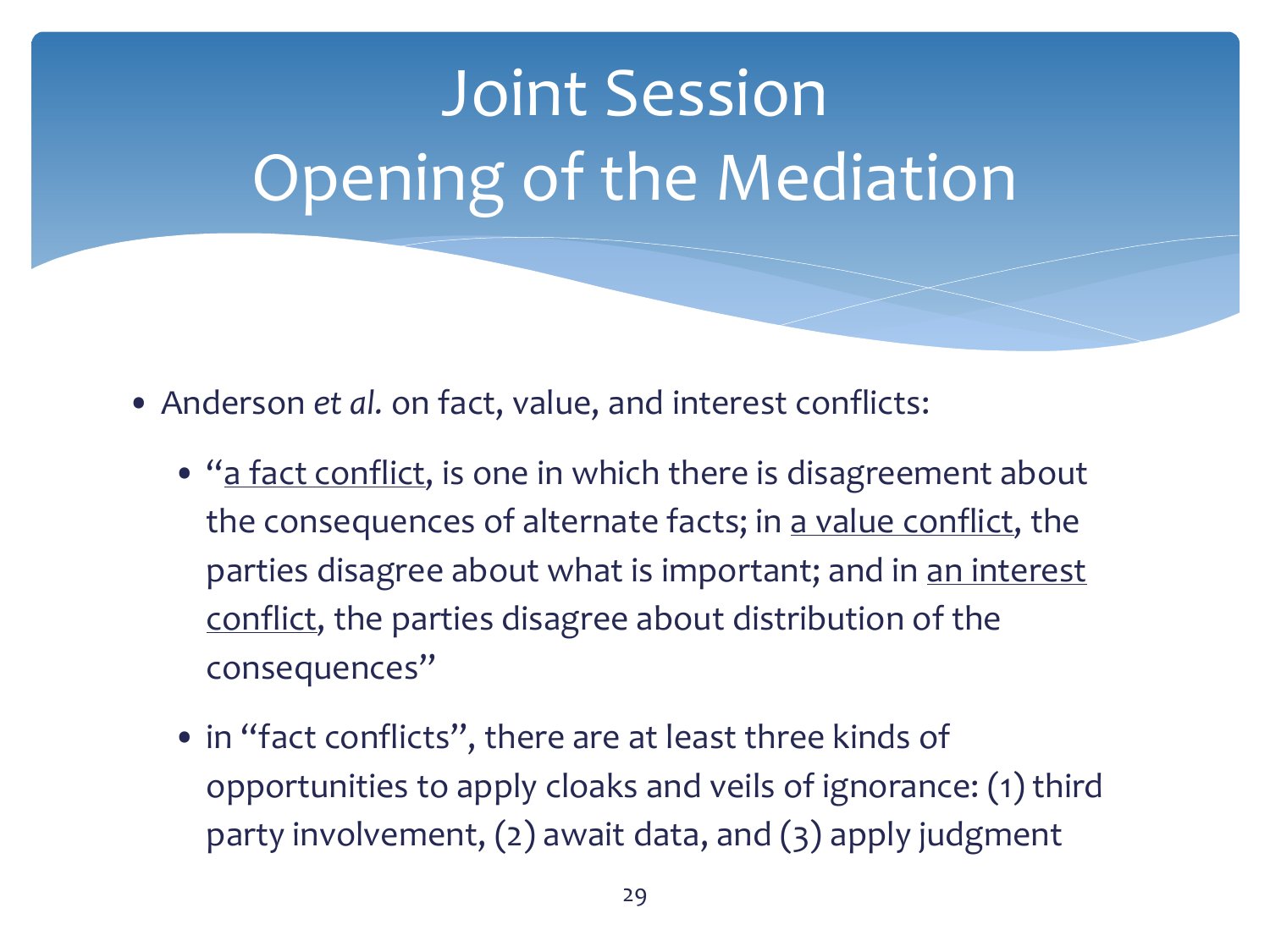

- Anderson *et al.* on fact, value, and interest conflicts:
	- "a fact conflict, is one in which there is disagreement about the consequences of alternate facts; in a value conflict, the parties disagree about what is important; and in an interest conflict, the parties disagree about distribution of the consequences"
	- in "fact conflicts", there are at least three kinds of opportunities to apply cloaks and veils of ignorance: (1) third party involvement, (2) await data, and (3) apply judgment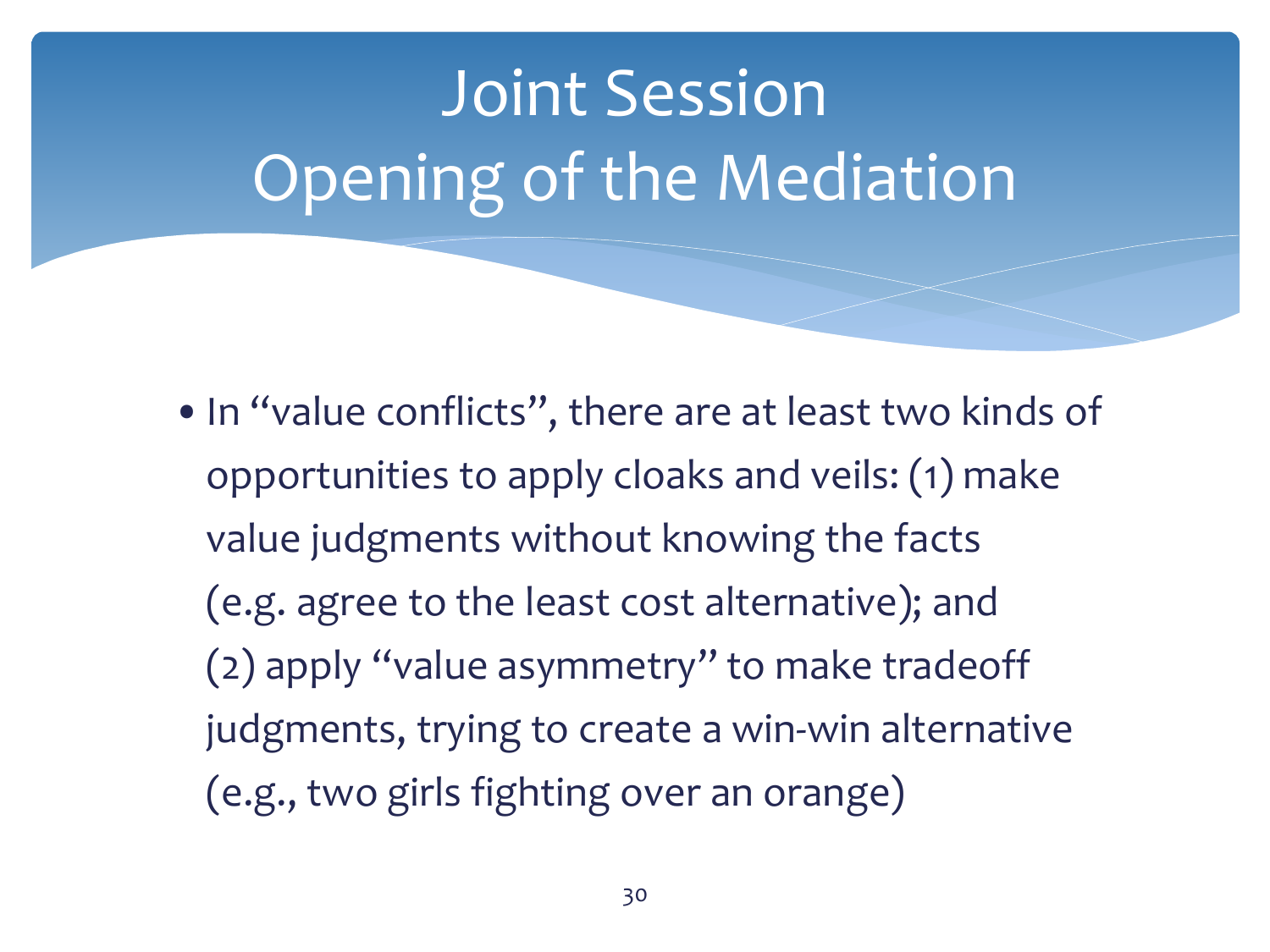•In "value conflicts", there are at least two kinds of opportunities to apply cloaks and veils: (1) make value judgments without knowing the facts (e.g. agree to the least cost alternative); and (2) apply "value asymmetry" to make tradeoff judgments, trying to create a win-win alternative (e.g., two girls fighting over an orange)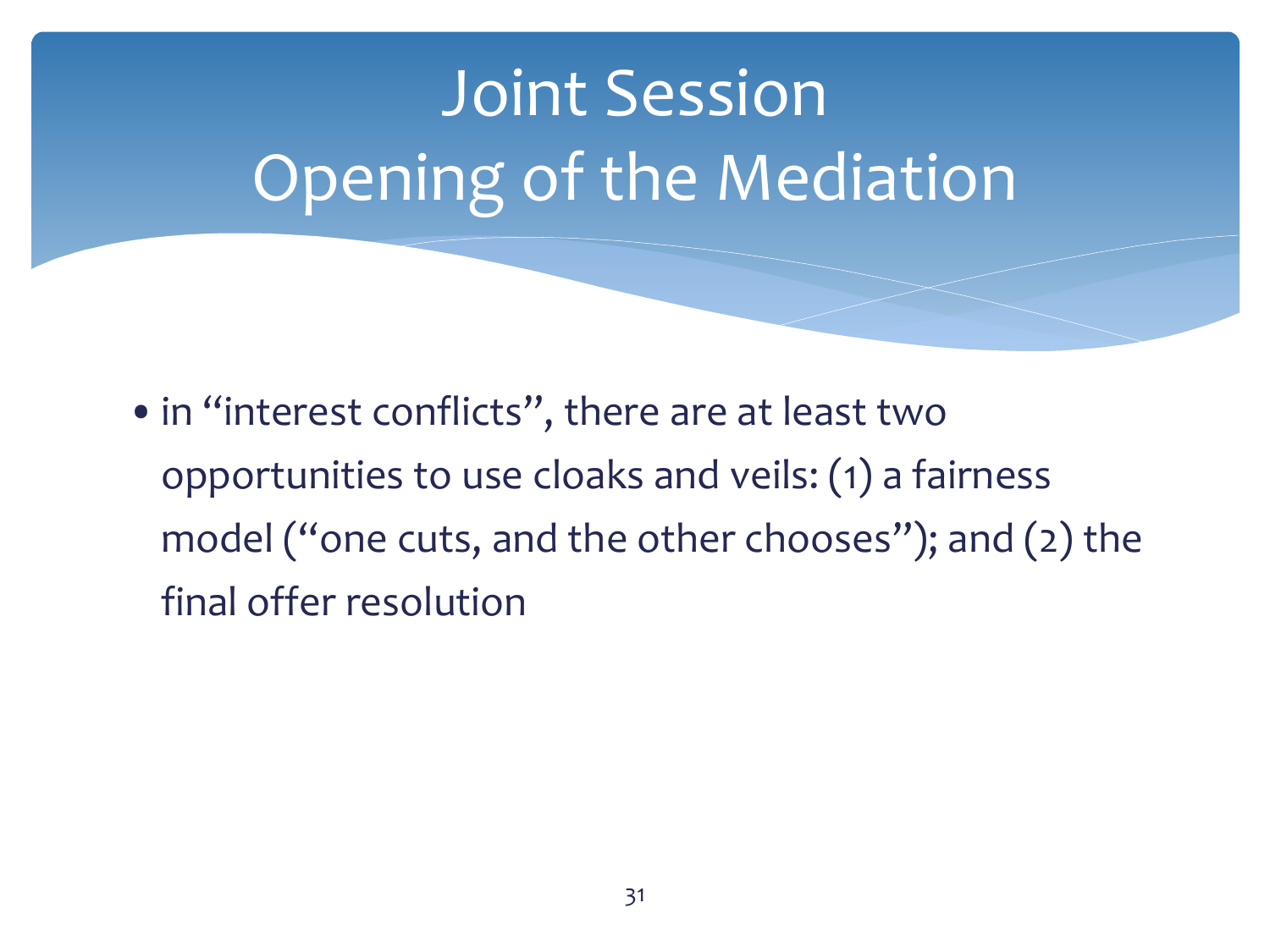•in "interest conflicts", there are at least two opportunities to use cloaks and veils: (1) a fairness model ("one cuts, and the other chooses"); and (2) the final offer resolution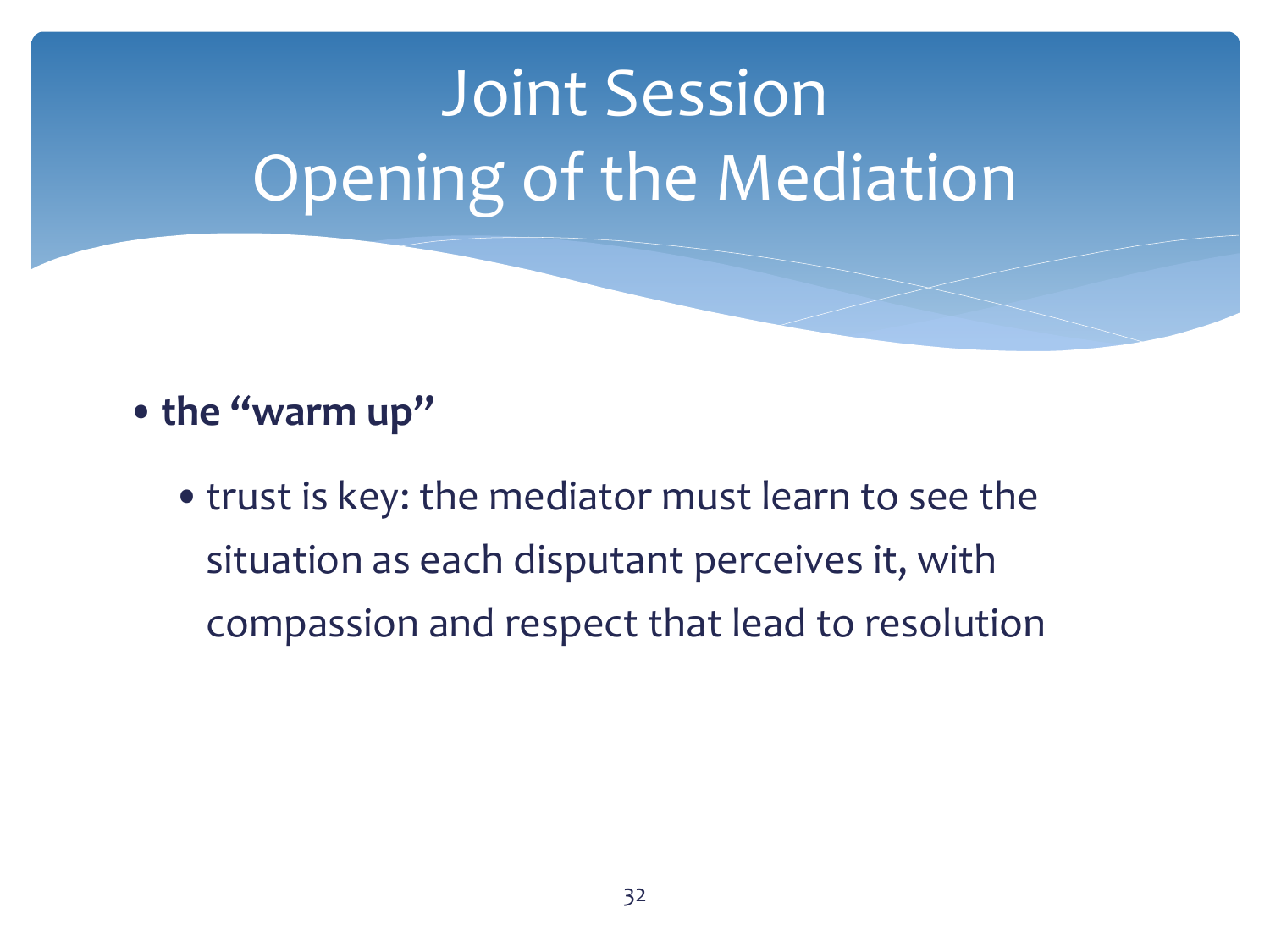#### •**the "warm up"**

•trust is key: the mediator must learn to see the situation as each disputant perceives it, with compassion and respect that lead to resolution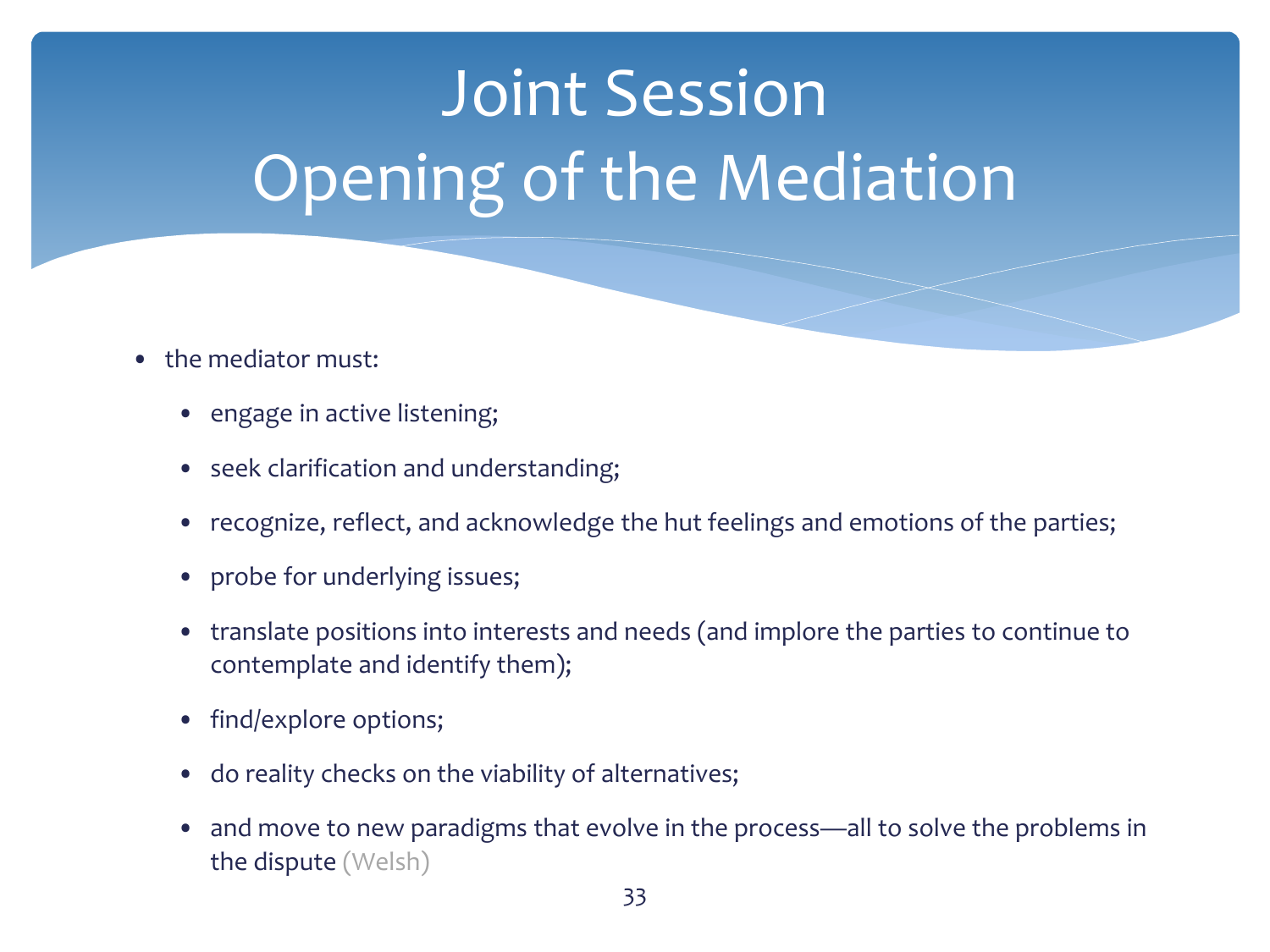- the mediator must:
	- engage in active listening;
	- seek clarification and understanding;
	- recognize, reflect, and acknowledge the hut feelings and emotions of the parties;
	- probe for underlying issues;
	- translate positions into interests and needs (and implore the parties to continue to contemplate and identify them);
	- find/explore options;
	- do reality checks on the viability of alternatives;
	- and move to new paradigms that evolve in the process—all to solve the problems in the dispute (Welsh)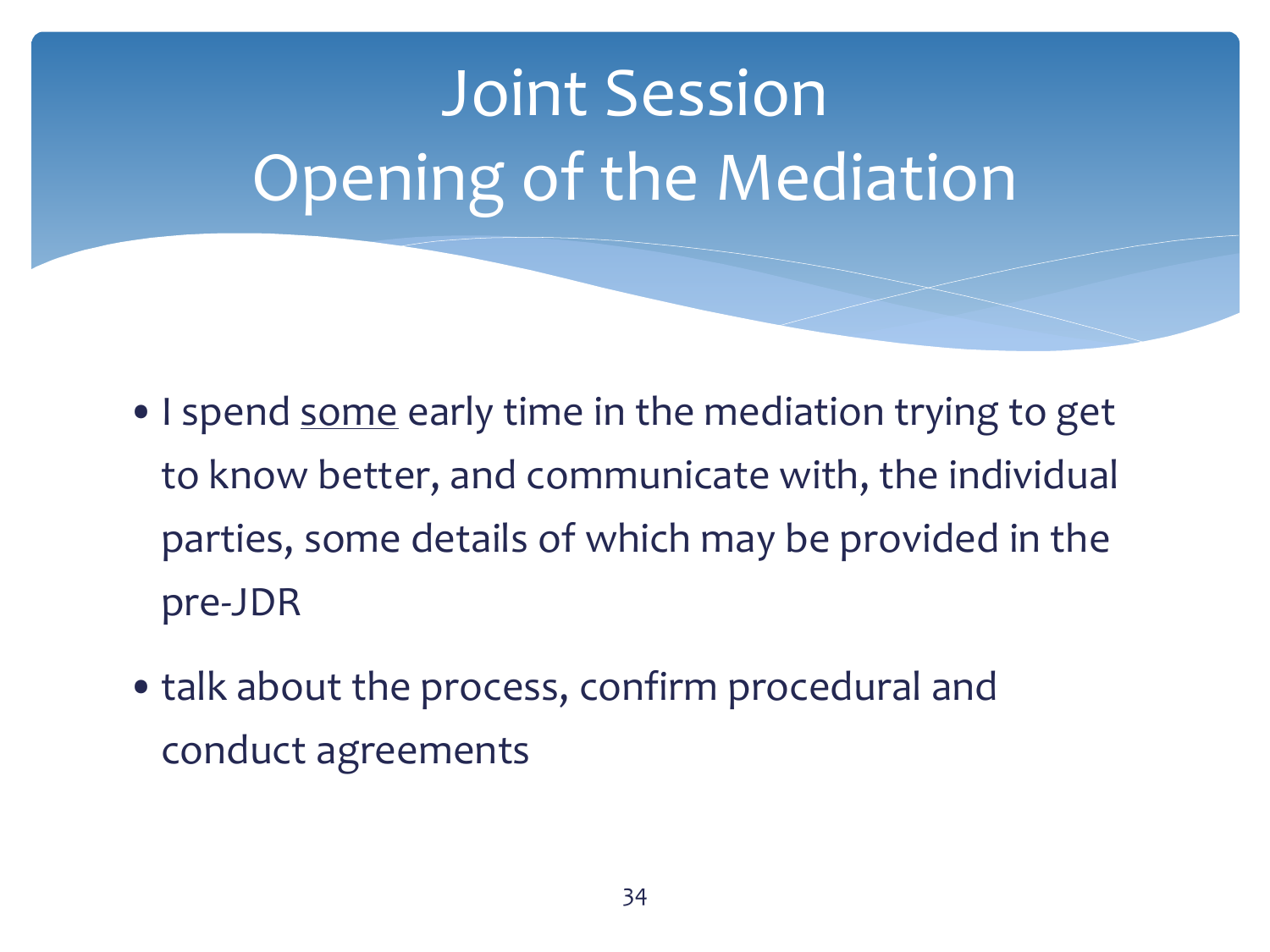

- I spend some early time in the mediation trying to get to know better, and communicate with, the individual parties, some details of which may be provided in the pre-JDR
- •talk about the process, confirm procedural and conduct agreements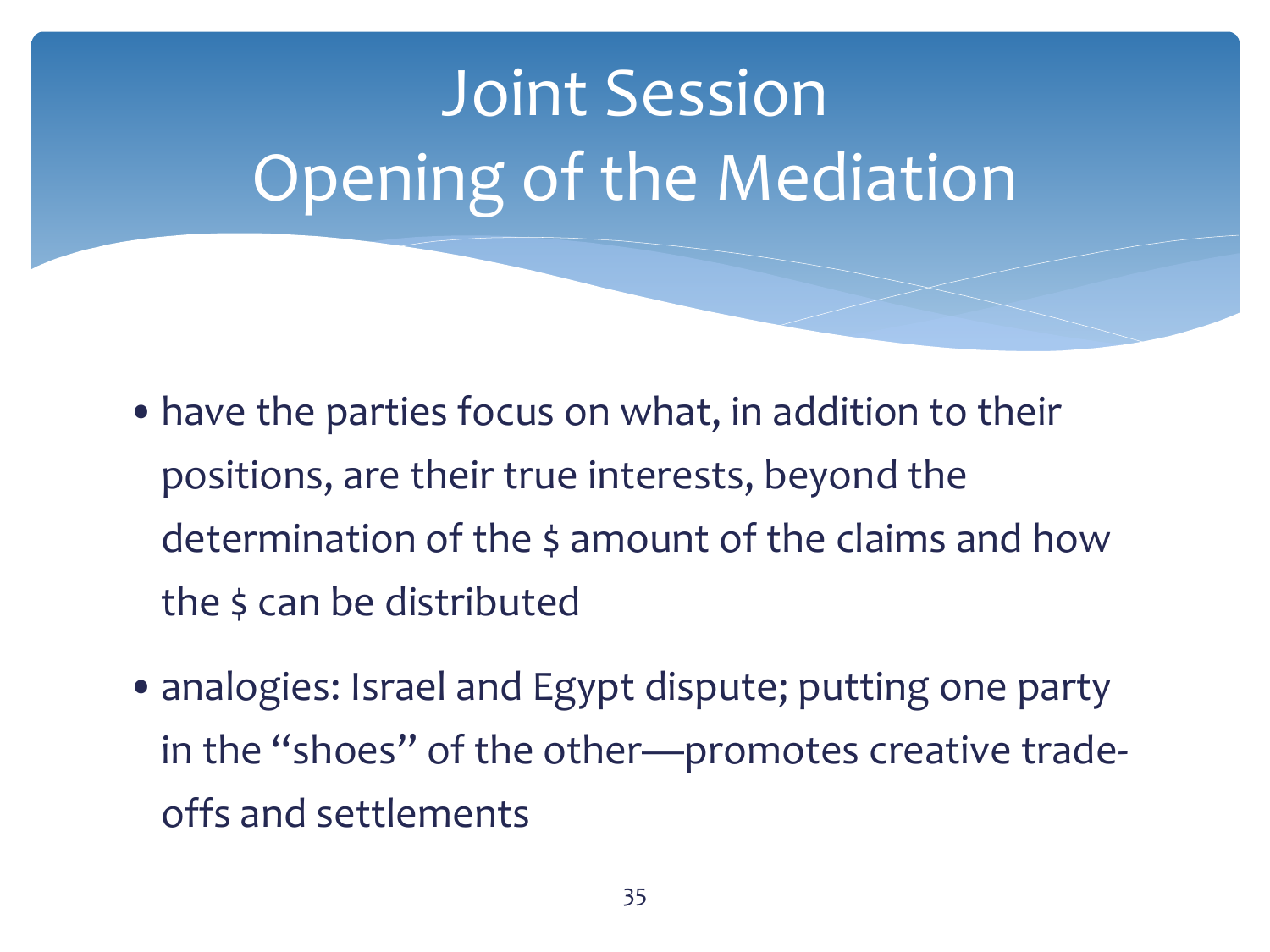- •have the parties focus on what, in addition to their positions, are their true interests, beyond the determination of the \$ amount of the claims and how the \$ can be distributed
- analogies: Israel and Egypt dispute; putting one party in the "shoes" of the other—promotes creative tradeoffs and settlements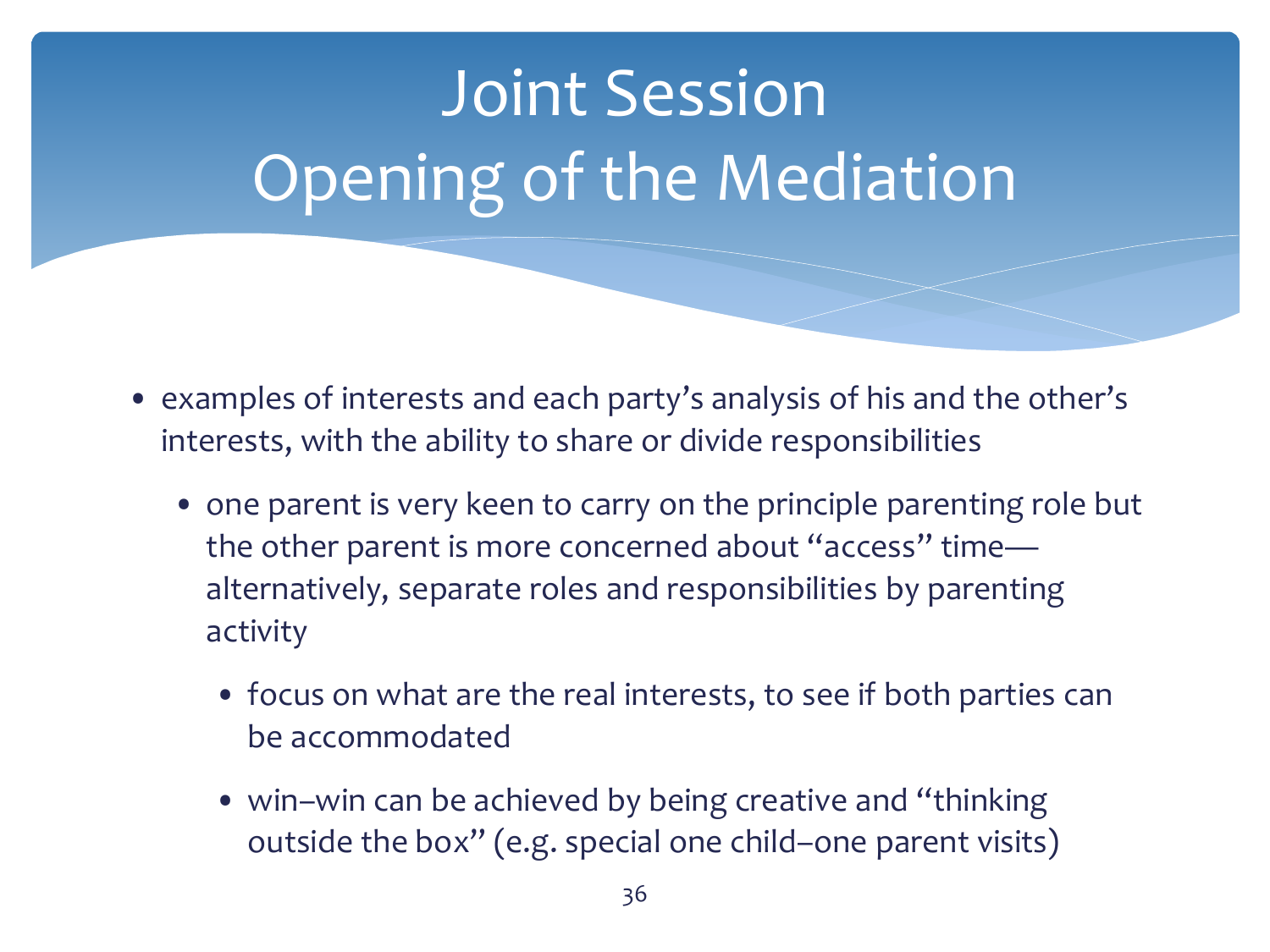- examples of interests and each party's analysis of his and the other's interests, with the ability to share or divide responsibilities
	- one parent is very keen to carry on the principle parenting role but the other parent is more concerned about "access" time alternatively, separate roles and responsibilities by parenting activity
		- focus on what are the real interests, to see if both parties can be accommodated
		- win–win can be achieved by being creative and "thinking" outside the box" (e.g. special one child–one parent visits)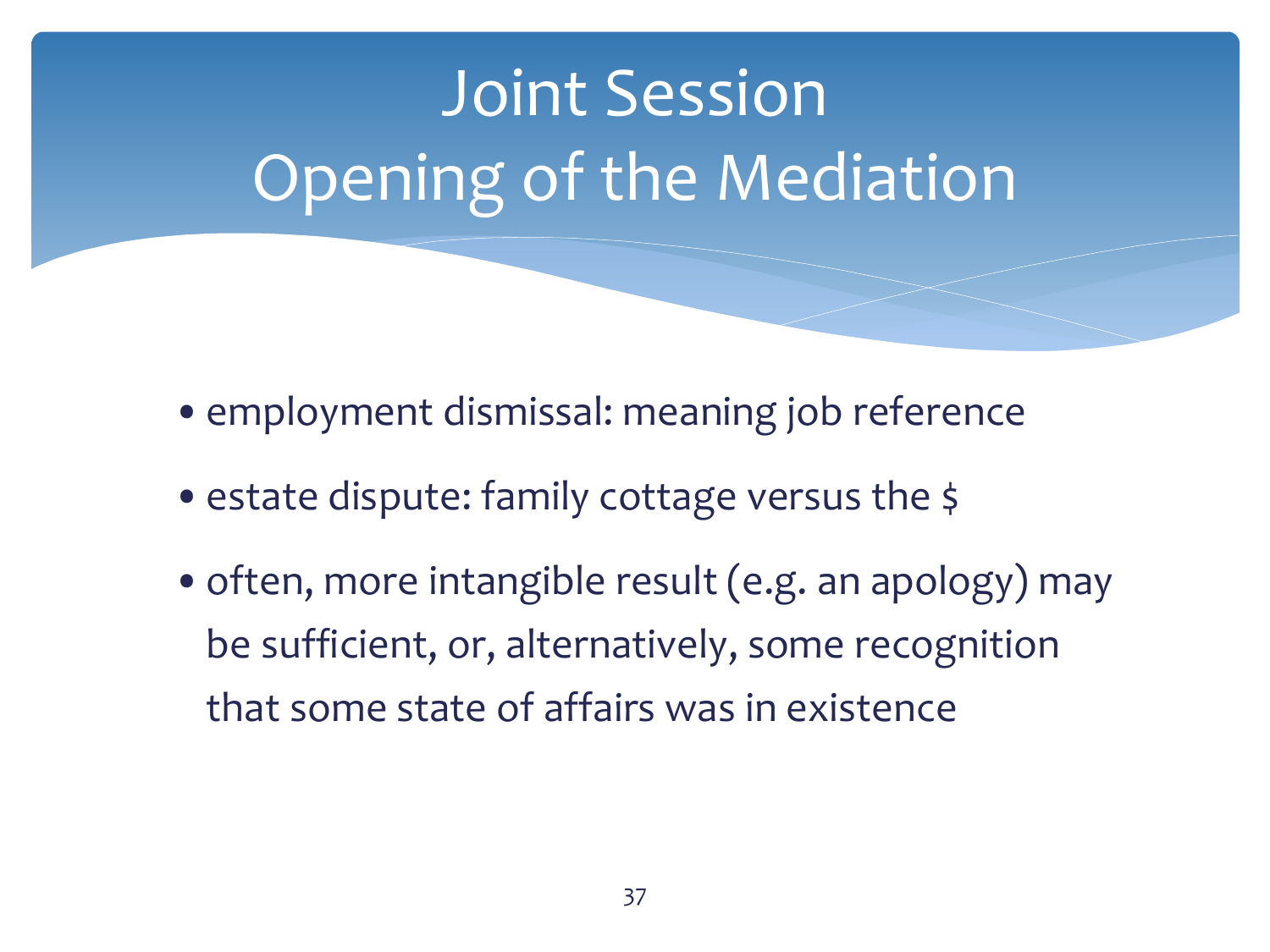- employment dismissal: meaning job reference
- estate dispute: family cottage versus the \$
- often, more intangible result (e.g. an apology) may be sufficient, or, alternatively, some recognition that some state of affairs was in existence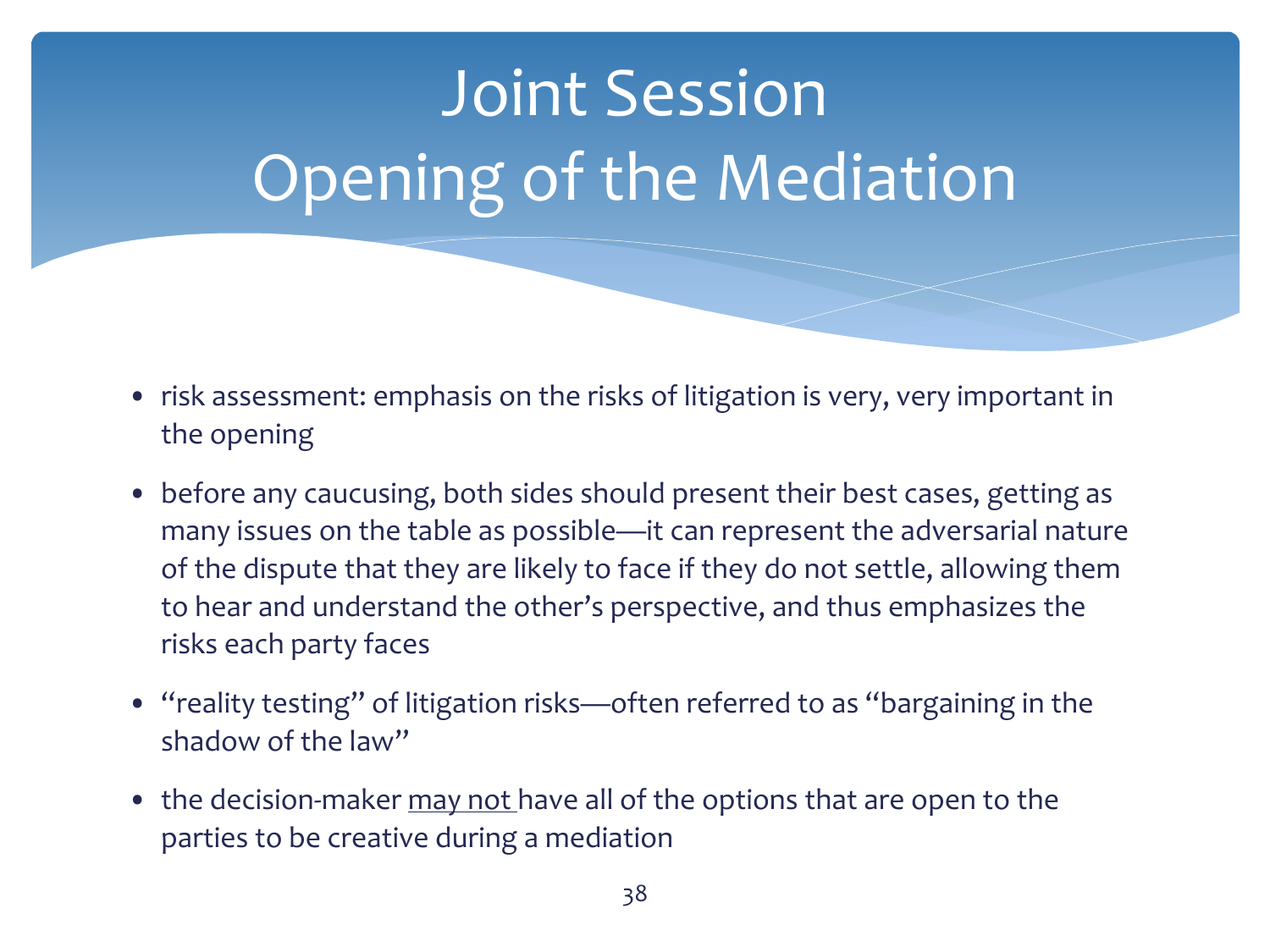- risk assessment: emphasis on the risks of litigation is very, very important in the opening
- before any caucusing, both sides should present their best cases, getting as many issues on the table as possible—it can represent the adversarial nature of the dispute that they are likely to face if they do not settle, allowing them to hear and understand the other's perspective, and thus emphasizes the risks each party faces
- "reality testing" of litigation risks—often referred to as "bargaining in the shadow of the law"
- the decision-maker may not have all of the options that are open to the parties to be creative during a mediation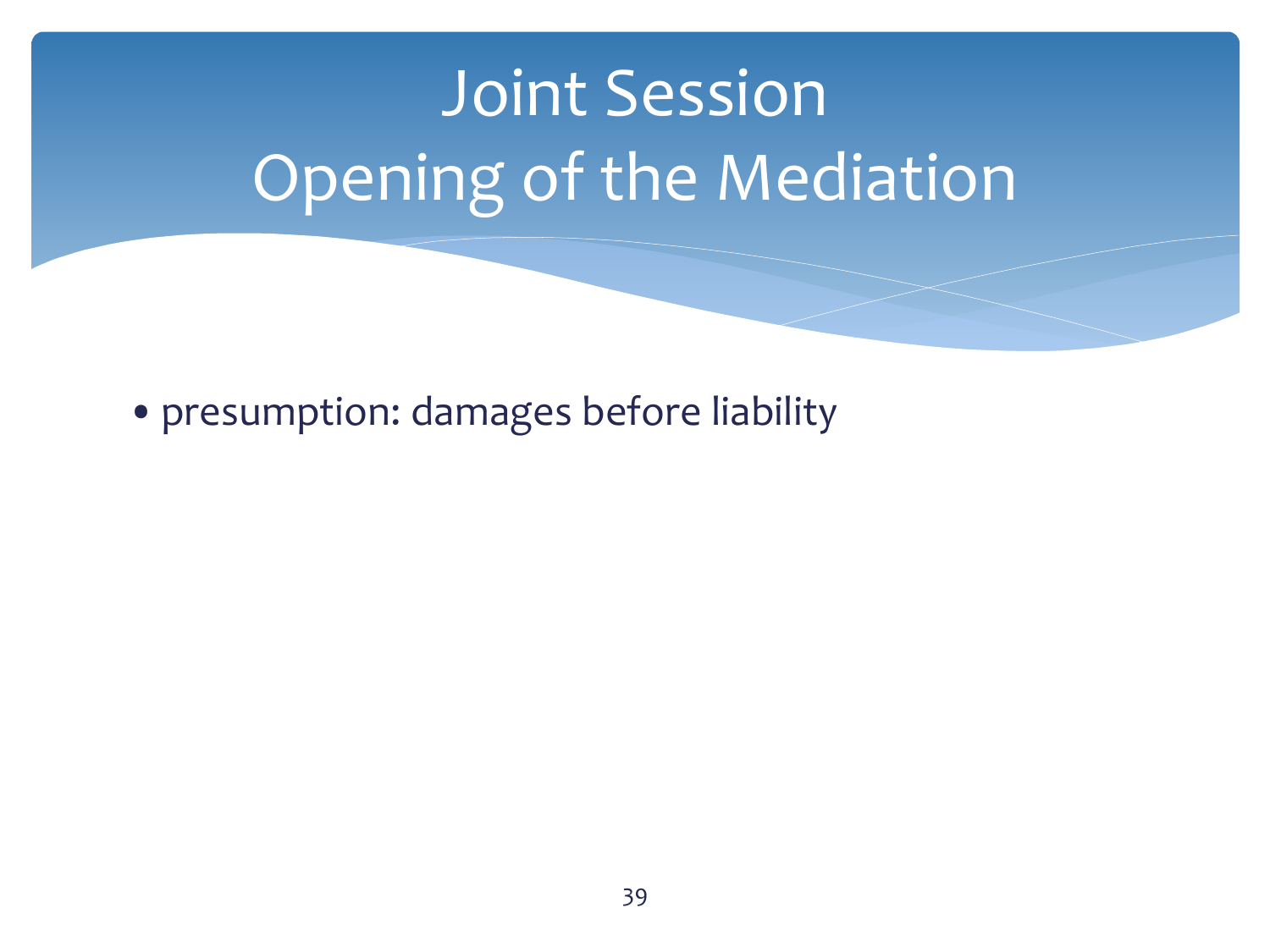•presumption: damages before liability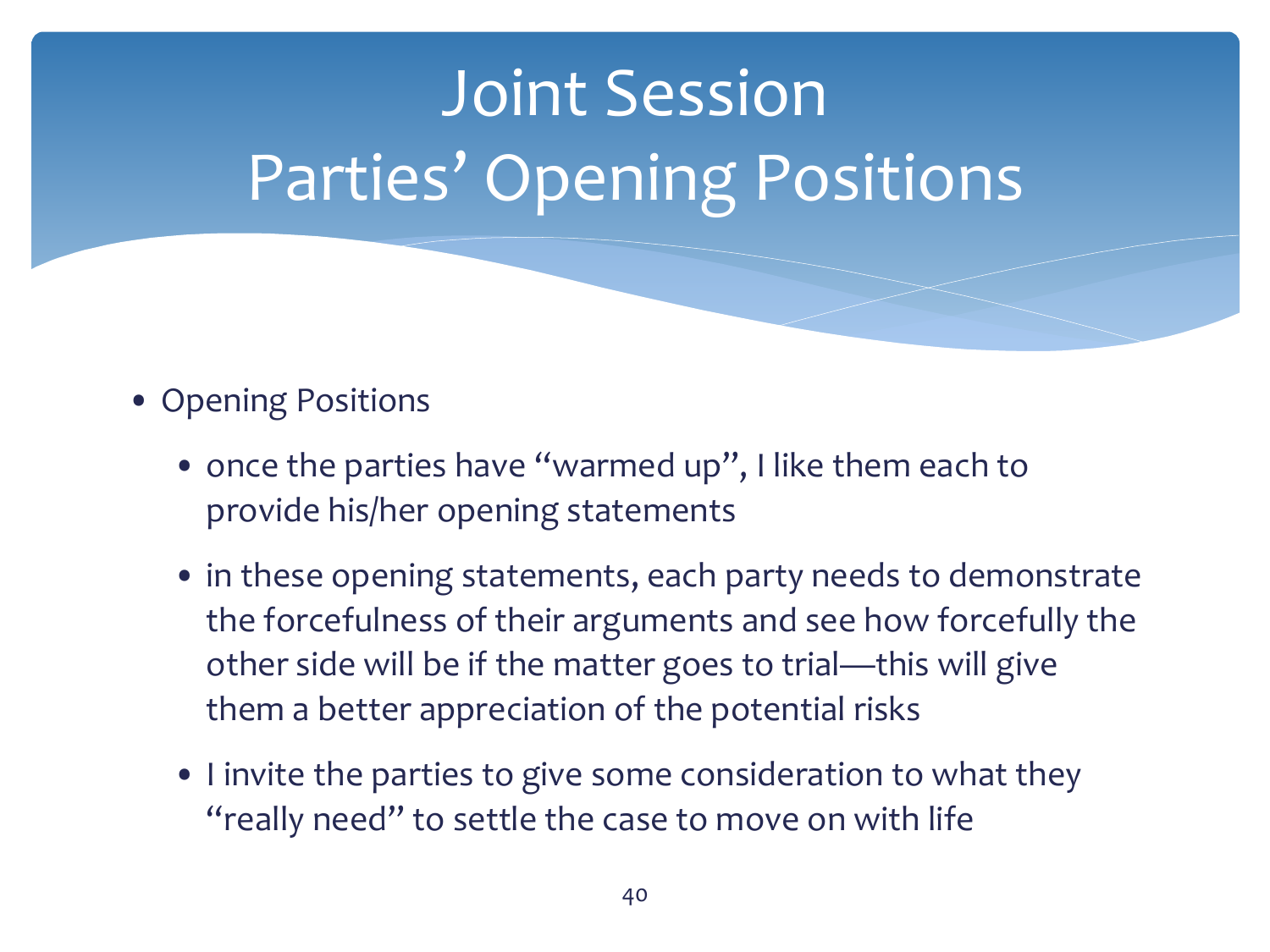

- Opening Positions
	- once the parties have "warmed up", I like them each to provide his/her opening statements
	- in these opening statements, each party needs to demonstrate the forcefulness of their arguments and see how forcefully the other side will be if the matter goes to trial—this will give them a better appreciation of the potential risks
	- I invite the parties to give some consideration to what they "really need" to settle the case to move on with life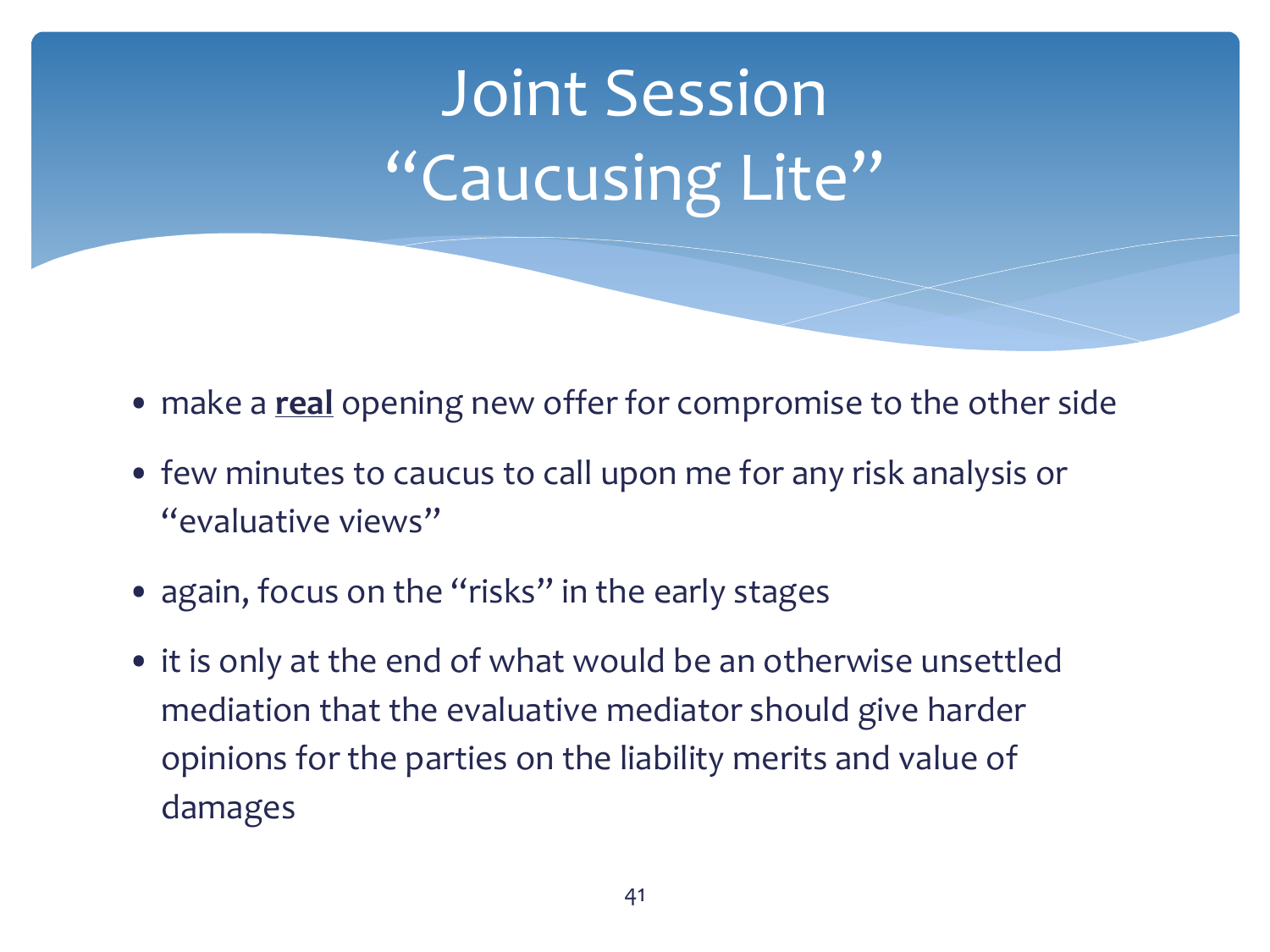## Joint Session "Caucusing Lite"

- make a **real** opening new offer for compromise to the other side
- few minutes to caucus to call upon me for any risk analysis or "evaluative views"
- again, focus on the "risks" in the early stages
- it is only at the end of what would be an otherwise unsettled mediation that the evaluative mediator should give harder opinions for the parties on the liability merits and value of damages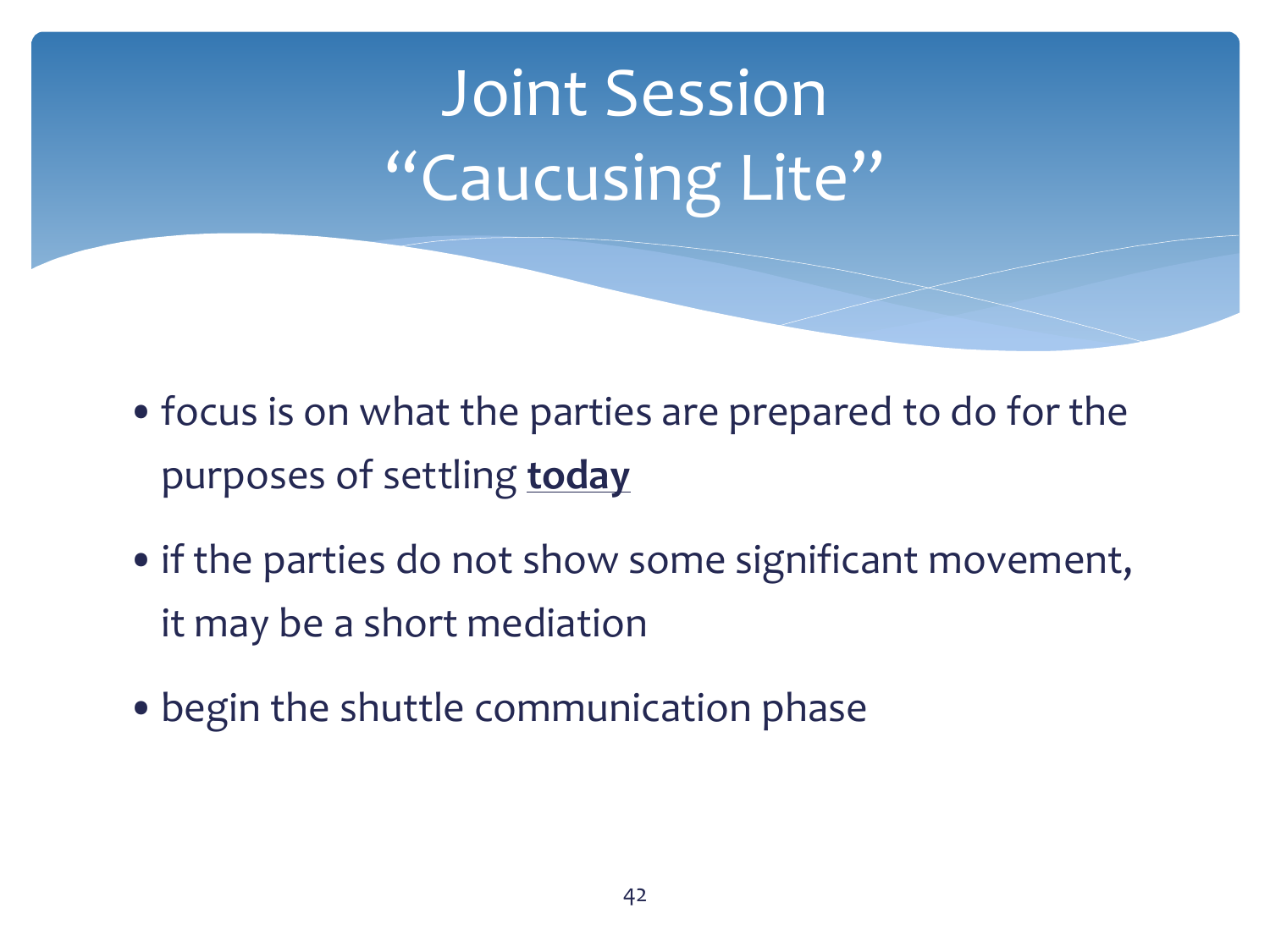## Joint Session "Caucusing Lite"

- •focus is on what the parties are prepared to do for the purposes of settling **today**
- if the parties do not show some significant movement, it may be a short mediation
- •begin the shuttle communication phase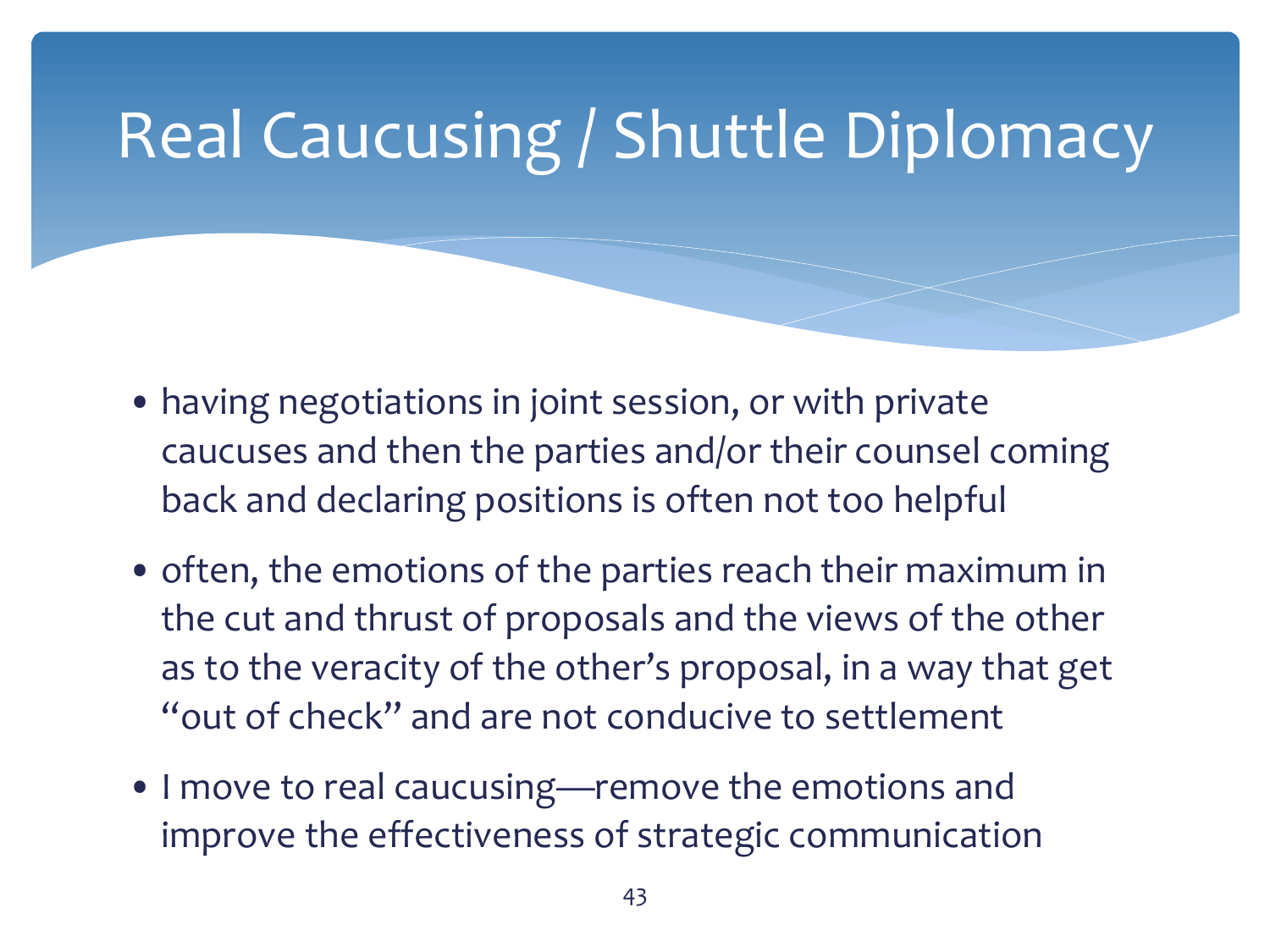### Real Caucusing / Shuttle Diplomacy

- having negotiations in joint session, or with private caucuses and then the parties and/or their counsel coming back and declaring positions is often not too helpful
- often, the emotions of the parties reach their maximum in the cut and thrust of proposals and the views of the other as to the veracity of the other's proposal, in a way that get "out of check" and are not conducive to settlement
- I move to real caucusing—remove the emotions and improve the effectiveness of strategic communication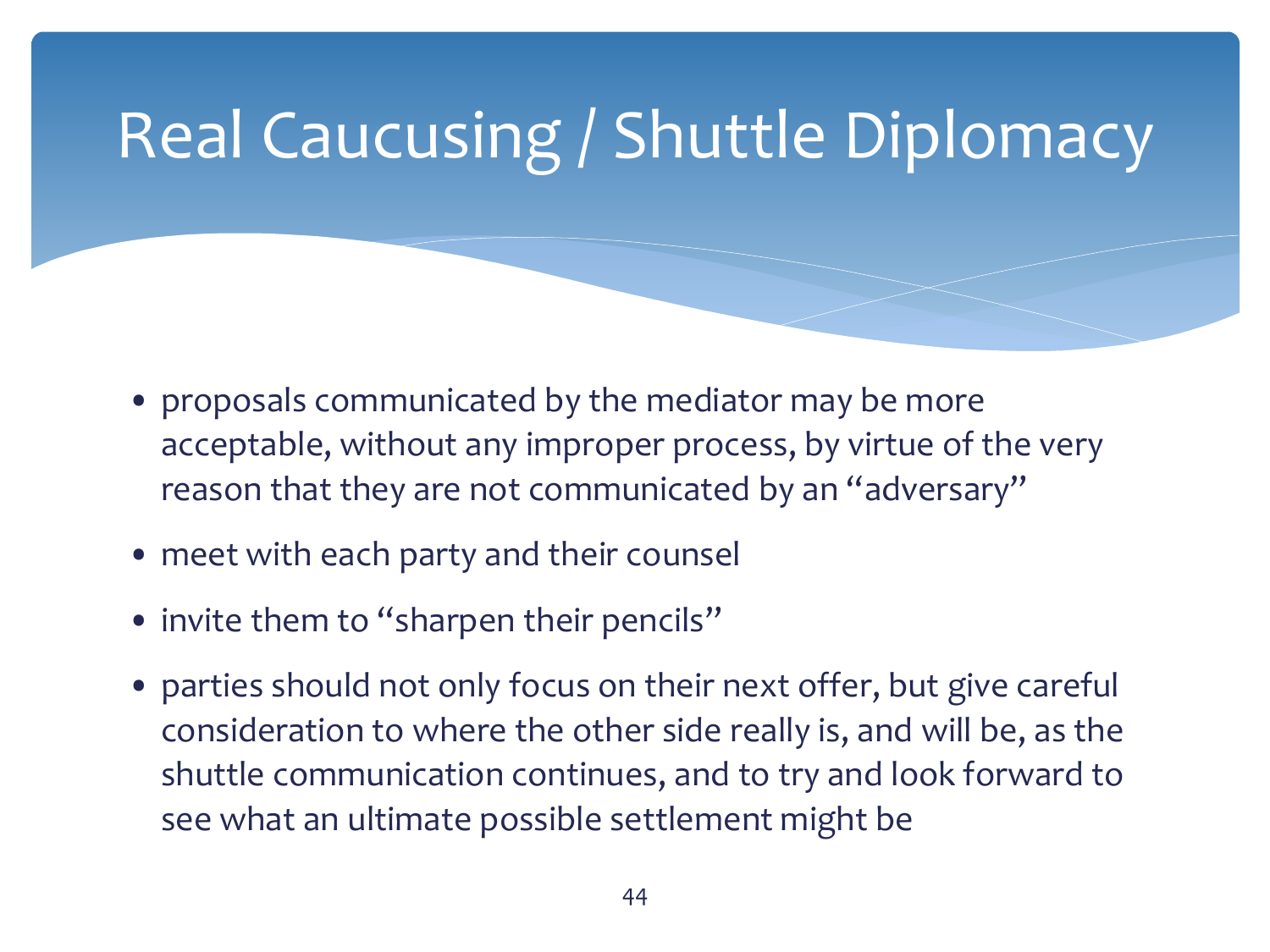### Real Caucusing / Shuttle Diplomacy

- proposals communicated by the mediator may be more acceptable, without any improper process, by virtue of the very reason that they are not communicated by an "adversary"
- meet with each party and their counsel
- invite them to "sharpen their pencils"
- parties should not only focus on their next offer, but give careful consideration to where the other side really is, and will be, as the shuttle communication continues, and to try and look forward to see what an ultimate possible settlement might be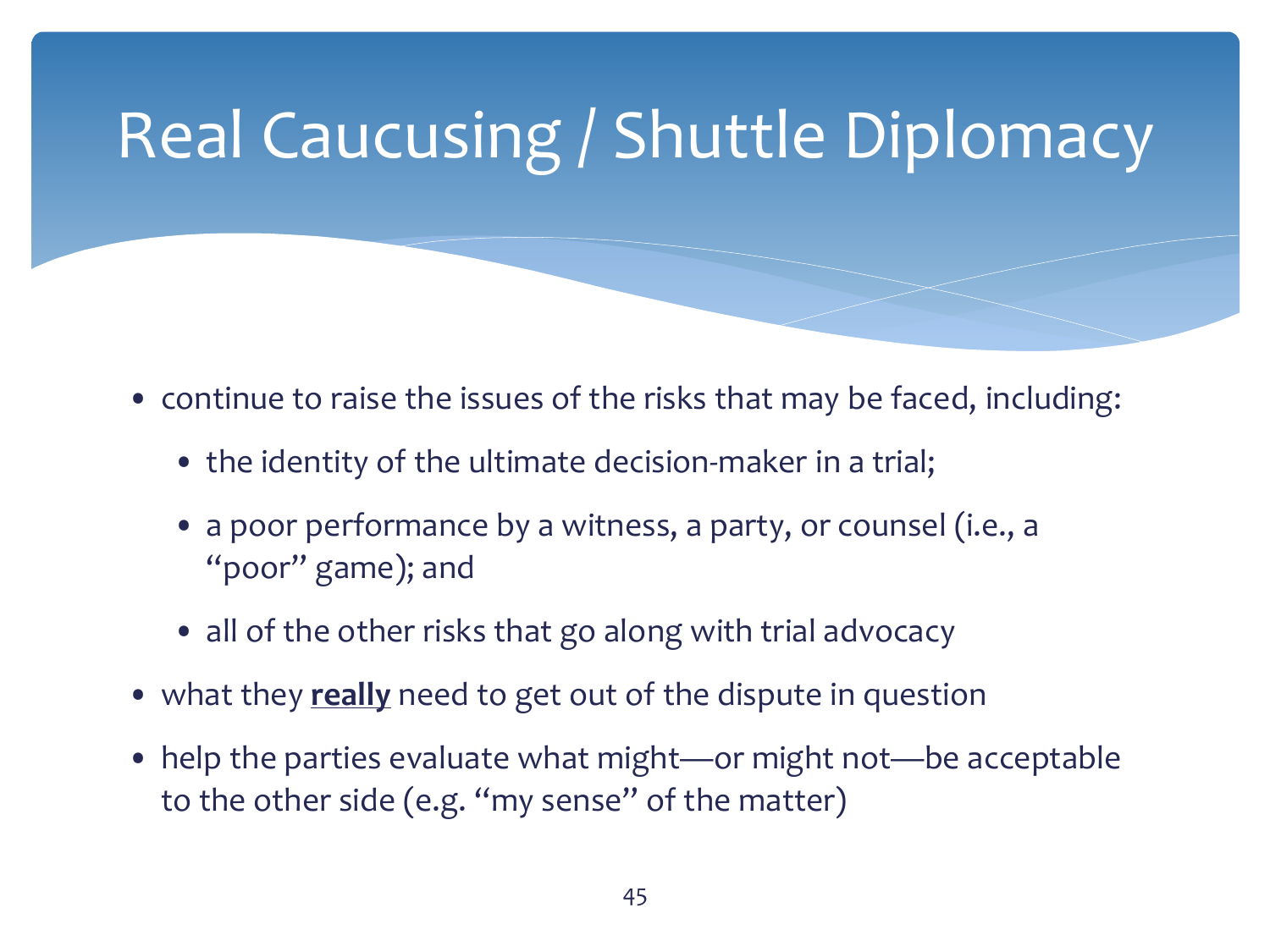## Real Caucusing / Shuttle Diplomacy

- continue to raise the issues of the risks that may be faced, including:
	- the identity of the ultimate decision-maker in a trial;
	- a poor performance by a witness, a party, or counsel (i.e., a "poor" game); and
	- all of the other risks that go along with trial advocacy
- what they **really** need to get out of the dispute in question
- help the parties evaluate what might—or might not—be acceptable to the other side (e.g. "my sense" of the matter)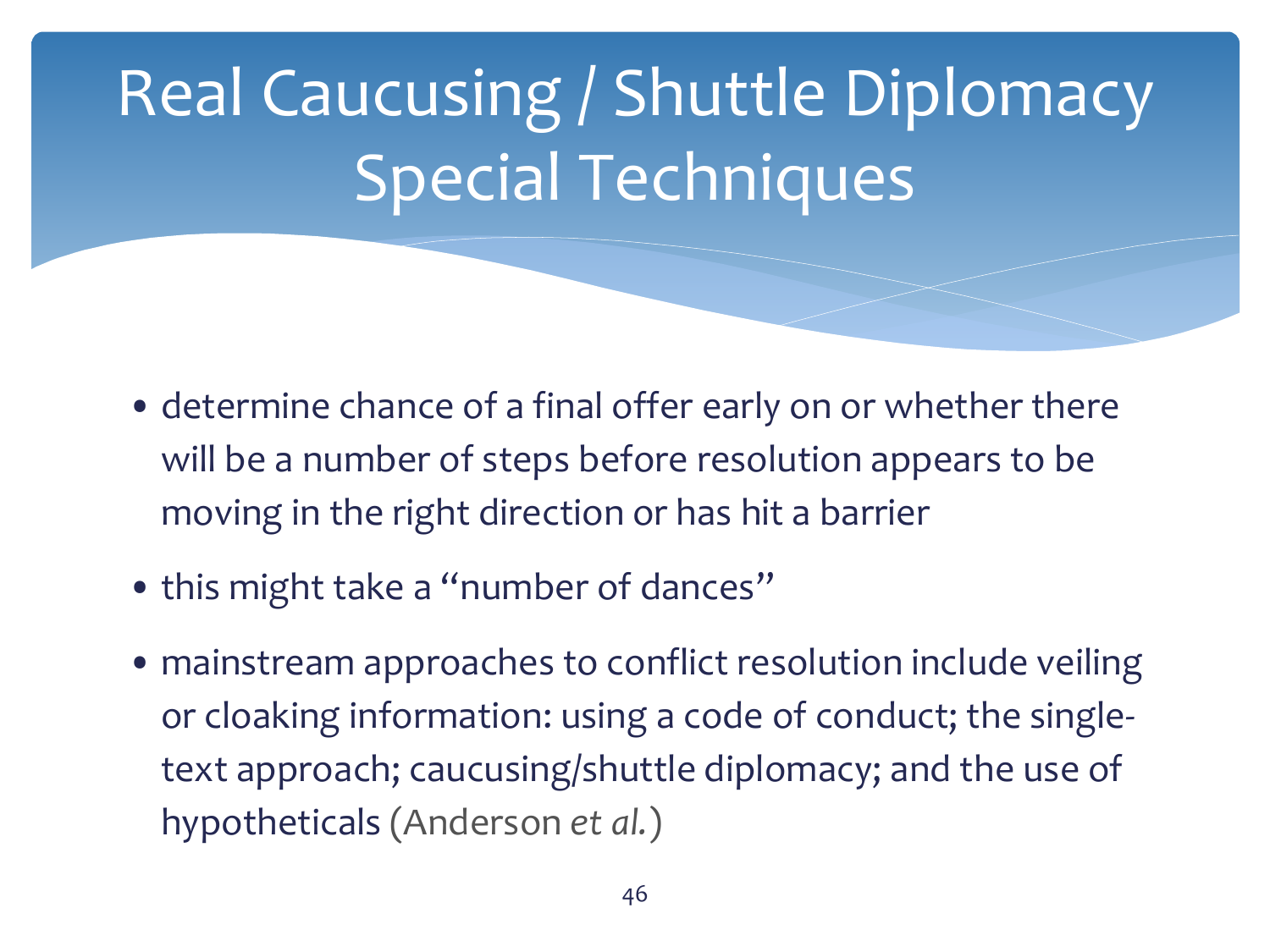## Real Caucusing / Shuttle Diplomacy Special Techniques

- determine chance of a final offer early on or whether there will be a number of steps before resolution appears to be moving in the right direction or has hit a barrier
- this might take a "number of dances"
- mainstream approaches to conflict resolution include veiling or cloaking information: using a code of conduct; the singletext approach; caucusing/shuttle diplomacy; and the use of hypotheticals (Anderson *et al.*)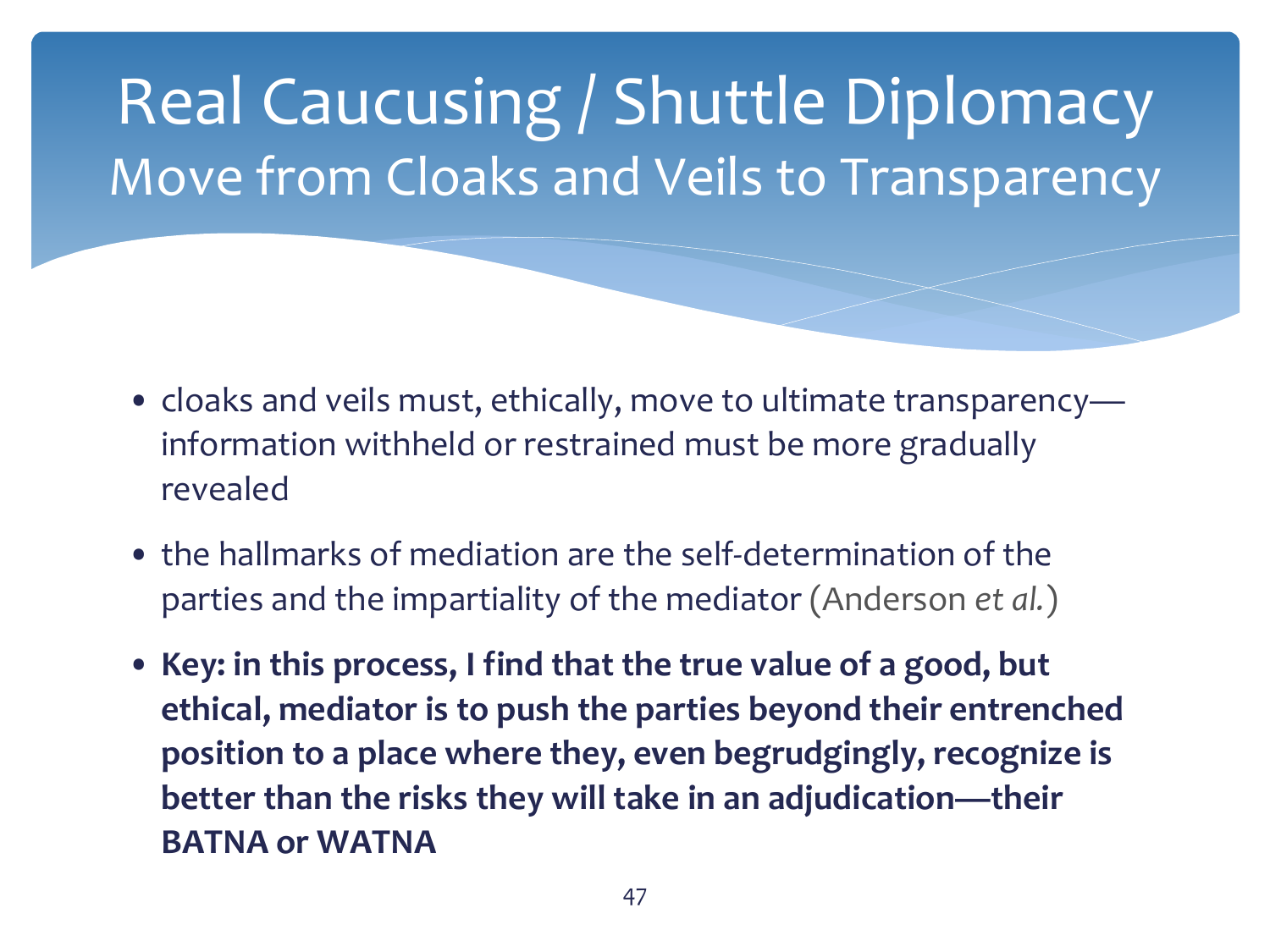Real Caucusing / Shuttle Diplomacy Move from Cloaks and Veils to Transparency

- cloaks and veils must, ethically, move to ultimate transparency information withheld or restrained must be more gradually revealed
- the hallmarks of mediation are the self-determination of the parties and the impartiality of the mediator (Anderson *et al.*)
- **Key: in this process, I find that the true value of a good, but ethical, mediator is to push the parties beyond their entrenched position to a place where they, even begrudgingly, recognize is better than the risks they will take in an adjudication—their BATNA or WATNA**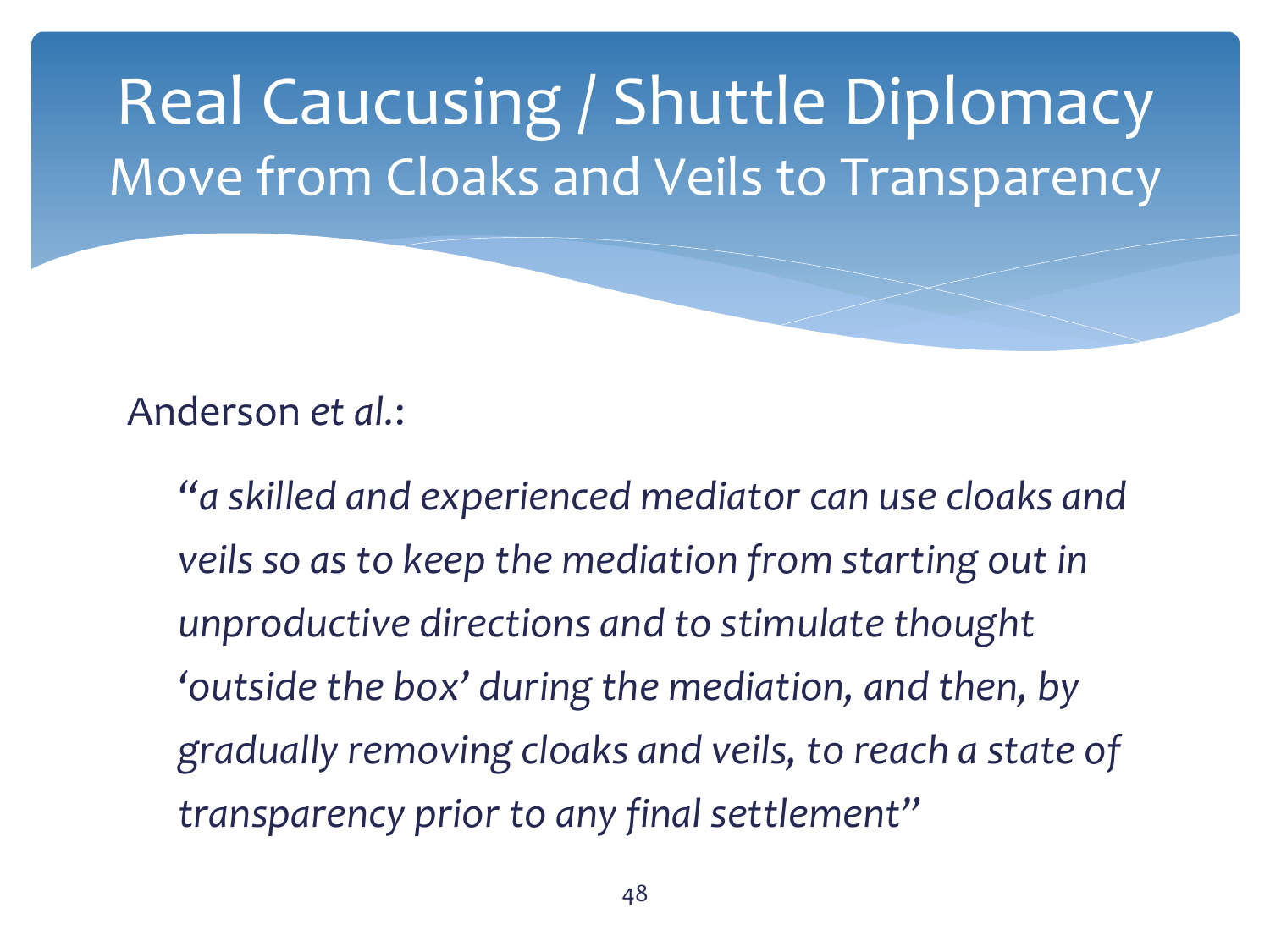

*"a skilled and experienced mediator can use cloaks and veils so as to keep the mediation from starting out in unproductive directions and to stimulate thought 'outside the box' during the mediation, and then, by gradually removing cloaks and veils, to reach a state of transparency prior to any final settlement"*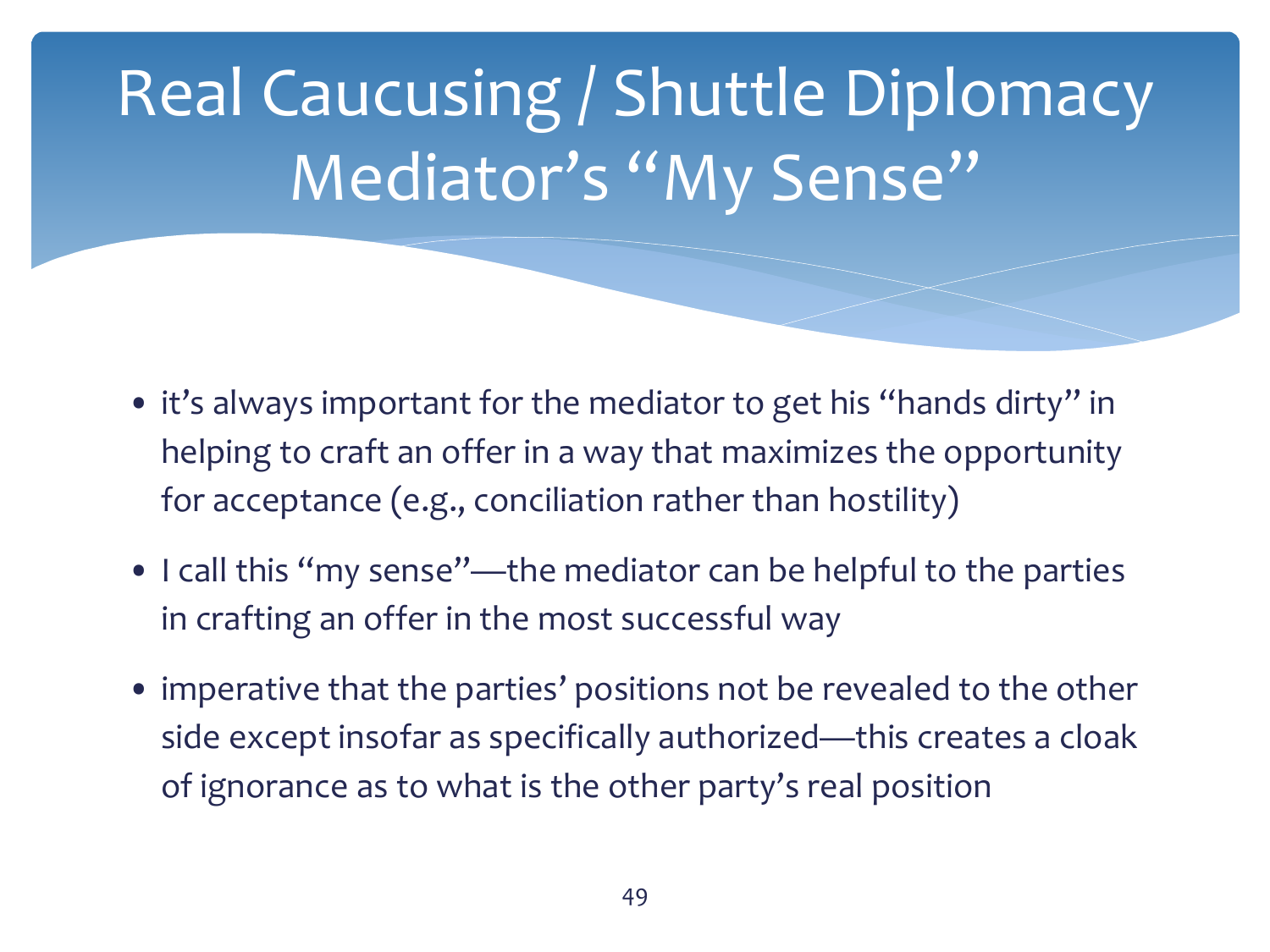Real Caucusing / Shuttle Diplomacy Mediator's "My Sense"

- it's always important for the mediator to get his "hands dirty" in helping to craft an offer in a way that maximizes the opportunity for acceptance (e.g., conciliation rather than hostility)
- I call this "my sense"—the mediator can be helpful to the parties in crafting an offer in the most successful way
- imperative that the parties' positions not be revealed to the other side except insofar as specifically authorized—this creates a cloak of ignorance as to what is the other party's real position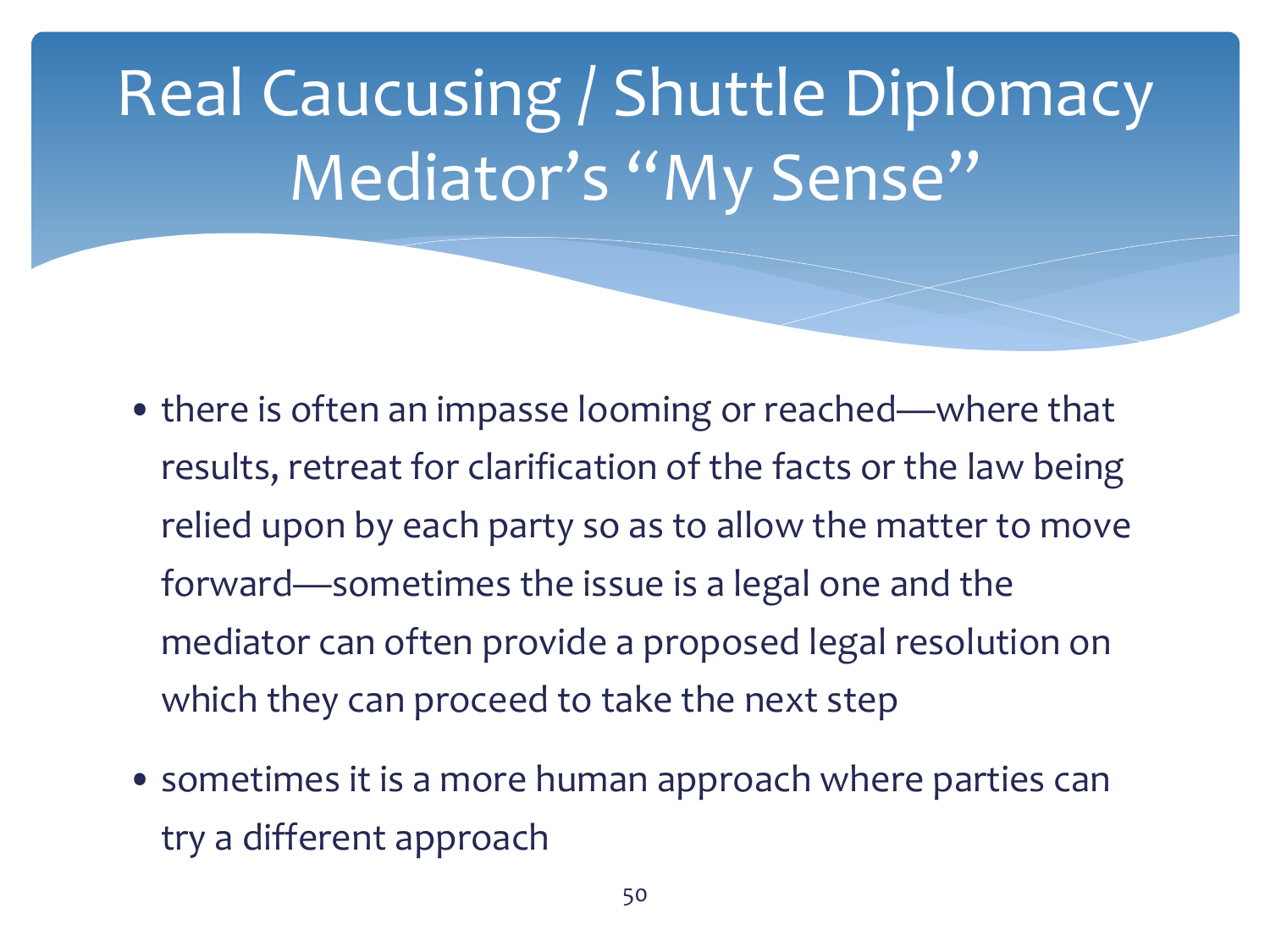Real Caucusing / Shuttle Diplomacy Mediator's "My Sense"

- there is often an impasse looming or reached—where that results, retreat for clarification of the facts or the law being relied upon by each party so as to allow the matter to move forward—sometimes the issue is a legal one and the mediator can often provide a proposed legal resolution on which they can proceed to take the next step
- sometimes it is a more human approach where parties can try a different approach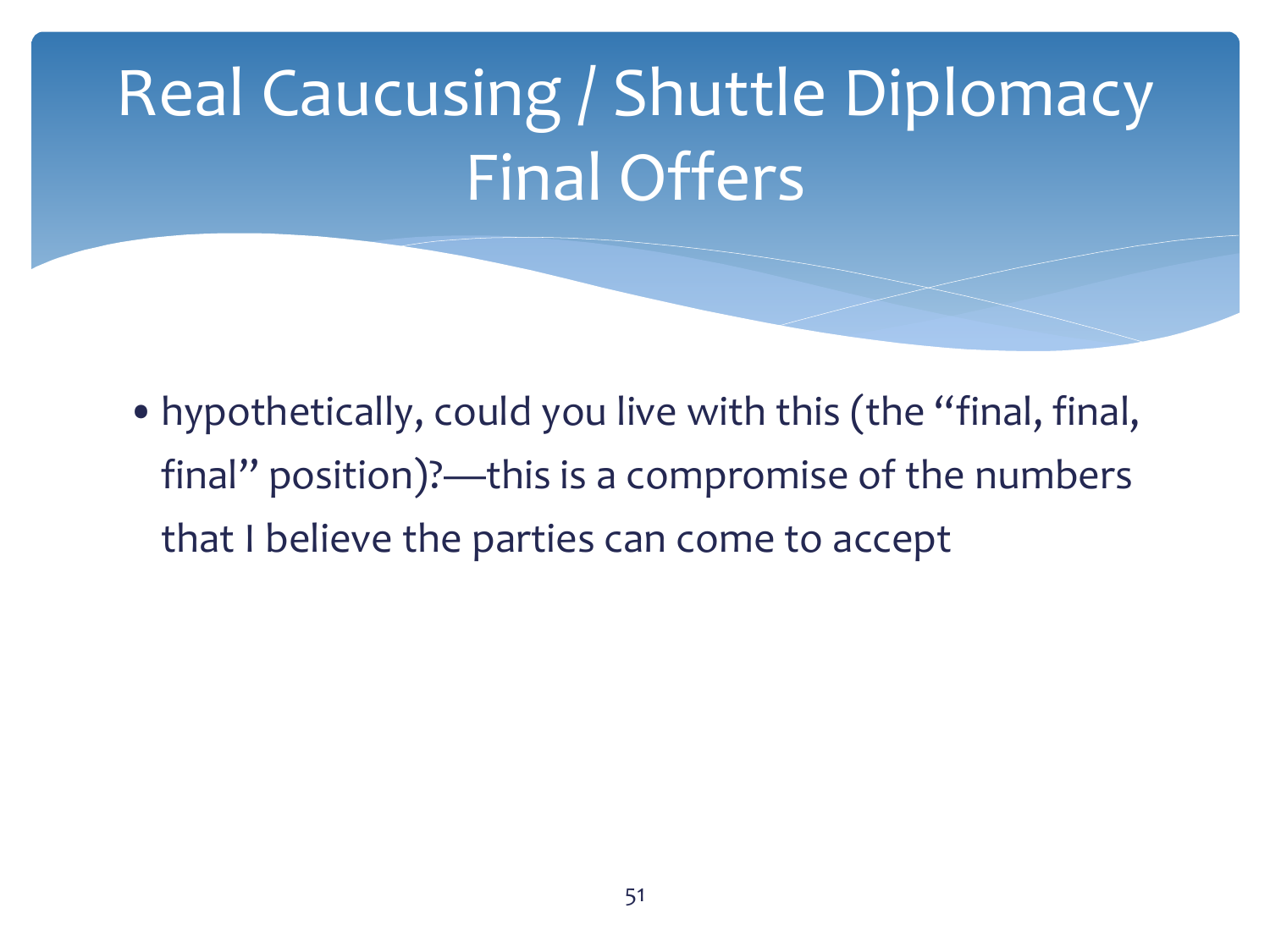## Real Caucusing / Shuttle Diplomacy Final Offers

•hypothetically, could you live with this (the "final, final, final" position)?—this is a compromise of the numbers that I believe the parties can come to accept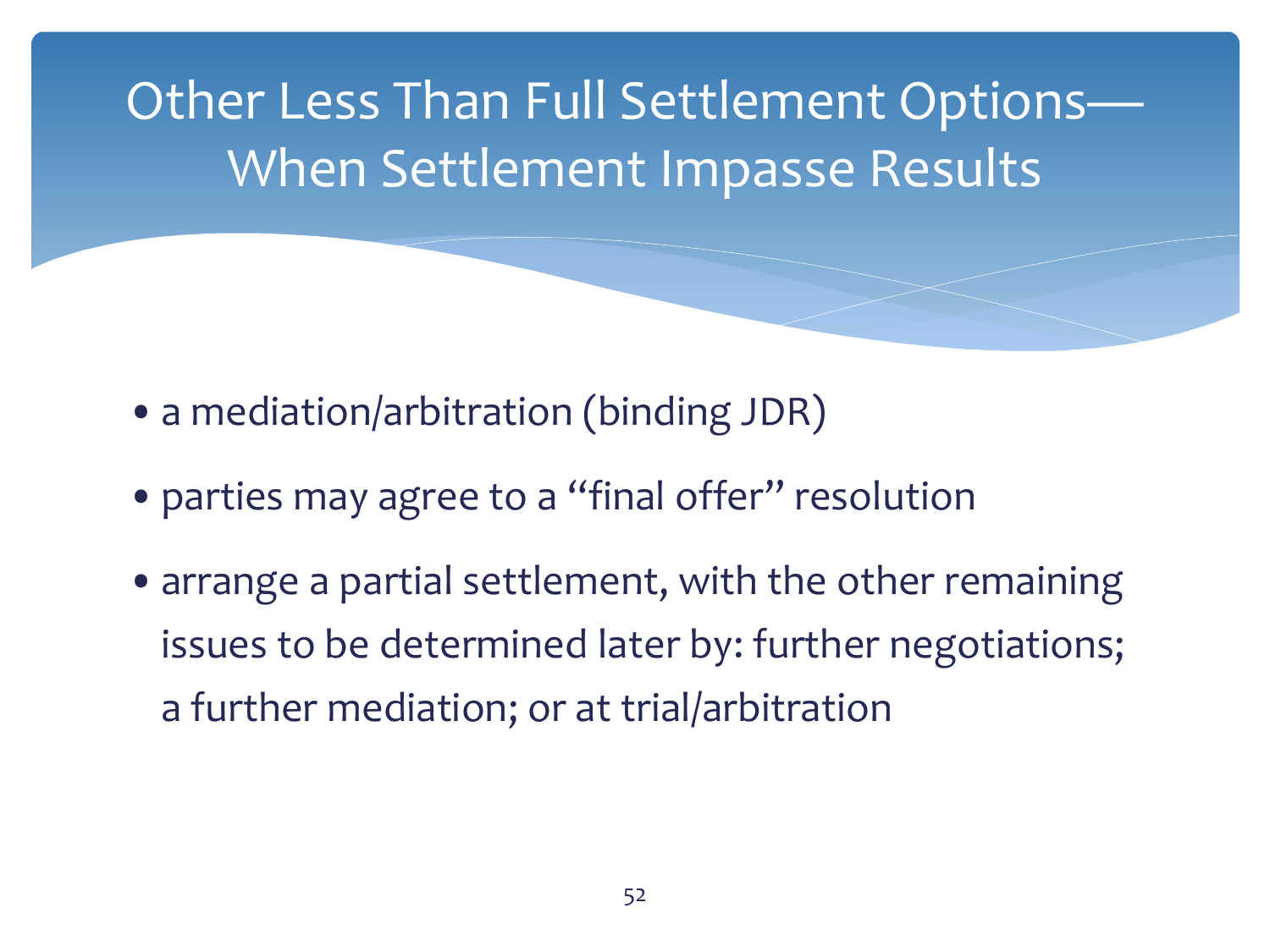Other Less Than Full Settlement Options— When Settlement Impasse Results

- a mediation/arbitration (binding JDR)
- parties may agree to a "final offer" resolution
- arrange a partial settlement, with the other remaining issues to be determined later by: further negotiations; a further mediation; or at trial/arbitration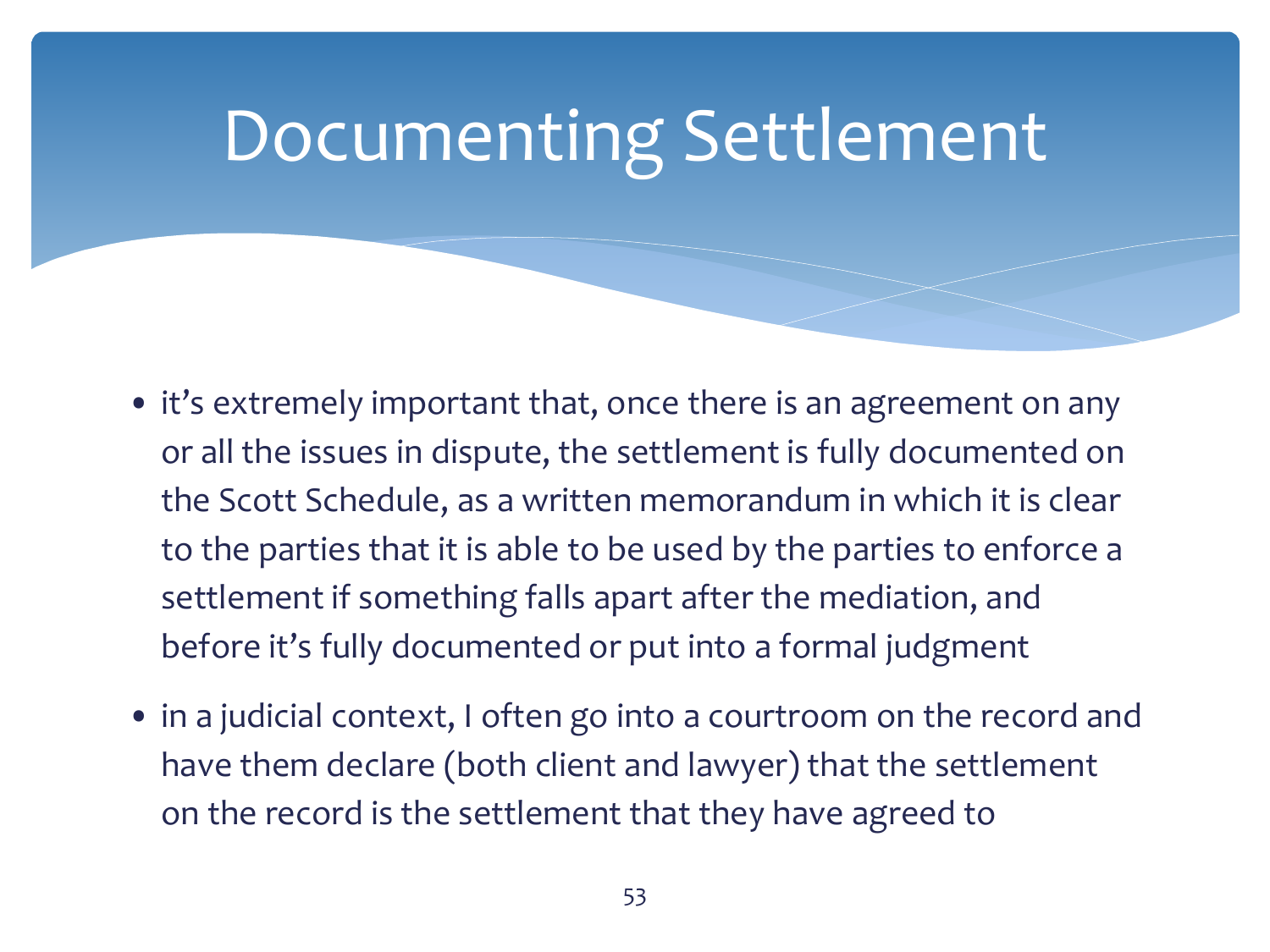## Documenting Settlement

- it's extremely important that, once there is an agreement on any or all the issues in dispute, the settlement is fully documented on the Scott Schedule, as a written memorandum in which it is clear to the parties that it is able to be used by the parties to enforce a settlement if something falls apart after the mediation, and before it's fully documented or put into a formal judgment
- in a judicial context, I often go into a courtroom on the record and have them declare (both client and lawyer) that the settlement on the record is the settlement that they have agreed to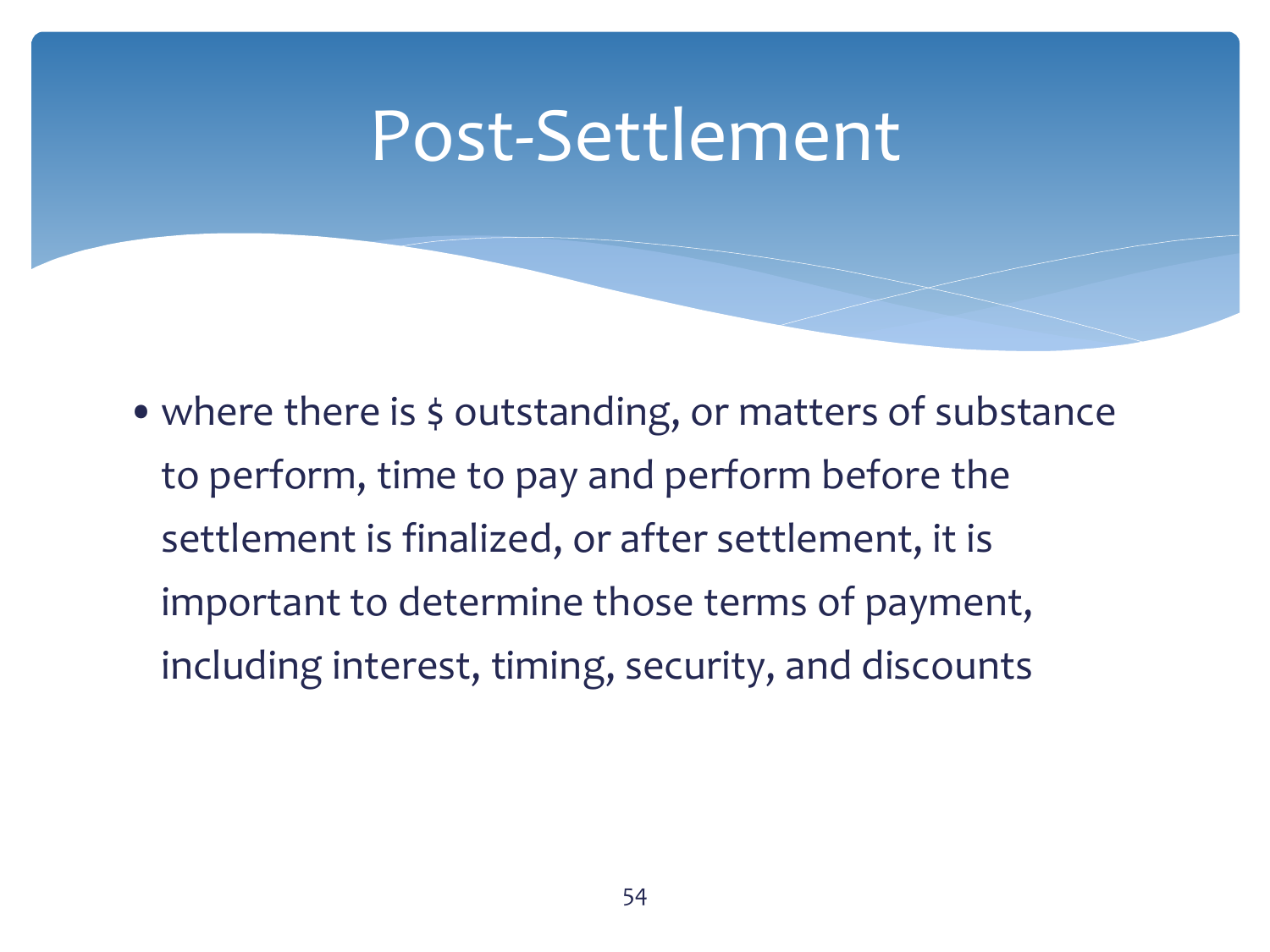#### Post-Settlement

• where there is \$ outstanding, or matters of substance to perform, time to pay and perform before the settlement is finalized, or after settlement, it is important to determine those terms of payment, including interest, timing, security, and discounts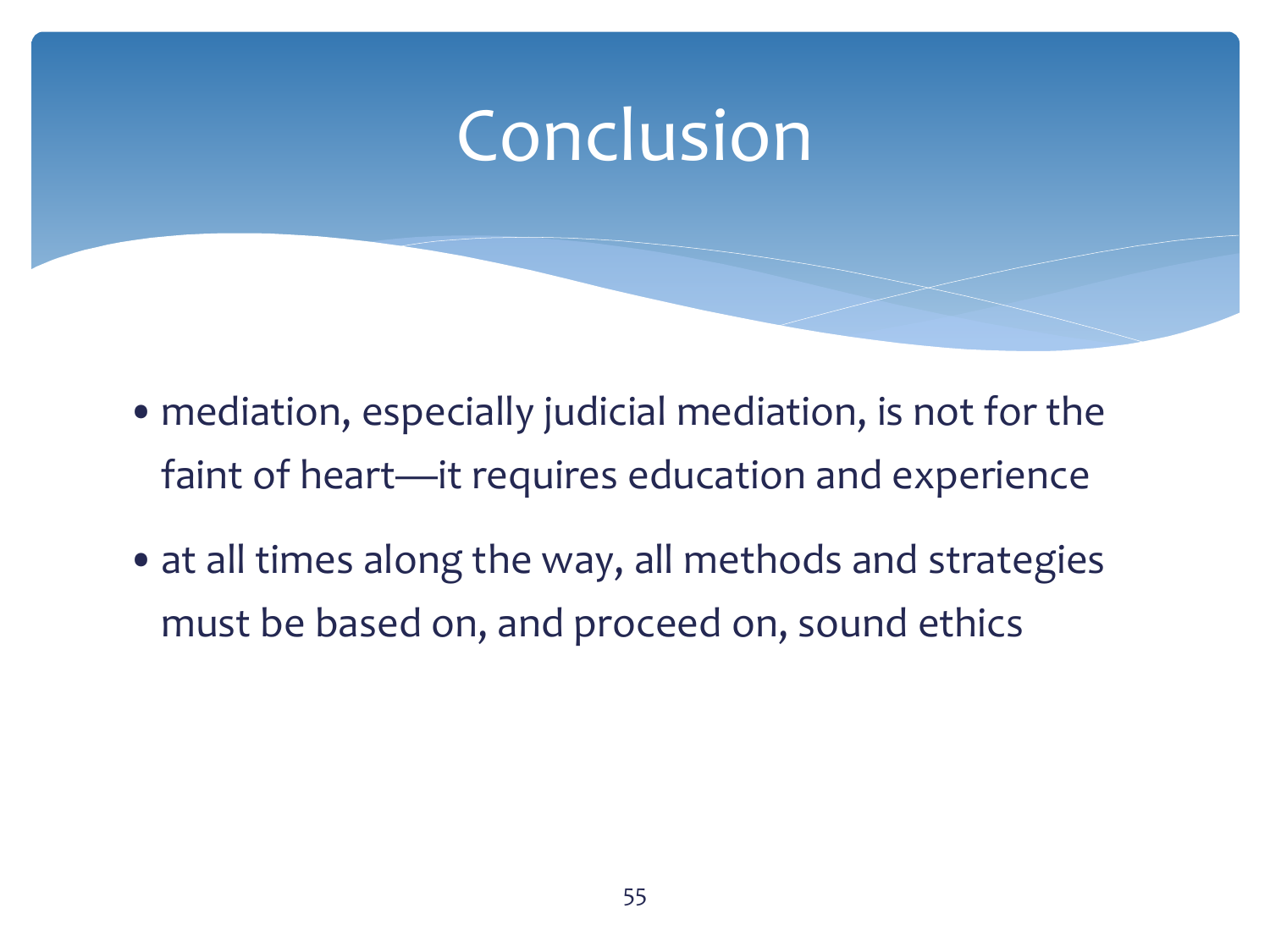#### **Conclusion**

- •mediation, especially judicial mediation, is not for the faint of heart—it requires education and experience
- at all times along the way, all methods and strategies must be based on, and proceed on, sound ethics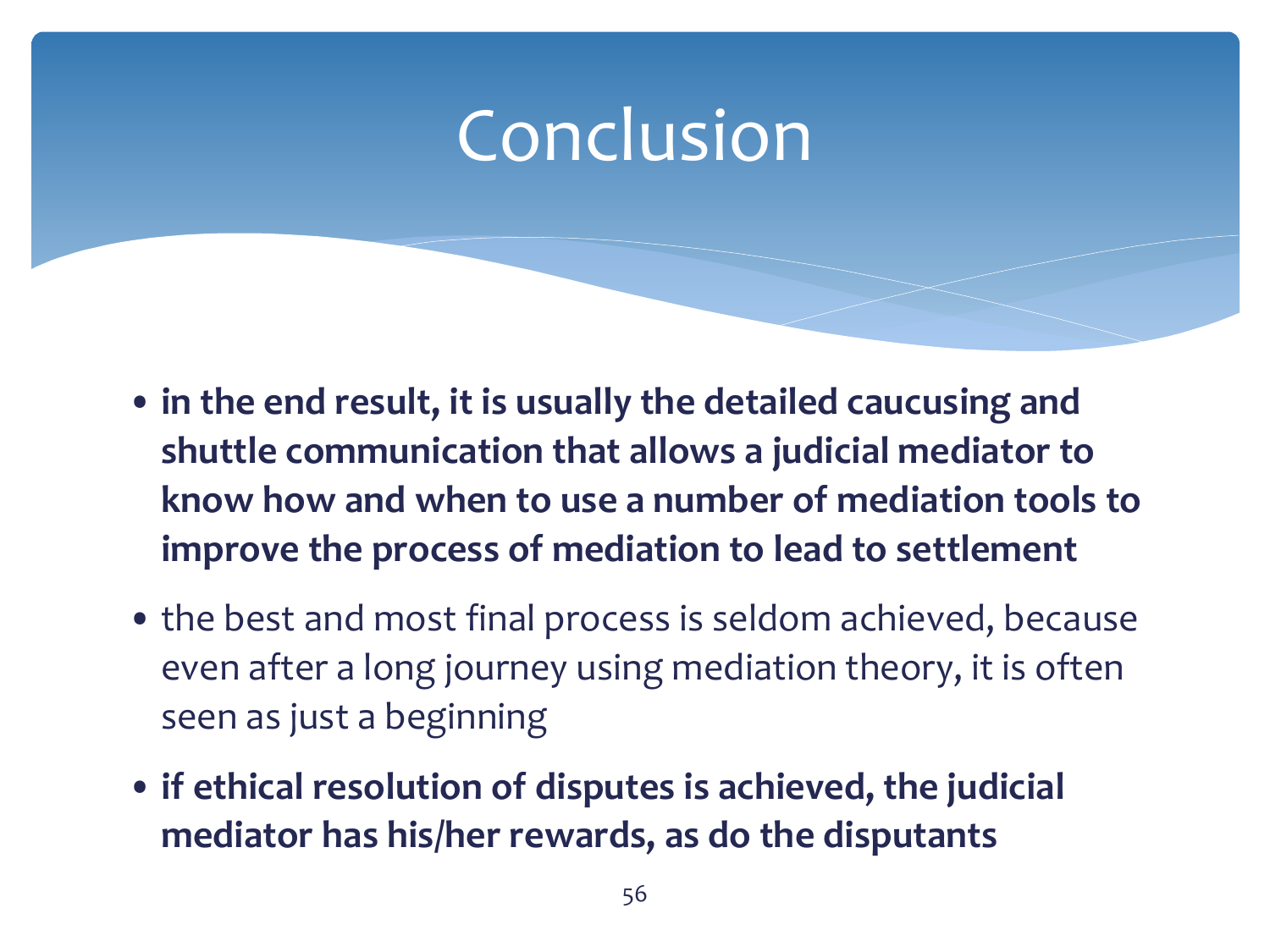### Conclusion

- **in the end result, it is usually the detailed caucusing and shuttle communication that allows a judicial mediator to know how and when to use a number of mediation tools to improve the process of mediation to lead to settlement**
- the best and most final process is seldom achieved, because even after a long journey using mediation theory, it is often seen as just a beginning
- **if ethical resolution of disputes is achieved, the judicial mediator has his/her rewards, as do the disputants**